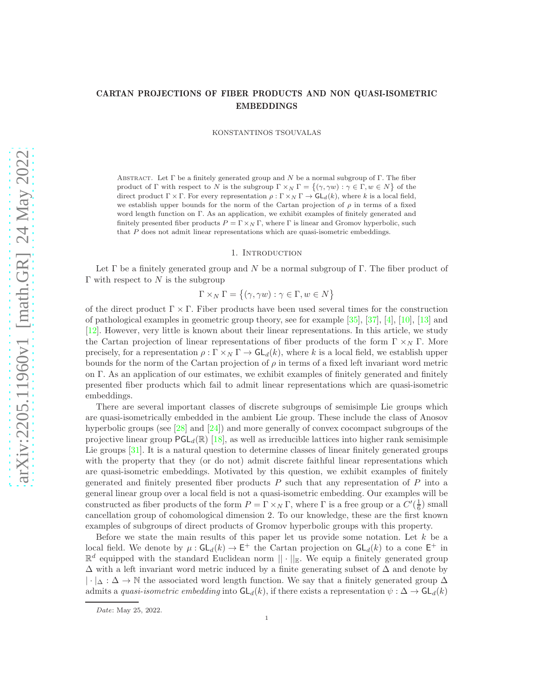# CARTAN PROJECTIONS OF FIBER PRODUCTS AND NON QUASI-ISOMETRIC EMBEDDINGS

KONSTANTINOS TSOUVALAS

ABSTRACT. Let  $\Gamma$  be a finitely generated group and N be a normal subgroup of  $\Gamma$ . The fiber product of Γ with respect to N is the subgroup  $\Gamma \times_N \Gamma = \{(\gamma, \gamma w) : \gamma \in \Gamma, w \in N\}$  of the direct product  $\Gamma \times \Gamma$ . For every representation  $\rho : \Gamma \times_N \Gamma \to \mathsf{GL}_d(k)$ , where k is a local field, we establish upper bounds for the norm of the Cartan projection of  $\rho$  in terms of a fixed word length function on Γ. As an application, we exhibit examples of finitely generated and finitely presented fiber products  $P = \Gamma \times_N \Gamma$ , where  $\Gamma$  is linear and Gromov hyperbolic, such that  $P$  does not admit linear representations which are quasi-isometric embeddings.

#### 1. Introduction

Let  $\Gamma$  be a finitely generated group and N be a normal subgroup of  $\Gamma$ . The fiber product of Γ with respect to  $N$  is the subgroup

 $\Gamma \times_N \Gamma = \{ (\gamma, \gamma w) : \gamma \in \Gamma, w \in N \}$ 

of the direct product  $\Gamma \times \Gamma$ . Fiber products have been used several times for the construction of pathological examples in geometric group theory, see for example [\[35\]](#page-29-0), [\[37\]](#page-29-1), [\[4\]](#page-28-0), [\[10\]](#page-28-1), [\[13\]](#page-29-2) and [\[12\]](#page-28-2). However, very little is known about their linear representations. In this article, we study the Cartan projection of linear representations of fiber products of the form  $\Gamma \times_N \Gamma$ . More precisely, for a representation  $\rho : \Gamma \times_N \Gamma \to \mathsf{GL}_d(k)$ , where k is a local field, we establish upper bounds for the norm of the Cartan projection of  $\rho$  in terms of a fixed left invariant word metric on Γ. As an application of our estimates, we exhibit examples of finitely generated and finitely presented fiber products which fail to admit linear representations which are quasi-isometric embeddings.

There are several important classes of discrete subgroups of semisimple Lie groups which are quasi-isometrically embedded in the ambient Lie group. These include the class of Anosov hyperbolic groups (see [\[28\]](#page-29-3) and [\[24\]](#page-29-4)) and more generally of convex cocompact subgroups of the projective linear group  $\mathsf{PGL}_d(\mathbb{R})$  [\[18\]](#page-29-5), as well as irreducible lattices into higher rank semisimple Lie groups [\[31\]](#page-29-6). It is a natural question to determine classes of linear finitely generated groups with the property that they (or do not) admit discrete faithful linear representations which are quasi-isometric embeddings. Motivated by this question, we exhibit examples of finitely generated and finitely presented fiber products  $P$  such that any representation of  $P$  into a general linear group over a local field is not a quasi-isometric embedding. Our examples will be constructed as fiber products of the form  $P = \Gamma \times_N \Gamma$ , where  $\Gamma$  is a free group or a  $C'(\frac{1}{6})$  small cancellation group of cohomological dimension 2. To our knowledge, these are the first known examples of subgroups of direct products of Gromov hyperbolic groups with this property.

Before we state the main results of this paper let us provide some notation. Let  $k$  be a local field. We denote by  $\mu: GL_d(k) \to E^+$  the Cartan projection on  $GL_d(k)$  to a cone  $E^+$  in  $\mathbb{R}^d$  equipped with the standard Euclidean norm  $\|\cdot\|_{\mathbb{E}}$ . We equip a finitely generated group  $\Delta$  with a left invariant word metric induced by a finite generating subset of  $\Delta$  and denote by  $|\cdot|_{\Delta}:\Delta\to\mathbb{N}$  the associated word length function. We say that a finitely generated group  $\Delta$ admits a *quasi-isometric embedding* into  $GL_d(k)$ , if there exists a representation  $\psi : \Delta \to GL_d(k)$ 

*Date*: May 25, 2022.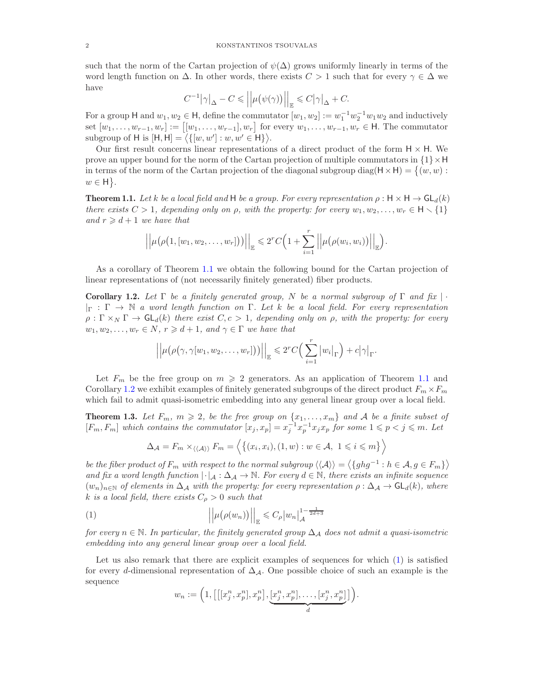such that the norm of the Cartan projection of  $\psi(\Delta)$  grows uniformly linearly in terms of the word length function on  $\Delta$ . In other words, there exists  $C > 1$  such that for every  $\gamma \in \Delta$  we have

$$
C^{-1}\big|\gamma\big|_\Delta-C\leqslant \Big|\Big|\mu\big(\psi(\gamma)\big)\Big|\Big|_{\mathbb{E}}\leqslant C\big|\gamma\big|_\Delta+C.
$$

For a group H and  $w_1, w_2 \in H$ , define the commutator  $[w_1, w_2] := w_1^{-1} w_2^{-1} w_1 w_2$  and inductively set  $[w_1, \ldots, w_{r-1}, w_r] := [[w_1, \ldots, w_{r-1}], w_r]$  for every  $w_1, \ldots, w_{r-1}, w_r \in \mathsf{H}$ . The commutator subgroup of H is  $[H, H] = \langle \{ [w, w'] : w, w' \in H \} \rangle$ .

Our first result concerns linear representations of a direct product of the form  $H \times H$ . We prove an upper bound for the norm of the Cartan projection of multiple commutators in  $\{1\} \times H$ in terms of the norm of the Cartan projection of the diagonal subgroup diag( $H \times H$ ) = { $(w, w)$ :  $w \in H$ .

<span id="page-1-0"></span>**Theorem 1.1.** Let k be a local field and H be a group. For every representation  $\rho : \mathsf{H} \times \mathsf{H} \to \mathsf{GL}_d(k)$ *there exists*  $C > 1$ *, depending only on*  $\rho$ *, with the property: for every*  $w_1, w_2, \ldots, w_r \in \mathsf{H} \setminus \{1\}$ *and*  $r \geq d+1$  *we have that* 

$$
\left|\left|\mu\big(\rho\big(1,[w_1,w_2,\ldots,w_r]\big)\big)\right|\right|_{\mathbb{E}} \leqslant 2^r C\Big(1+\sum_{i=1}^r \left|\left|\mu\big(\rho(w_i,w_i)\big)\right|\right|_{\mathbb{E}}\Big).
$$

As a corollary of Theorem [1.1](#page-1-0) we obtain the following bound for the Cartan projection of linear representations of (not necessarily finitely generated) fiber products.

<span id="page-1-1"></span>Corollary 1.2. *Let* Γ *be a finitely generated group,* N *be a normal subgroup of* Γ *and fix* | · |<sup>Γ</sup> : Γ → N *a word length function on* Γ*. Let* k *be a local field. For every representation*  $\rho : \Gamma \times_N \Gamma \to GL_d(k)$  *there exist*  $C, c > 1$ *, depending only on*  $\rho$ *, with the property: for every*  $w_1, w_2, \ldots, w_r \in N, r \geq d+1, and \gamma \in \Gamma$  we have that

$$
\left|\left|\mu\big(\rho(\gamma,\gamma[w_1,w_2,\ldots,w_r]\big)\big)\right|\right|_{\mathbb{E}}\leqslant 2^rC\Big(\sum_{i=1}^r\big|w_i\big|_{\Gamma}\Big)+c\big|\gamma\big|_{\Gamma}.
$$

Let  $F_m$  be the free group on  $m \geqslant 2$  generators. As an application of Theorem [1.1](#page-1-0) and Corollary [1.2](#page-1-1) we exhibit examples of finitely generated subgroups of the direct product  $F_m \times F_m$ which fail to admit quasi-isometric embedding into any general linear group over a local field.

<span id="page-1-3"></span>**Theorem 1.3.** Let  $F_m$ ,  $m \geq 2$ , be the free group on  $\{x_1, \ldots, x_m\}$  and A be a finite subset of  $[F_m, F_m]$  which contains the commutator  $[x_j, x_p] = x_j^{-1} x_p^{-1} x_j x_p$  for some  $1 \leqslant p < j \leqslant m$ . Let

$$
\Delta_{\mathcal{A}} = F_m \times_{\langle \langle \mathcal{A} \rangle \rangle} F_m = \langle \{ (x_i, x_i), (1, w) : w \in \mathcal{A}, 1 \leq i \leq m \} \rangle
$$

*be the fiber product of*  $F_m$  *with respect to the normal subgroup*  $\langle\langle A \rangle\rangle = \langle\{ghg^{-1} : h \in A, g \in F_m\}\rangle$ *and fix a word length function*  $|\cdot|_A : \Delta_A \to \mathbb{N}$ . For every  $d \in \mathbb{N}$ , there exists an infinite sequence  $(w_n)_{n\in\mathbb{N}}$  *of elements in*  $\Delta_A$  *with the property: for every representation*  $\rho : \Delta_A \to \mathsf{GL}_d(k)$ *, where*  $k$  *is a local field, there exists*  $C_{\rho} > 0$  *such that* 

(1) 
$$
\left\| \mu(\rho(w_n)) \right\|_{\mathbb{E}} \leqslant C_{\rho} |w_n|_{\mathcal{A}}^{1 - \frac{1}{2d+3}}
$$

*for every* n ∈ N*. In particular, the finitely generated group* ∆<sup>A</sup> *does not admit a quasi-isometric embedding into any general linear group over a local field.*

Let us also remark that there are explicit examples of sequences for which  $(1)$  is satisfied for every d-dimensional representation of  $\Delta_{\mathcal{A}}$ . One possible choice of such an example is the sequence

<span id="page-1-2"></span>
$$
w_n := \left(1, \left[\left[[x_j^n, x_p^n], x_p^n\right], \underbrace{[x_j^n, x_p^n], \dots, [x_j^n, x_p^n]}_{d}\right]\right).
$$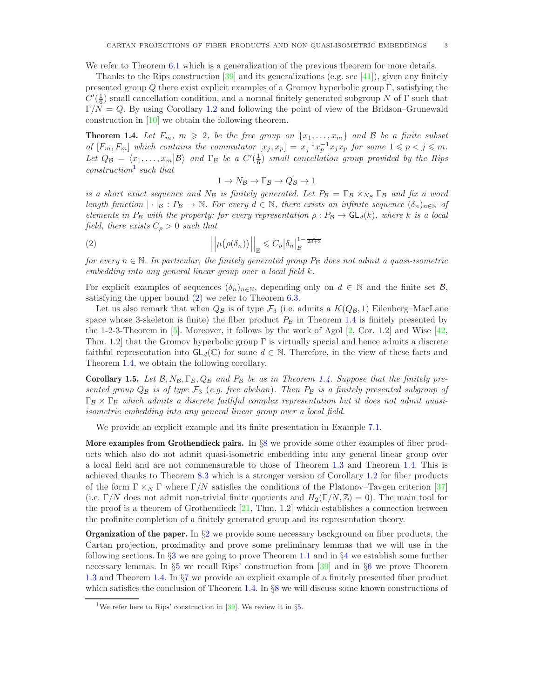We refer to Theorem [6.1](#page-21-0) which is a generalization of the previous theorem for more details.

Thanks to the Rips construction  $[39]$  and its generalizations (e.g. see [\[41\]](#page-29-8)), given any finitely presented group Q there exist explicit examples of a Gromov hyperbolic group  $\Gamma$ , satisfying the  $C'(\frac{1}{6})$  small cancellation condition, and a normal finitely generated subgroup N of  $\Gamma$  such that  $\Gamma/N = Q$ . By using Corollary [1.2](#page-1-1) and following the point of view of the Bridson–Grunewald construction in [\[10\]](#page-28-1) we obtain the following theorem.

<span id="page-2-2"></span>**Theorem 1.4.** Let  $F_m$ ,  $m \geq 2$ , be the free group on  $\{x_1, \ldots, x_m\}$  and B be a finite subset *of*  $[F_m, F_m]$  which contains the commutator  $[x_j, x_p] = x_j^{-1} x_p^{-1} x_j x_p$  for some  $1 \leqslant p < j \leqslant m$ . Let  $Q_B = \langle x_1, \ldots, x_m | B \rangle$  and  $\Gamma_B$  be a  $C'(\frac{1}{6})$  small cancellation group provided by the Rips *construction*[1](#page-2-0) *such that*

<span id="page-2-1"></span>
$$
1 \to N_{\mathcal{B}} \to \Gamma_{\mathcal{B}} \to Q_{\mathcal{B}} \to 1
$$

*is a short exact sequence and*  $N_B$  *is finitely generated. Let*  $P_B = \Gamma_B \times_{N_B} \Gamma_B$  *and fix a word length function*  $|\cdot|_B : P_B \to \mathbb{N}$ . For every  $d \in \mathbb{N}$ , there exists an infinite sequence  $(\delta_n)_{n \in \mathbb{N}}$  of *elements in*  $P_B$  *with the property: for every representation*  $\rho$ :  $P_B \rightarrow GL_d(k)$ *, where* k *is a local field, there exists*  $C_{\rho} > 0$  *such that* 

(2) 
$$
\left\| \mu(\rho(\delta_n)) \right\|_{\mathbb{E}} \leq C_{\rho} |\delta_n|_{\mathcal{B}}^{1 - \frac{1}{2d+3}}
$$

*for every*  $n \in \mathbb{N}$ . In particular, the finitely generated group  $P_B$  does not admit a quasi-isometric *embedding into any general linear group over a local field* k*.*

For explicit examples of sequences  $(\delta_n)_{n\in\mathbb{N}}$ , depending only on  $d \in \mathbb{N}$  and the finite set  $\mathcal{B}$ , satisfying the upper bound [\(2\)](#page-2-1) we refer to Theorem [6.3.](#page-22-0)

Let us also remark that when  $Q_B$  is of type  $\mathcal{F}_3$  (i.e. admits a  $K(Q_B, 1)$  Eilenberg–MacLane space whose 3-skeleton is finite) the fiber product  $P_B$  in Theorem [1.4](#page-2-2) is finitely presented by the 1-2-3-Theorem in  $[5]$ . Moreover, it follows by the work of Agol  $[2, \text{Cor. } 1.2]$  and Wise  $[42, \text{Cor. } 1.2]$ Thm. 1.2 that the Gromov hyperbolic group  $\Gamma$  is virtually special and hence admits a discrete faithful representation into  $GL_d(\mathbb{C})$  for some  $d \in \mathbb{N}$ . Therefore, in the view of these facts and Theorem [1.4,](#page-2-2) we obtain the following corollary.

**Corollary 1.5.** Let  $\mathcal{B}, N_{\mathcal{B}}, \Gamma_{\mathcal{B}}, Q_{\mathcal{B}}$  and  $P_{\mathcal{B}}$  be as in Theorem [1.4.](#page-2-2) Suppose that the finitely pre*sented group*  $Q_B$  *is of type*  $\mathcal{F}_3$  (*e.g. free abelian*). Then  $P_B$  *is a finitely presented subgroup of* Γ<sub>B</sub> × Γ<sub>B</sub> which admits a discrete faithful complex representation but it does not admit quasi*isometric embedding into any general linear group over a local field.*

We provide an explicit example and its finite presentation in Example [7.1.](#page-23-0)

More examples from Grothendieck pairs. In §[8](#page-24-0) we provide some other examples of fiber products which also do not admit quasi-isometric embedding into any general linear group over a local field and are not commensurable to those of Theorem [1.3](#page-1-3) and Theorem [1.4.](#page-2-2) This is achieved thanks to Theorem [8.3](#page-25-0) which is a stronger version of Corollary [1.2](#page-1-1) for fiber products of the form  $\Gamma \times_N \Gamma$  where  $\Gamma/N$  satisfies the conditions of the Platonov–Tavgen criterion [\[37\]](#page-29-1) (i.e.  $\Gamma/N$  does not admit non-trivial finite quotients and  $H_2(\Gamma/N, \mathbb{Z}) = 0$ ). The main tool for the proof is a theorem of Grothendieck  $[21, Thm. 1.2]$  which establishes a connection between the profinite completion of a finitely generated group and its representation theory.

**Organization of the paper.** In  $\S$ [2](#page-3-0) we provide some necessary background on fiber products, the Cartan projection, proximality and prove some preliminary lemmas that we will use in the following sections. In §[3](#page-6-0) we are going to prove Theorem [1.1](#page-1-0) and in §[4](#page-14-0) we establish some further necessary lemmas. In §[5](#page-20-0) we recall Rips' construction from [\[39\]](#page-29-7) and in §[6](#page-21-1) we prove Theorem [1.3](#page-1-3) and Theorem [1.4.](#page-2-2) In §[7](#page-23-1) we provide an explicit example of a finitely presented fiber product which satisfies the conclusion of Theorem [1.4.](#page-2-2) In §[8](#page-24-0) we will discuss some known constructions of

<span id="page-2-0"></span><sup>&</sup>lt;sup>1</sup>We refer here to Rips' construction in [\[39\]](#page-29-7). We review it in  $\S5$ .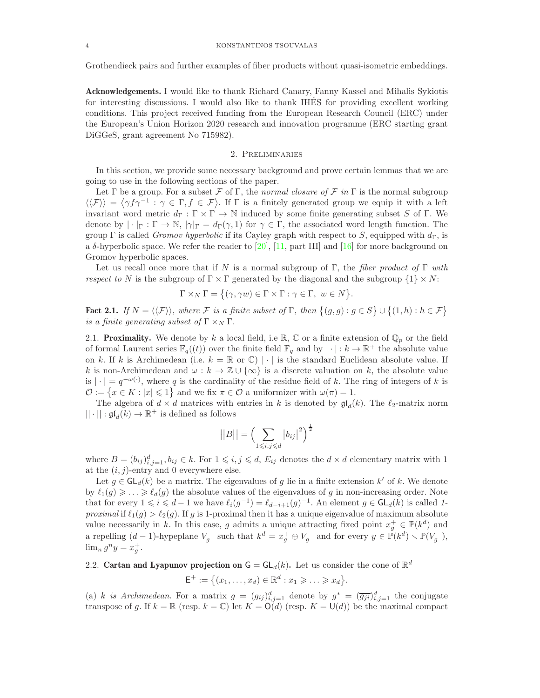Grothendieck pairs and further examples of fiber products without quasi-isometric embeddings.

Acknowledgements. I would like to thank Richard Canary, Fanny Kassel and Mihalis Sykiotis for interesting discussions. I would also like to thank IHES for providing excellent working ´ conditions. This project received funding from the European Research Council (ERC) under the European's Union Horizon 2020 research and innovation programme (ERC starting grant DiGGeS, grant agreement No 715982).

## 2. Preliminaries

<span id="page-3-0"></span>In this section, we provide some necessary background and prove certain lemmas that we are going to use in the following sections of the paper.

Let  $\Gamma$  be a group. For a subset  $\mathcal F$  of  $\Gamma$ , the *normal closure of*  $\mathcal F$  *in*  $\Gamma$  is the normal subgroup  $\langle\langle \mathcal{F} \rangle\rangle = \langle \gamma f \gamma^{-1} : \gamma \in \Gamma, f \in \mathcal{F} \rangle$ . If  $\Gamma$  is a finitely generated group we equip it with a left invariant word metric  $d_{\Gamma} : \Gamma \times \Gamma \to \mathbb{N}$  induced by some finite generating subset S of  $\Gamma$ . We denote by  $|\cdot|_{\Gamma}: \Gamma \to \mathbb{N}, |\gamma|_{\Gamma} = d_{\Gamma}(\gamma, 1)$  for  $\gamma \in \Gamma$ , the associated word length function. The group Γ is called *Gromov hyperbolic* if its Cayley graph with respect to S, equipped with  $d_{\Gamma}$ , is a  $\delta$ -hyperbolic space. We refer the reader to [\[20\]](#page-29-11), [\[11,](#page-28-5) part III] and [\[16\]](#page-29-12) for more background on Gromov hyperbolic spaces.

Let us recall once more that if N is a normal subgroup of Γ, the *fiber product of* Γ *with respect to* N is the subgroup of  $\Gamma \times \Gamma$  generated by the diagonal and the subgroup  $\{1\} \times N$ :

$$
\Gamma \times_N \Gamma = \big\{ (\gamma, \gamma w) \in \Gamma \times \Gamma : \gamma \in \Gamma, \ w \in N \big\}.
$$

**Fact 2.1.** *If*  $N = \langle \langle \mathcal{F} \rangle \rangle$ , where  $\mathcal{F}$  *is a finite subset of*  $\Gamma$ , *then*  $\{(g, g) : g \in S\} \cup \{(1, h) : h \in \mathcal{F}\}\$ *is a finite generating subset of*  $\Gamma \times_N \Gamma$ .

2.1. **Proximality.** We denote by k a local field, i.e R, C or a finite extension of  $\mathbb{Q}_p$  or the field of formal Laurent series  $\mathbb{F}_q((t))$  over the finite field  $\mathbb{F}_q$  and by  $|\cdot|: k \to \mathbb{R}^+$  the absolute value on k. If k is Archimedean (i.e.  $k = \mathbb{R}$  or  $\mathbb{C}$ ) | · | is the standard Euclidean absolute value. If k is non-Archimedean and  $\omega : k \to \mathbb{Z} \cup {\infty}$  is a discrete valuation on k, the absolute value is  $|\cdot| = q^{-\omega(\cdot)}$ , where q is the cardinality of the residue field of k. The ring of integers of k is  $\mathcal{O} := \{x \in K : |x| \leq 1\}$  and we fix  $\pi \in \mathcal{O}$  a uniformizer with  $\omega(\pi) = 1$ .

The algebra of  $d \times d$  matrices with entries in k is denoted by  $\mathfrak{gl}_d(k)$ . The  $\ell_2$ -matrix norm  $||\cdot||: \mathfrak{gl}_d(k) \to \mathbb{R}^+$  is defined as follows

$$
||B|| = \left(\sum_{1 \le i,j \le d} |b_{ij}|^2\right)^{\frac{1}{2}}
$$

where  $B = (b_{ij})_{i,j=1}^d, b_{ij} \in k$ . For  $1 \leq i, j \leq d$ ,  $E_{ij}$  denotes the  $d \times d$  elementary matrix with 1 at the  $(i, j)$ -entry and 0 everywhere else.

Let  $g \in GL_d(k)$  be a matrix. The eigenvalues of g lie in a finite extension k' of k. We denote by  $\ell_1(g) \geq \ldots \geq \ell_d(g)$  the absolute values of the eigenvalues of g in non-increasing order. Note that for every  $1 \leqslant i \leqslant d-1$  we have  $\ell_i(g^{-1}) = \ell_{d-i+1}(g)^{-1}$ . An element  $g \in \mathsf{GL}_d(k)$  is called 1*proximal* if  $\ell_1(g) > \ell_2(g)$ . If g is 1-proximal then it has a unique eigenvalue of maximum absolute value necessarily in k. In this case, g admits a unique attracting fixed point  $x_g^+ \in \mathbb{P}(k^d)$  and a repelling  $(d-1)$ -hypeplane  $V_g^-$  such that  $k^d = x_g^+ \oplus V_g^-$  and for every  $y \in \mathbb{P}(k^d) \setminus \mathbb{P}(V_g^-)$ ,  $\lim_{n} g^{n} y = x_{g}^{+}.$ 

# 2.2. Cartan and Lyapunov projection on  $G = GL_d(k)$ . Let us consider the cone of  $\mathbb{R}^d$

$$
\mathsf{E}^+ := \big\{ (x_1, \ldots, x_d) \in \mathbb{R}^d : x_1 \geqslant \ldots \geqslant x_d \big\}.
$$

(a) k is Archimedean. For a matrix  $g = (g_{ij})_{i,j=1}^d$  denote by  $g^* = (\overline{g_{ji}})_{i,j=1}^d$  the conjugate transpose of g. If  $k = \mathbb{R}$  (resp.  $k = \mathbb{C}$ ) let  $K = O(d)$  (resp.  $K = U(d)$ ) be the maximal compact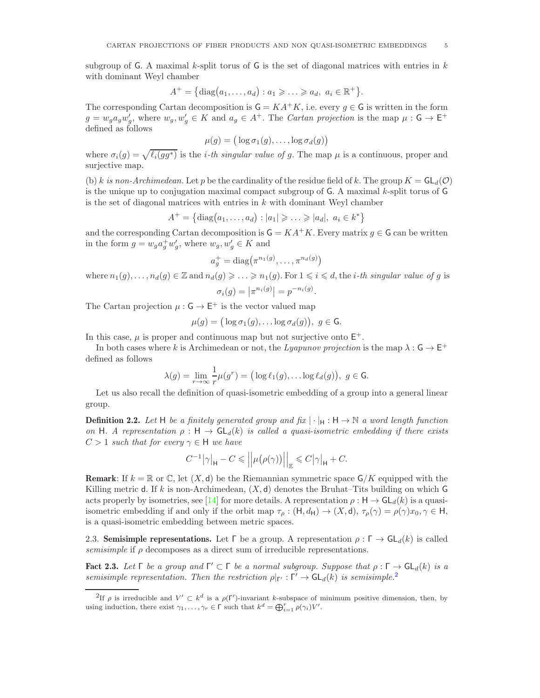subgroup of G. A maximal k-split torus of G is the set of diagonal matrices with entries in  $k$ with dominant Weyl chamber

$$
A^+=\{\mathrm{diag}(a_1,\ldots,a_d):a_1\geqslant\ldots\geqslant a_d,\ a_i\in\mathbb{R}^+\}.
$$

The corresponding Cartan decomposition is  $G = KA^+K$ , i.e. every  $g \in G$  is written in the form  $g = w_g a_g w'_g$ , where  $w_g, w'_g \in K$  and  $a_g \in A^+$ . The *Cartan projection* is the map  $\mu : G \to E^+$ defined as follows

$$
\mu(g) = \big(\log \sigma_1(g), \ldots, \log \sigma_d(g)\big)
$$

where  $\sigma_i(g) = \sqrt{\ell_i(gg^*)}$  is the *i-th singular value of g*. The map  $\mu$  is a continuous, proper and surjective map.

(b) k is non-Archimedean. Let p be the cardinality of the residue field of k. The group  $K = GL_d(\mathcal{O})$ is the unique up to conjugation maximal compact subgroup of G. A maximal k-split torus of G is the set of diagonal matrices with entries in  $k$  with dominant Weyl chamber

$$
A^{+} = \{ \text{diag}(a_1, ..., a_d) : |a_1| \geqslant ... \geqslant |a_d|, a_i \in k^* \}
$$

and the corresponding Cartan decomposition is  $\mathsf{G} = KA^+K$ . Every matrix  $g \in \mathsf{G}$  can be written in the form  $g = w_g a_g^+ w'_g$ , where  $w_g, w'_g \in K$  and

$$
a_g^+ = \text{diag}\big(\pi^{n_1(g)}, \dots, \pi^{n_d(g)}\big)
$$

where  $n_1(g), \ldots, n_d(g) \in \mathbb{Z}$  and  $n_d(g) \geq \ldots \geq n_1(g)$ . For  $1 \leq i \leq d$ , the *i*-th *singular value of* g is  $\sigma_i(g) = |\pi^{n_i(g)}| = p^{-n_i(g)}.$ 

The Cartan projection  $\mu: \mathsf{G} \to \mathsf{E}^+$  is the vector valued map

$$
\mu(g) = (\log \sigma_1(g), \dots \log \sigma_d(g)), \ g \in \mathsf{G}.
$$

In this case,  $\mu$  is proper and continuous map but not surjective onto  $E^+$ .

In both cases where k is Archimedean or not, the *Lyapunov projection* is the map  $\lambda: \mathsf{G} \to \mathsf{E}^+$ defined as follows

$$
\lambda(g)=\lim_{r\to\infty}\frac{1}{r}\mu(g^r)=\big(\log\ell_1(g),\ldots\log\ell_d(g)\big),\ g\in\mathsf{G}.
$$

Let us also recall the definition of quasi-isometric embedding of a group into a general linear group.

**Definition 2.2.** Let H be a finitely generated group and fix  $|\cdot|_H : H \to \mathbb{N}$  a word length function *on* H. A representation  $\rho : H \to GL_d(k)$  *is called a quasi-isometric embedding if there exists*  $C > 1$  *such that for every*  $\gamma \in H$  *we have* 

$$
C^{-1}\big|\gamma\big|_{\mathsf{H}} - C \leqslant \Big|\Big|\mu\big(\rho(\gamma)\big)\Big|\Big|_{\mathbb{E}} \leqslant C\big|\gamma\big|_{\mathsf{H}} + C.
$$

**Remark:** If  $k = \mathbb{R}$  or  $\mathbb{C}$ , let  $(X, d)$  be the Riemannian symmetric space  $\mathsf{G}/K$  equipped with the Killing metric d. If k is non-Archimedean,  $(X, d)$  denotes the Bruhat–Tits building on which G acts properly by isometries, see [\[14\]](#page-29-13) for more details. A representation  $\rho : H \to GL_d(k)$  is a quasiisometric embedding if and only if the orbit map  $\tau_{\rho} : (\mathsf{H}, d_{\mathsf{H}}) \to (X, \mathsf{d}), \tau_{\rho}(\gamma) = \rho(\gamma)x_0, \gamma \in \mathsf{H},$ is a quasi-isometric embedding between metric spaces.

2.3. Semisimple representations. Let Γ be a group. A representation  $\rho : \Gamma \to GL_d(k)$  is called *semisimple* if ρ decomposes as a direct sum of irreducible representations.

<span id="page-4-1"></span>**Fact 2.3.** Let  $\Gamma$  be a group and  $\Gamma' \subset \Gamma$  be a normal subgroup. Suppose that  $\rho : \Gamma \to GL_d(k)$  is a *semisimple representation. Then the restriction*  $\rho|_{\Gamma'} : \Gamma' \to GL_d(k)$  *is semisimple.*<sup>[2](#page-4-0)</sup>

<span id="page-4-0"></span><sup>&</sup>lt;sup>2</sup>If  $\rho$  is irreducible and  $V' \subset k^d$  is a  $\rho(\Gamma')$ -invariant k-subspace of minimum positive dimension, then, by using induction, there exist  $\gamma_1, \ldots, \gamma_r \in \Gamma$  such that  $k^d = \bigoplus_{i=1}^r \rho(\gamma_i)V'.$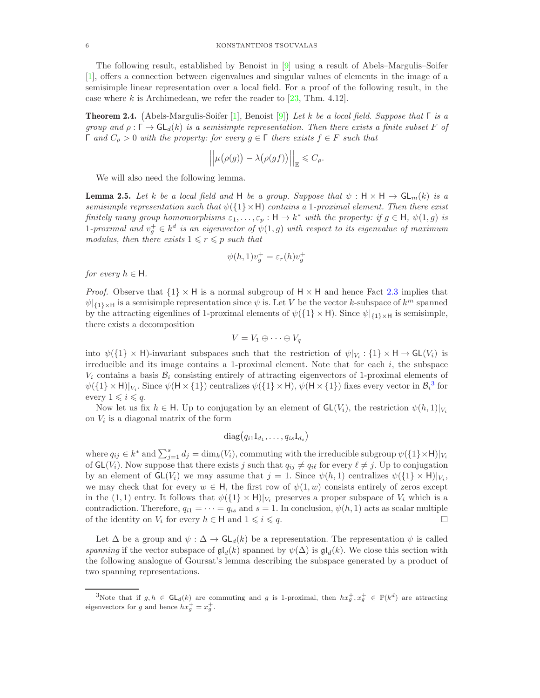The following result, established by Benoist in [\[9\]](#page-28-6) using a result of Abels–Margulis–Soifer [\[1\]](#page-28-7), offers a connection between eigenvalues and singular values of elements in the image of a semisimple linear representation over a local field. For a proof of the following result, in the case where k is Archimedean, we refer the reader to  $[23, Thm. 4.12]$ .

<span id="page-5-2"></span>Theorem 2.4. Abels-Margulis-Soifer [\[1\]](#page-28-7), Benoist [\[9\]](#page-28-6) *Let* k *be a local field. Suppose that* Γ *is a group and*  $\rho : \Gamma \to \mathsf{GL}_d(k)$  *is a semisimple representation. Then there exists a finite subset* F of Γ *and* C<sup>ρ</sup> > 0 *with the property: for every* g ∈ Γ *there exists* f ∈ F *such that*

$$
\left|\left|\mu(\rho(g)) - \lambda(\rho(gf))\right|\right|_{\mathbb{E}} \leq C_{\rho}.
$$

We will also need the following lemma.

<span id="page-5-1"></span>**Lemma 2.5.** Let k be a local field and H be a group. Suppose that  $\psi : \mathsf{H} \times \mathsf{H} \to \mathsf{GL}_m(k)$  is a *semisimple representation such that* ψ({1}×H) *contains a* 1*-proximal element. Then there exist finitely many group homomorphisms*  $\varepsilon_1, \ldots, \varepsilon_p : \mathsf{H} \to k^*$  *with the property: if*  $g \in \mathsf{H}$ ,  $\psi(1, g)$  *is* 1-proximal and  $v_g^+ \in k^d$  is an eigenvector of  $\psi(1,g)$  with respect to its eigenvalue of maximum *modulus, then there exists*  $1 \leq r \leq p$  *such that* 

$$
\psi(h,1)v_g^+ = \varepsilon_r(h)v_g^+
$$

*for every*  $h \in H$ *.* 

*Proof.* Observe that  $\{1\} \times H$  is a normal subgroup of  $H \times H$  and hence Fact [2.3](#page-4-1) implies that  $\psi|_{\{1\}\times\mathsf{H}}$  is a semisimple representation since  $\psi$  is. Let V be the vector k-subspace of  $k^m$  spanned by the attracting eigenlines of 1-proximal elements of  $\psi({1} \times H)$ . Since  $\psi|_{{1} \times H}$  is semisimple, there exists a decomposition

$$
V = V_1 \oplus \cdots \oplus V_q
$$

into  $\psi({1} \times H)$ -invariant subspaces such that the restriction of  $\psi|_{V_i} : {1} \times H \to GL(V_i)$  is irreducible and its image contains a 1-proximal element. Note that for each  $i$ , the subspace  $V_i$  contains a basis  $B_i$  consisting entirely of attracting eigenvectors of 1-proximal elements of  $\psi({1} \times H)|_{V_i}$ . Since  $\psi(H \times {1})$  centralizes  $\psi({1} \times H)$ ,  $\psi(H \times {1})$  fixes every vector in  $\mathcal{B}_i^3$  $\mathcal{B}_i^3$  for every  $1 \leq i \leq q$ .

Now let us fix  $h \in H$ . Up to conjugation by an element of  $GL(V_i)$ , the restriction  $\psi(h, 1)|_{V_i}$ on  $V_i$  is a diagonal matrix of the form

$$
diag(q_{i1}I_{d_1},\ldots,q_{is}I_{d_s})
$$

where  $q_{ij} \in k^*$  and  $\sum_{j=1}^s d_j = \dim_k(V_i)$ , commuting with the irreducible subgroup  $\psi({1} \times \mathsf{H})|_{V_i}$ of  $GL(V_i)$ . Now suppose that there exists j such that  $q_{ij} \neq q_{i\ell}$  for every  $\ell \neq j$ . Up to conjugation by an element of  $GL(V_i)$  we may assume that  $j = 1$ . Since  $\psi(h, 1)$  centralizes  $\psi({1} \times H)|_{V_i}$ , we may check that for every  $w \in H$ , the first row of  $\psi(1, w)$  consists entirely of zeros except in the (1, 1) entry. It follows that  $\psi({1} \times H)|_{V_i}$  preserves a proper subspace of  $V_i$  which is a contradiction. Therefore,  $q_{i1} = \cdots = q_{is}$  and  $s = 1$ . In conclusion,  $\psi(h, 1)$  acts as scalar multiple of the identity on  $V_i$  for every  $h \in H$  and  $1 \leq i \leq q$ .

Let  $\Delta$  be a group and  $\psi : \Delta \to \mathsf{GL}_d(k)$  be a representation. The representation  $\psi$  is called *spanning* if the vector subspace of  $\mathfrak{gl}_d(k)$  spanned by  $\psi(\Delta)$  is  $\mathfrak{gl}_d(k)$ . We close this section with the following analogue of Goursat's lemma describing the subspace generated by a product of two spanning representations.

<span id="page-5-0"></span><sup>3</sup>Note that if  $g, h \in GL_d(k)$  are commuting and g is 1-proximal, then  $hx_g^+, x_g^+ \in \mathbb{P}(k^d)$  are attracting eigenvectors for g and hence  $hx_g^+ = x_g^+$ .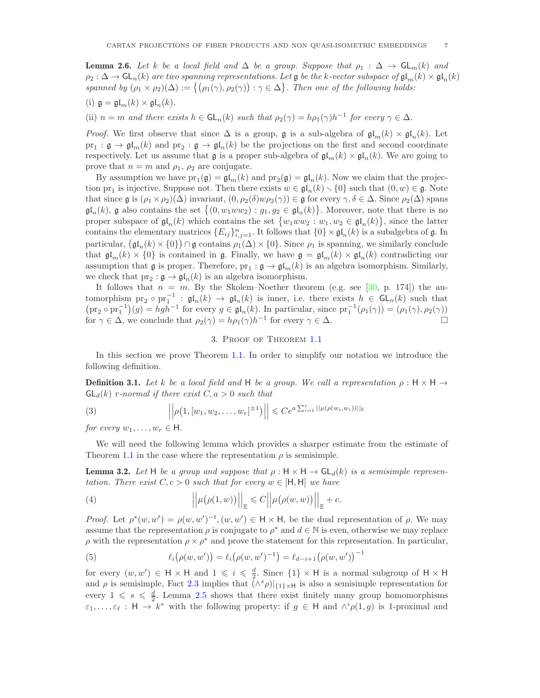<span id="page-6-3"></span>**Lemma 2.6.** Let k be a local field and  $\Delta$  be a group. Suppose that  $\rho_1 : \Delta \to \mathsf{GL}_m(k)$  and  $\rho_2 : \Delta \to \mathsf{GL}_n(k)$  are two spanning representations. Let  $\mathfrak{g}$  be the k-vector subspace of  $\mathfrak{gl}_n(k) \times \mathfrak{gl}_n(k)$ *spanned by*  $(\rho_1 \times \rho_2)(\Delta) := \{(\rho_1(\gamma), \rho_2(\gamma)) : \gamma \in \Delta\}$ . Then one of the following holds:

(i)  $\mathfrak{g} = \mathfrak{gl}_m(k) \times \mathfrak{gl}_n(k)$ .

(ii)  $n = m$  *and there exists*  $h \in GL_n(k)$  *such that*  $\rho_2(\gamma) = h\rho_1(\gamma)h^{-1}$  for every  $\gamma \in \Delta$ *.* 

*Proof.* We first observe that since  $\Delta$  is a group, **g** is a sub-algebra of  $\mathfrak{gl}_m(k) \times \mathfrak{gl}_n(k)$ . Let  $pr_1: \mathfrak{g} \to \mathfrak{gl}_m(k)$  and  $pr_2: \mathfrak{g} \to \mathfrak{gl}_n(k)$  be the projections on the first and second coordinate respectively. Let us assume that  $\mathfrak g$  is a proper sub-algebra of  $\mathfrak{gl}_m(k) \times \mathfrak{gl}_n(k)$ . We are going to prove that  $n = m$  and  $\rho_1$ ,  $\rho_2$  are conjugate.

By assumption we have  $pr_1(\mathfrak{g}) = \mathfrak{gl}_m(k)$  and  $pr_2(\mathfrak{g}) = \mathfrak{gl}_n(k)$ . Now we claim that the projection  $\text{pr}_1$  is injective. Suppose not. Then there exists  $w \in \mathfrak{gl}_n(k) \setminus \{0\}$  such that  $(0, w) \in \mathfrak{g}$ . Note that since  $\mathfrak g$  is  $(\rho_1 \times \rho_2)(\Delta)$  invariant,  $(0, \rho_2(\delta)w\rho_2(\gamma)) \in \mathfrak g$  for every  $\gamma, \delta \in \Delta$ . Since  $\rho_2(\Delta)$  spans  $\mathfrak{gl}_n(k)$ , g also contains the set  $\{(0, w_1ww_2) : g_1, g_2 \in \mathfrak{gl}_n(k)\}\.$  Moreover, note that there is no proper subspace of  $\mathfrak{gl}_n(k)$  which contains the set  $\{w_1ww_2:w_1, w_2\in \mathfrak{gl}_n(k)\}\$ , since the latter contains the elementary matrices  ${E_{ij}}_{i,j=1}^n$ . It follows that  ${0} \times \mathfrak{gl}_n(k)$  is a subalgebra of  $\mathfrak{g}$ . In particular,  $(\mathfrak{gl}_n(k) \times \{0\}) \cap \mathfrak{g}$  contains  $\rho_1(\Delta) \times \{0\}$ . Since  $\rho_1$  is spanning, we similarly conclude that  $\mathfrak{gl}_m(k) \times \{0\}$  is contained in g. Finally, we have  $\mathfrak{g} = \mathfrak{gl}_m(k) \times \mathfrak{gl}_n(k)$  contradicting our assumption that  $\mathfrak g$  is proper. Therefore,  $\text{pr}_1 : \mathfrak g \to \mathfrak{gl}_m(k)$  is an algebra isomorphism. Similarly, we check that  $pr_2: \mathfrak{g} \to \mathfrak{gl}_n(k)$  is an algebra isomorphism.

It follows that  $n = m$ . By the Skolem–Noether theorem (e.g. see [\[30,](#page-29-15) p. 174]) the automorphism  $\text{pr}_2 \circ \text{pr}_1^{-1}$ :  $\mathfrak{gl}_n(k) \to \mathfrak{gl}_n(k)$  is inner, i.e. there exists  $h \in \mathsf{GL}_n(k)$  such that  $(\text{pr}_2 \circ \text{pr}_1^{-1})(g) = hgh^{-1}$  for every  $g \in \mathfrak{gl}_n(k)$ . In particular, since  $\text{pr}_1^{-1}(\rho_1(\gamma)) = (\rho_1(\gamma), \rho_2(\gamma))$ for  $\gamma \in \Delta$ , we conclude that  $\rho_2(\gamma) = h\rho_1(\gamma)h^{-1}$  for every  $\gamma \in \Delta$ .

## 3. Proof of Theorem [1.1](#page-1-0)

<span id="page-6-0"></span>In this section we prove Theorem [1.1.](#page-1-0) In order to simplify our notation we introduce the following definition.

**Definition 3.1.** Let k be a local field and H be a group. We call a representation  $\rho : H \times H \rightarrow$  $GL_d(k)$  *r-normal if there exist*  $C, a > 0$  *such that* 

(3) 
$$
\left| \left| \rho(1, [w_1, w_2, \dots, w_r]^{\pm 1}) \right| \right| \leq Ce^{a \sum_{i=1}^r ||\mu(\rho(w_i, w_i))||_{\mathbb{E}}}
$$

*for every*  $w_1, \ldots, w_r \in \mathsf{H}$ .

We will need the following lemma which provides a sharper estimate from the estimate of Theorem [1.1](#page-1-0) in the case where the representation  $\rho$  is semisimple.

<span id="page-6-4"></span>**Lemma 3.2.** Let H be a group and suppose that  $\rho : H \times H \rightarrow GL_d(k)$  is a semisimple represen*tation. There exist*  $C, c > 0$  *such that for every*  $w \in [H, H]$  *we have* 

<span id="page-6-2"></span>(4) 
$$
\left\| \mu(\rho(1,w)) \right\|_{\mathbb{E}} \leq C \left\| \mu(\rho(w,w)) \right\|_{\mathbb{E}} + c.
$$

*Proof.* Let  $\rho^*(w, w') = \rho(w, w')^{-t}$ ,  $(w, w') \in H \times H$ , be the dual representation of  $\rho$ . We may assume that the representation  $\rho$  is conjugate to  $\rho^*$  and  $d \in \mathbb{N}$  is even, otherwise we may replace  $\rho$  with the representation  $\rho \times \rho^*$  and prove the statement for this representation. In particular,

<span id="page-6-1"></span>(5) 
$$
\ell_i(\rho(w, w')) = \ell_i(\rho(w, w')^{-1}) = \ell_{d-i+1}(\rho(w, w'))^{-1}
$$

for every  $(w, w') \in H \times H$  and  $1 \leqslant i \leqslant \frac{d}{2}$ . Since  $\{1\} \times H$  is a normal subgroup of  $H \times H$ and  $\rho$  is semisimple, Fact [2.3](#page-4-1) implies that  $(\wedge^s \rho)|_{\{1\} \times H}$  is also a semisimple representation for every  $1 \leq s \leq \frac{d}{2}$ . Lemma [2.5](#page-5-1) shows that there exist finitely many group homomorphisms  $\varepsilon_1,\ldots,\varepsilon_\ell$ :  $\mathsf{H} \to k^*$  with the following property: if  $g \in \mathsf{H}$  and  $\wedge^i \rho(1,g)$  is 1-proximal and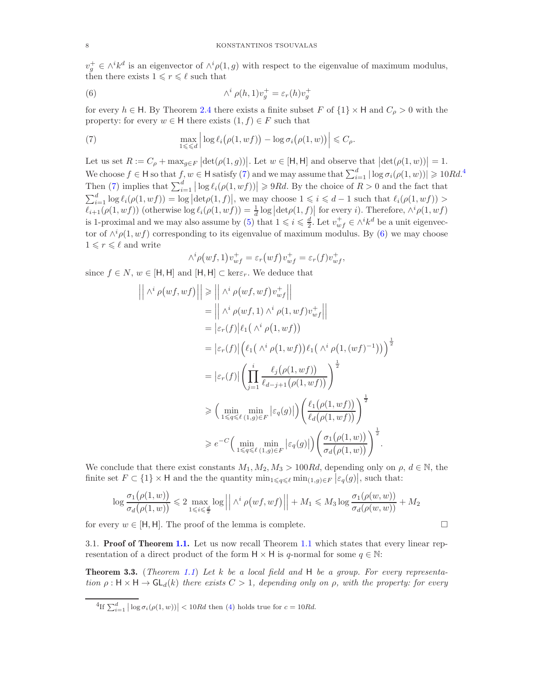$v_g^+ \in \wedge^i k^d$  is an eigenvector of  $\wedge^i \rho(1,g)$  with respect to the eigenvalue of maximum modulus, then there exists  $1 \leq r \leq \ell$  such that

<span id="page-7-2"></span>(6) 
$$
\wedge^i \rho(h,1)v_g^+ = \varepsilon_r(h)v_g^+
$$

for every  $h \in H$ . By Theorem [2.4](#page-5-2) there exists a finite subset F of  $\{1\} \times H$  and  $C_{\rho} > 0$  with the property: for every  $w \in H$  there exists  $(1, f) \in F$  such that

<span id="page-7-0"></span>(7) 
$$
\max_{1 \leq \ell \leq d} \left| \log \ell_i(\rho(1, wf)) - \log \sigma_i(\rho(1,w)) \right| \leq C_\rho.
$$

Let us set  $R := C_\rho + \max_{g \in F} |\det(\rho(1,g))|$ . Let  $w \in [\mathsf{H},\mathsf{H}]$  and observe that  $|\det(\rho(1,w))| = 1$ . We choose  $f \in H$  so that  $f, w \in H$  satisfy [\(7\)](#page-7-0) and we may assume that  $\sum_{i=1}^{d} |\log \sigma_i(\rho(1, w))| \geq 10Rd$ .<sup>[4](#page-7-1)</sup> Then [\(7\)](#page-7-0) implies that  $\sum_{i=1}^d |\log \ell_i(\rho(1, wf))| \geq 9Rd$ . By the choice of  $R > 0$  and the fact that  $\sum_{i=1}^d \log \ell_i(\rho(1, wf)) = \log |\det(\rho(1, f)|)$ , we may choose  $1 \leq i \leq d-1$  such that  $\ell_i(\rho(1, wf)) >$  $\ell_{i+1}(\rho(1, wf))$  (otherwise  $\log \ell_i(\rho(1, wf)) = \frac{1}{d} \log |\det(\rho(1, f))|$  for every i). Therefore,  $\wedge^i \rho(1, wf)$ is 1-proximal and we may also assume by [\(5\)](#page-6-1) that  $1 \leq i \leq \frac{d}{2}$ . Let  $v_{wf}^+ \in \wedge^i k^d$  be a unit eigenvector of  $\wedge^i \rho(1, wf)$  corresponding to its eigenvalue of maximum modulus. By [\(6\)](#page-7-2) we may choose  $1 \leqslant r \leqslant \ell$  and write

$$
\wedge^i \rho(wf,1)v_{wf}^+ = \varepsilon_r(wf)v_{wf}^+ = \varepsilon_r(f)v_{wf}^+,
$$

since  $f \in N$ ,  $w \in [H, H]$  and  $[H, H] \subset \text{ker} \varepsilon_r$ . We deduce that

$$
\left| \begin{array}{l} \left| \begin{array}{l} \wedge^{i} \rho(wf, wf) \end{array} \right| \right| \geq \left| \left| \begin{array}{l} \wedge^{i} \rho(wf, wf)v_{wf}^{+} \end{array} \right| \right|
$$
  
\n
$$
= \left| \left| \begin{array}{l} \wedge^{i} \rho(wf,1) \land^{i} \rho(1, wf)v_{wf}^{+} \end{array} \right| \right|
$$
  
\n
$$
= \left| \varepsilon_{r}(f) \right| \ell_{1} \left( \begin{array}{l} \wedge^{i} \rho(1, wf) \end{array} \right)
$$
  
\n
$$
= \left| \varepsilon_{r}(f) \right| \left( \ell_{1} \left( \begin{array}{l} \wedge^{i} \rho(1, wf) \end{array} \right) \ell_{1} \left( \begin{array}{l} \wedge^{i} \rho(1,(wf)^{-1}) \end{array} \right) \right)^{\frac{1}{2}}
$$
  
\n
$$
= \left| \varepsilon_{r}(f) \right| \left( \prod_{j=1}^{i} \frac{\ell_{j}(\rho(1, wf))}{\ell_{d-j+1}(\rho(1, wf))} \right)^{\frac{1}{2}}
$$
  
\n
$$
\geq \left( \min_{1 \leq q \leq \ell} \min_{(1,g) \in F} \left| \varepsilon_{q}(g) \right| \right) \left( \frac{\ell_{1}(\rho(1, wf))}{\ell_{d}(\rho(1, wf))} \right)^{\frac{1}{2}}
$$
  
\n
$$
\geq e^{-C} \left( \min_{1 \leq q \leq \ell} \min_{(1,g) \in F} \left| \varepsilon_{q}(g) \right| \right) \left( \frac{\sigma_{1}(\rho(1,w))}{\sigma_{d}(\rho(1,w))} \right)^{\frac{1}{2}}.
$$

We conclude that there exist constants  $M_1, M_2, M_3 > 100Rd$ , depending only on  $\rho, d \in \mathbb{N}$ , the finite set  $F \subset \{1\} \times H$  and the the quantity  $\min_{1 \leq q \leq \ell} \min_{(1,q) \in F} |\varepsilon_q(g)|$ , such that:

$$
\log \frac{\sigma_1(\rho(1,w))}{\sigma_d(\rho(1,w))} \leq 2 \max_{1 \leq i \leq \frac{d}{2}} \log \left| \left| \wedge^i \rho(wf, wf) \right| \right| + M_1 \leq M_3 \log \frac{\sigma_1(\rho(w,w))}{\sigma_d(\rho(w,w))} + M_2
$$

for every  $w \in [H, H]$ . The proof of the lemma is complete.

3.1. **Proof of Theorem [1.1.](#page-1-0)** Let us now recall Theorem [1.1](#page-1-0) which states that every linear representation of a direct product of the form  $H \times H$  is q-normal for some  $q \in \mathbb{N}$ :

<span id="page-7-3"></span>Theorem 3.3. (*Theorem [1.1](#page-1-0)*) *Let* k *be a local field and* H *be a group. For every representation*  $\rho : \mathsf{H} \times \mathsf{H} \to \mathsf{GL}_d(k)$  *there exists*  $C > 1$ *, depending only on*  $\rho$ *, with the property: for every* 

$$
\lnot
$$

<span id="page-7-1"></span><sup>&</sup>lt;sup>4</sup>If  $\sum_{i=1}^{d} |\log \sigma_i(\rho(1, w))| < 10Rd$  then [\(4\)](#page-6-2) holds true for  $c = 10Rd$ .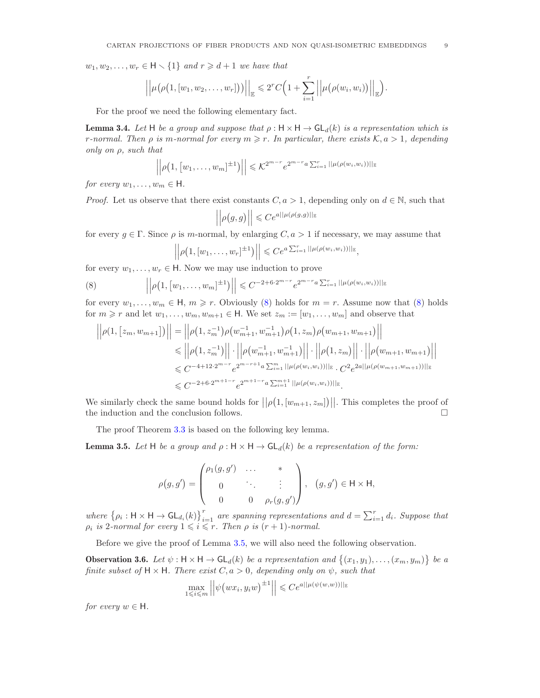$w_1, w_2, \ldots, w_r \in \mathsf{H} \setminus \{1\}$  and  $r \geq d+1$  we have that

$$
\left|\left|\mu\big(\rho\big(1,[w_1,w_2,\ldots,w_r]\big)\big)\right|\right|_{\mathbb{E}}\leqslant 2^rC\Big(1+\sum_{i=1}^r\left|\left|\mu\big(\rho(w_i,w_i)\big)\right|\right|_{\mathbb{E}}\Big).
$$

For the proof we need the following elementary fact.

<span id="page-8-3"></span>**Lemma 3.4.** Let H be a group and suppose that  $\rho : \mathsf{H} \times \mathsf{H} \to \mathsf{GL}_d(k)$  is a representation which is *r*-normal. Then  $\rho$  is m-normal for every  $m \geq r$ . In particular, there exists  $K, a > 1$ , depending *only on* ρ*, such that*

$$
\left| \left| \rho \left( 1, [w_1, \ldots, w_m]^{+1} \right) \right| \right| \leqslant \mathcal{K}^{2^{m-r}} e^{2^{m-r} a \sum_{i=1}^r ||\mu(\rho(w_i, w_i))||_{\mathbb{E}}}
$$

*for every*  $w_1, \ldots, w_m \in \mathsf{H}$ .

*Proof.* Let us observe that there exist constants  $C, a > 1$ , depending only on  $d \in \mathbb{N}$ , such that

$$
\left|\left|\rho\big(g,g\big)\right|\right|\leqslant Ce^{a||\mu\left(\rho\big(g,g\big)\right||_{\mathbb{E}}}
$$

for every  $q \in \Gamma$ . Since  $\rho$  is m-normal, by enlarging  $C, a > 1$  if necessary, we may assume that

<span id="page-8-0"></span>
$$
\left| \left| \rho \left( 1, [w_1, \ldots, w_r]^{1} \right) \right| \right| \leq Ce^{a \sum_{i=1}^r ||\mu(\rho(w_i, w_i))||_{\mathbb{E}}},
$$

for every  $w_1, \ldots, w_r \in \mathsf{H}$ . Now we may use induction to prove

(8) 
$$
\left\| \rho(1, [w_1, \ldots, w_m]^{\pm 1}) \right\| \leq C^{-2 + 6 \cdot 2^{m-r}} e^{2^{m-r} a \sum_{i=1}^r ||\mu(\rho(w_i, w_i))||_{\mathbb{E}}}
$$

for every  $w_1, \ldots, w_m \in \mathsf{H}, m \geq r$ . Obviously [\(8\)](#page-8-0) holds for  $m = r$ . Assume now that (8) holds for  $m \geq r$  and let  $w_1, \ldots, w_m, w_{m+1} \in \mathsf{H}$ . We set  $z_m := [w_1, \ldots, w_m]$  and observe that

$$
\left| \left| \rho(1, [z_m, w_{m+1}]) \right| \right| = \left| \left| \rho(1, z_m^{-1}) \rho(w_{m+1}^{-1}, w_{m+1}^{-1}) \rho(1, z_m) \rho(w_{m+1}, w_{m+1}) \right| \right|
$$
  
\n
$$
\leq \left| \left| \rho(1, z_m^{-1}) \right| \right| \cdot \left| \left| \rho(w_{m+1}^{-1}, w_{m+1}^{-1}) \right| \right| \cdot \left| \left| \rho(1, z_m) \right| \right| \cdot \left| \left| \rho(w_{m+1}, w_{m+1}) \right| \right|
$$
  
\n
$$
\leq C^{-4+12 \cdot 2^{m-r}} e^{2^{m-r+1} a \sum_{i=1}^m ||\mu(\rho(w_i, w_i))||_{\mathbb{E}} \cdot C^2 e^{2a ||\mu(\rho(w_{m+1}, w_{m+1}))||_{\mathbb{E}}}
$$
  
\n
$$
\leq C^{-2+6 \cdot 2^{m+1-r}} e^{2^{m+1-r} a \sum_{i=1}^{m+1} ||\mu(\rho(w_i, w_i))||_{\mathbb{E}}}.
$$

We similarly check the same bound holds for  $||\rho(1,[w_{m+1}, z_m])||$ . This completes the proof of the induction and the conclusion follows.  $\Box$ 

The proof Theorem [3.3](#page-7-3) is based on the following key lemma.

<span id="page-8-1"></span>**Lemma 3.5.** Let H be a group and  $\rho : H \times H \rightarrow GL_d(k)$  be a representation of the form:

$$
\rho(g,g') = \begin{pmatrix} \rho_1(g,g') & \dots & * \\ 0 & \ddots & \vdots \\ 0 & 0 & \rho_r(g,g') \end{pmatrix}, \quad (g,g') \in \mathsf{H} \times \mathsf{H},
$$

where  $\{\rho_i : \mathsf{H} \times \mathsf{H} \to \mathsf{GL}_{d_i}(k)\}_{i=1}^r$  are spanning representations and  $d = \sum_{i=1}^r d_i$ . Suppose that  $\rho_i$  *is* 2*-normal for every*  $1 \leq i \leq r$ *. Then*  $\rho$  *is*  $(r + 1)$ *-normal.* 

Before we give the proof of Lemma [3.5,](#page-8-1) we will also need the following observation.

<span id="page-8-2"></span>**Observation 3.6.** Let  $\psi$ :  $H \times H \rightarrow GL_d(k)$  *be a representation and*  $\{(x_1, y_1), \ldots, (x_m, y_m)\}\$  *be a finite subset of*  $H \times H$ *. There exist*  $C, a > 0$ *, depending only on*  $\psi$ *, such that* 

$$
\max_{1 \leqslant i \leqslant m} \left| \left| \psi \big( w x_i, y_i w \big)^{\pm 1} \right| \right| \leqslant C e^{a ||\mu(\psi(w, w))||_{\mathbb{E}}}
$$

*for every*  $w \in H$ *.*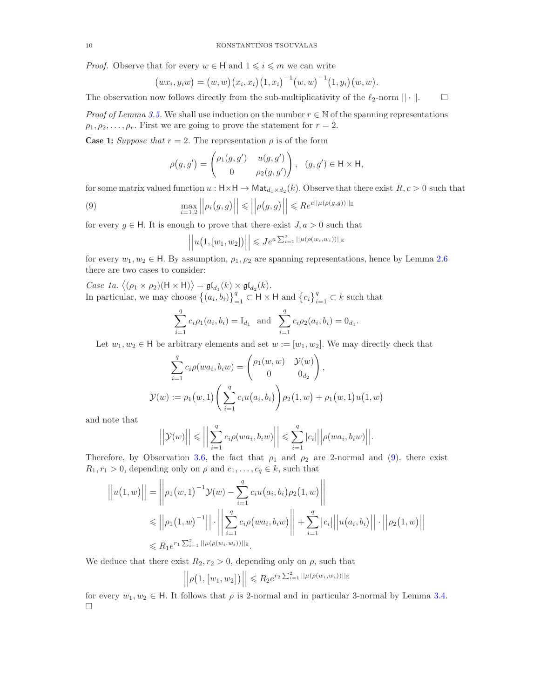*Proof.* Observe that for every  $w \in H$  and  $1 \leq i \leq m$  we can write

$$
(wx_i, y_iw) = (w, w) (x_i, x_i) (1, x_i)^{-1} (w, w)^{-1} (1, y_i) (w, w).
$$

The observation now follows directly from the sub-multiplicativity of the  $\ell_2$ -norm  $||\cdot||$ .

*Proof of Lemma [3.5.](#page-8-1)* We shall use induction on the number  $r \in \mathbb{N}$  of the spanning representations  $\rho_1, \rho_2, \ldots, \rho_r$ . First we are going to prove the statement for  $r = 2$ .

**Case 1:** *Suppose that*  $r = 2$ . The representation  $\rho$  is of the form

$$
\rho(g,g') = \begin{pmatrix} \rho_1(g,g') & u(g,g') \\ 0 & \rho_2(g,g') \end{pmatrix}, \quad (g,g') \in \mathsf{H} \times \mathsf{H},
$$

for some matrix valued function  $u : H \times H \to Mat_{d_1 \times d_2}(k)$ . Observe that there exist  $R, c > 0$  such that

(9) 
$$
\max_{i=1,2} ||\rho_i(g,g)|| \leq ||\rho(g,g)|| \leq Re^{c||\mu(\rho(g,g))||g}
$$

for every  $g \in H$ . It is enough to prove that there exist  $J, a > 0$  such that

<span id="page-9-0"></span>
$$
||u(1,[w_1,w_2])|| \leq Je^{a\sum_{i=1}^{2}||\mu(\rho(w_i,w_i))||_{\mathbb{E}}}
$$

for every  $w_1, w_2 \in \mathsf{H}$ . By assumption,  $\rho_1, \rho_2$  are spanning representations, hence by Lemma [2.6](#page-6-3) there are two cases to consider:

*Case 1a.*  $\langle (\rho_1 \times \rho_2)(\mathsf{H} \times \mathsf{H}) \rangle = \mathfrak{gl}_{d_1}(k) \times \mathfrak{gl}_{d_2}(k)$ . In particular, we may choose  $\{(a_i, b_i)\}_{i=1}^q \subset H \times H$  and  $\{c_i\}_{i=1}^q \subset k$  such that

$$
\sum_{i=1}^{q} c_i \rho_1(a_i, b_i) = I_{d_1} \text{ and } \sum_{i=1}^{q} c_i \rho_2(a_i, b_i) = 0_{d_1}.
$$

Let  $w_1, w_2 \in H$  be arbitrary elements and set  $w := [w_1, w_2]$ . We may directly check that

$$
\sum_{i=1}^{q} c_i \rho(wa_i, b_i w) = \begin{pmatrix} \rho_1(w, w) & \mathcal{Y}(w) \\ 0 & 0_{d_2} \end{pmatrix},
$$
  

$$
\mathcal{Y}(w) := \rho_1(w, 1) \left( \sum_{i=1}^{q} c_i u(a_i, b_i) \right) \rho_2(1, w) + \rho_1(w, 1) u(1, w)
$$

and note that

$$
\left|\left|\mathcal{Y}(w)\right|\right| \leq \left|\left|\sum_{i=1}^q c_i \rho(wa_i, b_i w)\right|\right| \leq \sum_{i=1}^q |c_i| \left|\left|\rho(wa_i, b_i w)\right|\right|.
$$

Therefore, by Observation [3.6,](#page-8-2) the fact that  $\rho_1$  and  $\rho_2$  are 2-normal and [\(9\)](#page-9-0), there exist  $R_1, r_1 > 0$ , depending only on  $\rho$  and  $c_1, \ldots, c_q \in k$ , such that

$$
\left| |u(1, w)| \right| = \left| \left| \rho_1(w, 1)^{-1} \mathcal{Y}(w) - \sum_{i=1}^q c_i u(a_i, b_i) \rho_2(1, w) \right| \right|
$$
  
\n
$$
\leq \left| \left| \rho_1(1, w)^{-1} \right| \right| \cdot \left| \left| \sum_{i=1}^q c_i \rho(wa_i, b_i w) \right| \right| + \sum_{i=1}^q |c_i| \left| |u(a_i, b_i) \right| \right| \cdot \left| \left| \rho_2(1, w) \right| \right|
$$
  
\n
$$
\leq R_1 e^{r_1 \sum_{i=1}^2 ||\mu(\rho(w_i, w_i))||_{\mathbb{E}}}. \right|
$$

We deduce that there exist  $R_2, r_2 > 0$ , depending only on  $\rho$ , such that

$$
\left| \left| \rho \big( 1, \big[ w_1, w_2 \big] \big) \right| \right| \leq R_2 e^{r_2 \sum_{i=1}^2 ||\mu(\rho(w_i, w_i))||_{\mathbb{E}}}
$$

for every  $w_1, w_2 \in \mathsf{H}$ . It follows that  $\rho$  is 2-normal and in particular 3-normal by Lemma [3.4.](#page-8-3)  $\Box$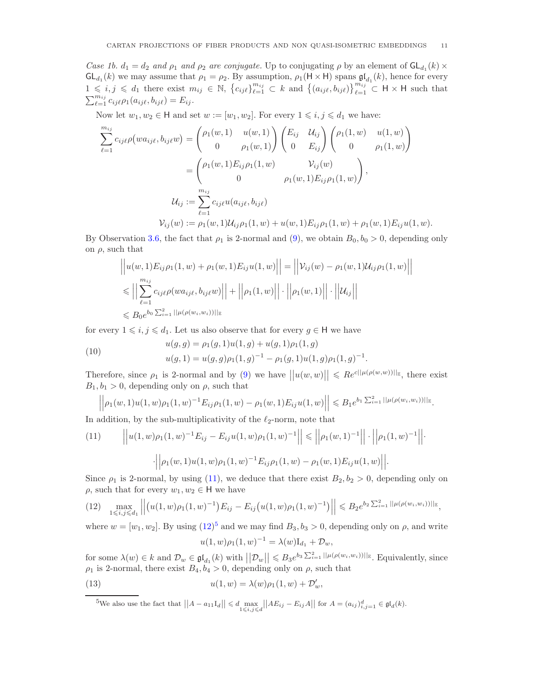*Case 1b.*  $d_1 = d_2$  *and*  $\rho_1$  *and*  $\rho_2$  *are conjugate.* Up to conjugating  $\rho$  by an element of  $GL_{d_1}(k) \times$  $GL_{d_1}(k)$  we may assume that  $\rho_1 = \rho_2$ . By assumption,  $\rho_1(H \times H)$  spans  $\mathfrak{gl}_{d_1}(k)$ , hence for every  $1 \leq i,j \leq d_1$  there exist  $m_{ij} \in \mathbb{N}$ ,  $\{c_{ij\ell}\}_{\ell=1}^{m_{ij}} \subset k$  and  $\{(a_{ij\ell}, b_{ij\ell})\}_{\ell=1}^{m_{ij}} \subset \mathsf{H} \times \mathsf{H}$  such that  $\sum_{\ell=1}^{m_{ij}} c_{ij\ell} \rho_1(a_{ij\ell}, b_{ij\ell}) = E_{ij}.$ 

Now let  $w_1, w_2 \in \mathsf{H}$  and set  $w := [w_1, w_2]$ . For every  $1 \leq i, j \leq d_1$  we have:

$$
\sum_{\ell=1}^{m_{ij}} c_{ij\ell} \rho(wa_{ij\ell}, b_{ij\ell}w) = \begin{pmatrix} \rho_1(w, 1) & u(w, 1) \\ 0 & \rho_1(w, 1) \end{pmatrix} \begin{pmatrix} E_{ij} & \mathcal{U}_{ij} \\ 0 & E_{ij} \end{pmatrix} \begin{pmatrix} \rho_1(1, w) & u(1, w) \\ 0 & \rho_1(1, w) \end{pmatrix}
$$

$$
= \begin{pmatrix} \rho_1(w, 1) E_{ij} \rho_1(1, w) & \mathcal{V}_{ij}(w) \\ 0 & \rho_1(w, 1) E_{ij} \rho_1(1, w) \end{pmatrix},
$$

$$
\mathcal{U}_{ij} := \sum_{\ell=1}^{m_{ij}} c_{ij\ell} u(a_{ij\ell}, b_{ij\ell})
$$

$$
\mathcal{V}_{ij}(w) := \rho_1(w, 1) \mathcal{U}_{ij} \rho_1(1, w) + u(w, 1) E_{ij} \rho_1(1, w) + \rho_1(w, 1) E_{ij} u(1, w).
$$

By Observation [3.6,](#page-8-2) the fact that  $\rho_1$  is 2-normal and [\(9\)](#page-9-0), we obtain  $B_0, b_0 > 0$ , depending only on  $\rho$ , such that

$$
\left| \left| u(w,1) E_{ij} \rho_1(1,w) + \rho_1(w,1) E_{ij} u(1,w) \right| \right| = \left| \left| \mathcal{V}_{ij}(w) - \rho_1(w,1) \mathcal{U}_{ij} \rho_1(1,w) \right| \right|
$$
  
\n
$$
\leq \left| \left| \sum_{\ell=1}^{m_{ij}} c_{ij\ell} \rho(w a_{ij\ell}, b_{ij\ell} w) \right| \right| + \left| \left| \rho_1(1,w) \right| \right| \cdot \left| \left| \rho_1(w,1) \right| \right| \cdot \left| \left| \mathcal{U}_{ij} \right| \right|
$$
  
\n
$$
\leq B_0 e^{b_0 \sum_{i=1}^2 ||\mu(\rho(w_i, w_i))||_{\mathbb{E}}}
$$

for every  $1 \leq i, j \leq d_1$ . Let us also observe that for every  $g \in H$  we have

(10) 
$$
u(g, g) = \rho_1(g, 1)u(1, g) + u(g, 1)\rho_1(1, g)
$$

$$
u(g, 1) = u(g, g)\rho_1(1, g)^{-1} - \rho_1(g, 1)u(1, g)\rho_1(1, g)^{-1}.
$$

Therefore, since  $\rho_1$  is 2-normal and by [\(9\)](#page-9-0) we have  $||u(w,w)|| \leqslant Re^{c||\mu(\rho(w,w))||_{\mathbb{E}}}$ , there exist  $B_1, b_1 > 0$ , depending only on  $\rho$ , such that

$$
\left| \left| \rho_1(w,1) u(1,w) \rho_1(1,w)^{-1} E_{ij} \rho_1(1,w) - \rho_1(w,1) E_{ij} u(1,w) \right| \right| \leq B_1 e^{b_1 \sum_{i=1}^2 ||\mu(\rho(w_i,w_i))||_{\mathbb{E}}}.
$$

In addition, by the sub-multiplicativity of the  $\ell_2$ -norm, note that

<span id="page-10-0"></span>(11) 
$$
\left| \left| u(1,w)\rho_1(1,w)^{-1}E_{ij} - E_{ij}u(1,w)\rho_1(1,w)^{-1} \right| \right| \leq \left| \left| \rho_1(w,1)^{-1} \right| \right| \cdot \left| \left| \rho_1(1,w)^{-1} \right| \right| \cdot \left| \left| \rho_1(1,w)^{-1} \right| \right| \cdot \left| \left| \rho_1(w,1)u(1,w)\rho_1(1,w)^{-1}E_{ij}\rho_1(1,w) - \rho_1(w,1)E_{ij}u(1,w) \right| \right|.
$$

Since  $\rho_1$  is 2-normal, by using [\(11\)](#page-10-0), we deduce that there exist  $B_2, b_2 > 0$ , depending only on  $\rho$ , such that for every  $w_1, w_2 \in \mathsf{H}$  we have

<span id="page-10-1"></span>
$$
(12) \quad \max_{1 \leq i,j \leq d_1} ||(u(1,w)\rho_1(1,w)^{-1})E_{ij} - E_{ij}(u(1,w)\rho_1(1,w)^{-1})|| \leq B_2 e^{b_2 \sum_{i=1}^2 ||\mu(\rho(w_i,w_i))||_{\mathbb{E}}},
$$

where  $w = [w_1, w_2]$ . By using  $(12)^5$  $(12)^5$  and we may find  $B_3, b_3 > 0$ , depending only on  $\rho$ , and write  $u(1, w)\rho_1(1, w)^{-1} = \lambda(w)I_{d_1} + \mathcal{D}_w,$ 

for some  $\lambda(w) \in k$  and  $\mathcal{D}_w \in \mathfrak{gl}_{d_1}(k)$  with  $||\mathcal{D}_w|| \leqslant B_3 e^{b_3 \sum_{i=1}^2 ||\mu(\rho(w_i, w_i))||_{\mathbb{E}}}$ . Equivalently, since  $\rho_1$  is 2-normal, there exist  $B_4, b_4 > 0$ , depending only on  $\rho$ , such that

(13) 
$$
u(1, w) = \lambda(w)\rho_1(1, w) + \mathcal{D}'_w,
$$

<span id="page-10-3"></span><span id="page-10-2"></span> ${}^{5}\text{We also use the fact that }||A-a_{11}\text{I}_d|| \leq d \max_{1 \leq i,j \leq d} ||AE_{ij} - E_{ij}A|| \text{ for } A = (a_{ij})_{i,j=1}^d \in \mathfrak{gl}_d(k).$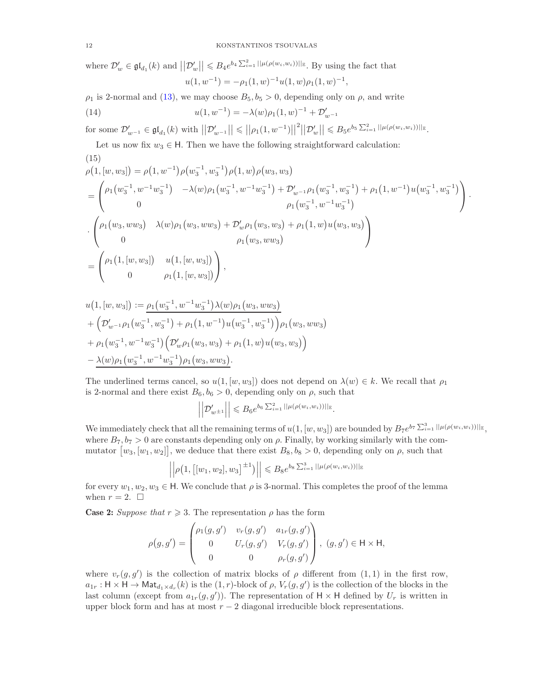where  $\mathcal{D}'_w \in \mathfrak{gl}_{d_1}(k)$  and  $||\mathcal{D}'_w|| \leq B_4 e^{b_4 \sum_{i=1}^2 ||\mu(\rho(w_i, w_i))||_{\mathbb{E}}}$ . By using the fact that

$$
u(1, w^{-1}) = -\rho_1(1, w)^{-1}u(1, w)\rho_1(1, w)^{-1},
$$

 $\rho_1$  is 2-normal and [\(13\)](#page-10-3), we may choose  $B_5, b_5 > 0$ , depending only on  $\rho$ , and write

(14) 
$$
u(1, w^{-1}) = -\lambda(w)\rho_1(1, w)^{-1} + \mathcal{D}'_{w^{-1}}
$$

 $\text{for some } \mathcal{D}'_{w^{-1}} \in \mathfrak{gl}_{d_1}(k) \text{ with } \left| \left| \mathcal{D}'_{w^{-1}} \right| \right| \leqslant \left| \left| \rho_1(1,w^{-1}) \right| \right|^2 \left| \left| \mathcal{D}'_{w} \right| \right| \leqslant B_5 e^{b_5 \sum_{i=1}^2 ||\mu(\rho(w_i,w_i))||_{\mathbb{E}}}.$ 

Let us now fix  $w_3 \in H$ . Then we have the following straightforward calculation: (15)

$$
\rho(1,[w,w_3]) = \rho(1,w^{-1})\rho(w_3^{-1},w_3^{-1})\rho(1,w)\rho(w_3,w_3)
$$
  
\n
$$
= \begin{pmatrix} \rho_1(w_3^{-1},w^{-1}w_3^{-1}) & -\lambda(w)\rho_1(w_3^{-1},w^{-1}w_3^{-1}) + \mathcal{D}_{w^{-1}}'\rho_1(w_3^{-1},w_3^{-1}) + \rho_1(1,w^{-1})u(w_3^{-1},w_3^{-1}) \\ 0 & \rho_1(w_3^{-1},w^{-1}w_3^{-1}) \end{pmatrix}.
$$
  
\n
$$
\cdot \begin{pmatrix} \rho_1(w_3,ww_3) & \lambda(w)\rho_1(w_3,ww_3) + \mathcal{D}_{w}'\rho_1(w_3,w_3) + \rho_1(1,w)u(w_3,w_3) \\ 0 & \rho_1(w_3,ww_3) \end{pmatrix}
$$
  
\n
$$
= \begin{pmatrix} \rho_1(1,[w,w_3]) & u(1,[w,w_3]) \\ 0 & \rho_1(1,[w,w_3]) \end{pmatrix},
$$

<span id="page-11-0"></span>
$$
u(1,[w,w_3]):=\underline{\rho_1(w_3^{-1},w^{-1}w_3^{-1})\lambda(w)\rho_1(w_3,ww_3)}+\left(\mathcal{D}'_{w^{-1}}\rho_1(w_3^{-1},w_3^{-1})+\rho_1(1,w^{-1})u(w_3^{-1},w_3^{-1})\right)\rho_1(w_3,ww_3)+\rho_1(w_3^{-1},w^{-1}w_3^{-1})\left(\mathcal{D}'_{w}\rho_1(w_3,w_3)+\rho_1(1,w)u(w_3,w_3)\right)-\lambda(w)\rho_1(w_3^{-1},w^{-1}w_3^{-1})\rho_1(w_3,ww_3).
$$

The underlined terms cancel, so  $u(1,[w,w_3])$  does not depend on  $\lambda(w) \in k$ . We recall that  $\rho_1$ is 2-normal and there exist  $B_6$ ,  $b_6 > 0$ , depending only on  $\rho$ , such that

$$
\left\| \mathcal{D}_{w^{\pm 1}}' \right\| \leq B_6 e^{b_6 \sum_{i=1}^2 ||\mu(\rho(w_i, w_i))||_{\mathbb{E}}}.
$$

We immediately check that all the remaining terms of  $u(1,[w,w_3])$  are bounded by  $B_7e^{b_7\sum_{i=1}^3||\mu(\rho(w_i,w_i))||_{\mathbb{E}}},$ where  $B_7$ ,  $b_7 > 0$  are constants depending only on  $\rho$ . Finally, by working similarly with the commutator  $[w_3, [w_1, w_2]]$ , we deduce that there exist  $B_8, b_8 > 0$ , depending only on  $\rho$ , such that

$$
\left| \left| \rho \left( 1, \left[ [w_1, w_2], w_3 \right]^{\pm 1} \right) \right| \right| \leq B_8 e^{b_8 \sum_{i=1}^3 ||\mu(\rho(w_i, w_i))||_{\mathbb{E}}}
$$

for every  $w_1, w_2, w_3 \in \mathsf{H}$ . We conclude that  $\rho$  is 3-normal. This completes the proof of the lemma when  $r = 2$ .  $\Box$ 

**Case 2:** *Suppose that*  $r \geq 3$ . The representation  $\rho$  has the form

$$
\rho(g,g') = \begin{pmatrix} \rho_1(g,g') & v_r(g,g') & a_{1r}(g,g') \\ 0 & U_r(g,g') & V_r(g,g') \\ 0 & 0 & \rho_r(g,g') \end{pmatrix}, (g,g') \in \mathsf{H} \times \mathsf{H},
$$

where  $v_r(g, g')$  is the collection of matrix blocks of  $\rho$  different from  $(1, 1)$  in the first row,  $a_{1r}: \mathsf{H} \times \mathsf{H} \to \mathsf{Mat}_{d_1 \times d_r}(k)$  is the  $(1,r)$ -block of  $\rho$ ,  $V_r(g, g')$  is the collection of the blocks in the last column (except from  $a_{1r}(g, g')$ ). The representation of  $H \times H$  defined by  $U_r$  is written in upper block form and has at most  $r - 2$  diagonal irreducible block representations.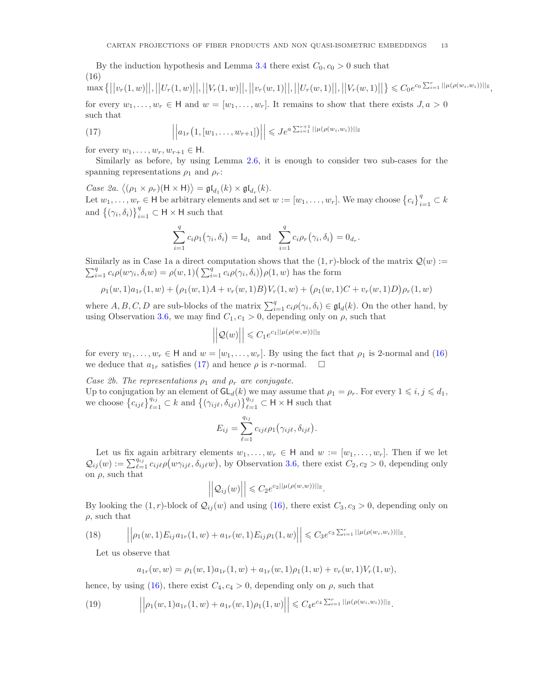By the induction hypothesis and Lemma [3.4](#page-8-3) there exist  $C_0$ ,  $c_0 > 0$  such that (16)  $\max\{\big|\big|v_r(1,w)\big|\big|,\big|\big|U_r(1,w)\big|\big|,\big|\big|V_r(1,w)\big|\big|,\big|\big|V_r(w,1)\big|\big|,\big|\big|U_r(w,1)\big|\big|,\big|\big|V_r(w,1)\big|\big|,\big|\big|V_r(w,1)\big|\big|\big|,\big|\big|V_r(w,1)\big|\big|\big|,\big|\big|V_r(w,1)\big|\big|\big|,\big|\big|V_r(w,1)\big|\big|\big|,\big|\big|V_r(w,1)\big|\big|\big|,\big|\big|V_r(w,1)\big|\big|\big|,\big|\big|V_r(w,1)\big|\big|\big|,\big|\big|V_r(w$ 

<span id="page-12-0"></span>for every  $w_1, \ldots, w_r \in H$  and  $w = [w_1, \ldots, w_r]$ . It remains to show that there exists  $J, a > 0$ such that

<span id="page-12-1"></span>(17) 
$$
\left| \left| a_{1r}(1,[w_1,\ldots,w_{r+1}]) \right| \right| \leqslant Je^{a\sum_{i=1}^{r+1} ||\mu(\rho(w_i,w_i))||_{\mathbb{E}}}
$$

for every  $w_1, \ldots, w_r, w_{r+1} \in \mathsf{H}$ .

Similarly as before, by using Lemma [2.6,](#page-6-3) it is enough to consider two sub-cases for the spanning representations  $\rho_1$  and  $\rho_r$ :

*Case 2a.*  $\langle (\rho_1 \times \rho_r)(\mathsf{H} \times \mathsf{H}) \rangle = \mathfrak{gl}_{d_1}(k) \times \mathfrak{gl}_{d_r}(k)$ . Let  $w_1, \ldots, w_r \in \mathsf{H}$  be arbitrary elements and set  $w := [w_1, \ldots, w_r]$ . We may choose  $\{c_i\}_{i=1}^q \subset k$ and  $\{(\gamma_i, \delta_i)\}_{i=1}^q \subset \mathsf{H} \times \mathsf{H}$  such that

$$
\sum_{i=1}^{q} c_i \rho_1(\gamma_i, \delta_i) = I_{d_1} \text{ and } \sum_{i=1}^{q} c_i \rho_r(\gamma_i, \delta_i) = 0_{d_r}.
$$

Similarly as in Case 1a a direct computation shows that the  $(1, r)$ -block of the matrix  $\mathcal{Q}(w) :=$  $\sum_{i=1}^q c_i \rho(w\gamma_i, \delta_i w) = \rho(w, 1) \left(\sum_{i=1}^q c_i \rho(\gamma_i, \delta_i)\right) \rho(1, w)$  has the form

$$
\rho_1(w,1)a_{1r}(1,w) + (\rho_1(w,1)A + v_r(w,1)B)V_r(1,w) + (\rho_1(w,1)C + v_r(w,1)D)\rho_r(1,w)
$$

where  $A, B, C, D$  are sub-blocks of the matrix  $\sum_{i=1}^{q} c_i \rho(\gamma_i, \delta_i) \in \mathfrak{gl}_d(k)$ . On the other hand, by using Observation [3.6,](#page-8-2) we may find  $C_1, c_1 > 0$ , depending only on  $\rho$ , such that

$$
\left|\left|\mathcal{Q}(w)\right|\right| \leqslant C_1 e^{c_1||\mu(\rho(w,w))||_{\mathbb{E}}}
$$

for every  $w_1, \ldots, w_r \in \mathsf{H}$  and  $w = [w_1, \ldots, w_r]$ . By using the fact that  $\rho_1$  is 2-normal and [\(16\)](#page-12-0) we deduce that  $a_{1r}$  satisfies [\(17\)](#page-12-1) and hence  $\rho$  is r-normal.  $\square$ 

*Case 2b. The representations*  $\rho_1$  *and*  $\rho_r$  *are conjugate.* 

Up to conjugation by an element of  $GL_d(k)$  we may assume that  $\rho_1 = \rho_r$ . For every  $1 \leq i, j \leq d_1$ , we choose  $\{c_{ij\ell}\}_{\ell=1}^{q_{ij}} \subset k$  and  $\{(\gamma_{ij\ell}, \delta_{ij\ell})\}_{\ell=1}^{q_{ij}} \subset H \times H$  such that

$$
E_{ij} = \sum_{\ell=1}^{q_{ij}} c_{ij\ell} \rho_1(\gamma_{ij\ell}, \delta_{ij\ell}).
$$

Let us fix again arbitrary elements  $w_1, \ldots, w_r \in \mathsf{H}$  and  $w := [w_1, \ldots, w_r]$ . Then if we let  $\mathcal{Q}_{ij}(w) := \sum_{\ell=1}^{q_{ij}} c_{ij\ell} \rho(w_{\gamma_{ij\ell}}, \delta_{ij\ell}w)$ , by Observation [3.6,](#page-8-2) there exist  $C_2, c_2 > 0$ , depending only on  $\rho$ , such that

$$
\left| \left| \mathcal{Q}_{ij}(w) \right| \right| \leqslant C_2 e^{c_2 ||\mu(\rho(w,w))||_{\mathbb{E}}}.
$$

By looking the  $(1, r)$ -block of  $\mathcal{Q}_{ij}(w)$  and using  $(16)$ , there exist  $C_3$ ,  $c_3 > 0$ , depending only on  $\rho$ , such that

(18) 
$$
\left\| \rho_1(w,1) E_{ij} a_{1r}(1,w) + a_{1r}(w,1) E_{ij} \rho_1(1,w) \right\| \leq C_3 e^{c_3 \sum_{i=1}^r ||\mu(\rho(w_i,w_i))||_{\mathbb{E}}}.
$$

Let us observe that

<span id="page-12-3"></span><span id="page-12-2"></span>
$$
a_{1r}(w, w) = \rho_1(w, 1)a_{1r}(1, w) + a_{1r}(w, 1)\rho_1(1, w) + v_r(w, 1)V_r(1, w),
$$

hence, by using [\(16\)](#page-12-0), there exist  $C_4$ ,  $c_4 > 0$ , depending only on  $\rho$ , such that

(19) 
$$
\left\|\rho_1(w,1)a_{1r}(1,w)+a_{1r}(w,1)\rho_1(1,w)\right\|\leqslant C_4e^{c_4\sum_{i=1}^r||\mu(\rho(w_i,w_i))||_{\mathbb{E}}}.
$$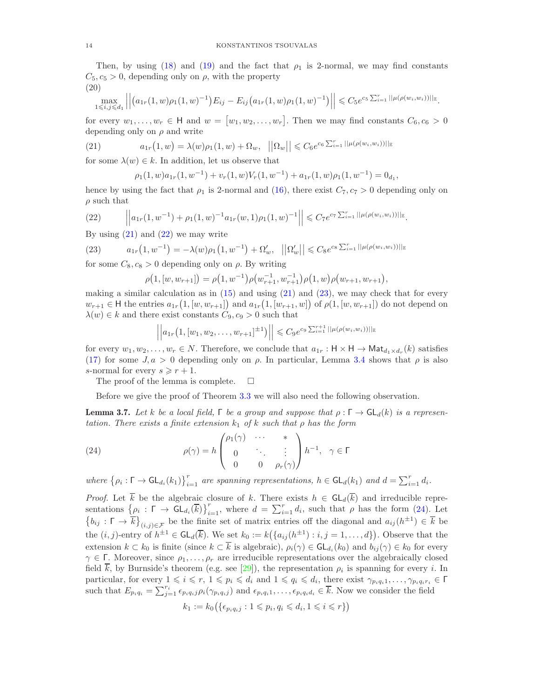Then, by using [\(18\)](#page-12-2) and [\(19\)](#page-12-3) and the fact that  $\rho_1$  is 2-normal, we may find constants  $C_5, c_5 > 0$ , depending only on  $\rho$ , with the property (20)

$$
\left|\max_{1\leq i,j\leq d_1}\left|\left|\left(a_{1r}(1,w)\rho_1(1,w)^{-1}\right)E_{ij}-E_{ij}\left(a_{1r}(1,w)\rho_1(1,w)^{-1}\right)\right|\right|\leq C_5e^{c_5\sum_{i=1}^r||\mu(\rho(w_i,w_i))||_{\mathbb{E}}}.
$$

for every  $w_1, \ldots, w_r \in \mathsf{H}$  and  $w = [w_1, w_2, \ldots, w_r]$ . Then we may find constants  $C_6, c_6 > 0$ depending only on  $\rho$  and write

(21) 
$$
a_{1r}(1, w) = \lambda(w)\rho_1(1, w) + \Omega_w, \quad ||\Omega_w|| \leq C_6 e^{c_6 \sum_{i=1}^r ||\mu(\rho(w_i, w_i))||_{\mathbb{E}}}
$$

for some  $\lambda(w) \in k$ . In addition, let us observe that

<span id="page-13-0"></span>
$$
\rho_1(1,w)a_{1r}(1,w^{-1}) + v_r(1,w)V_r(1,w^{-1}) + a_{1r}(1,w)\rho_1(1,w^{-1}) = 0_{d_1},
$$

hence by using the fact that  $\rho_1$  is 2-normal and [\(16\)](#page-12-0), there exist  $C_7$ ,  $c_7 > 0$  depending only on  $\rho$  such that

<span id="page-13-1"></span>(22) 
$$
\left\|a_{1r}(1,w^{-1})+\rho_1(1,w)^{-1}a_{1r}(w,1)\rho_1(1,w)^{-1}\right\|\leqslant C_7e^{c_7\sum_{i=1}^r||\mu(\rho(w_i,w_i))||_{\mathbb{E}}}.
$$

By using  $(21)$  and  $(22)$  we may write

(23) 
$$
a_{1r}(1, w^{-1}) = -\lambda(w)\rho_1(1, w^{-1}) + \Omega'_w, \quad ||\Omega'_w|| \leq C_8 e^{c_8 \sum_{i=1}^r ||\mu(\rho(w_i, w_i))||_{\mathbb{E}}}
$$

for some  $C_8$ ,  $c_8 > 0$  depending only on  $\rho$ . By writing

<span id="page-13-2"></span>
$$
\rho(1,[w,w_{r+1}]) = \rho(1,w^{-1})\rho(w_{r+1}^{-1},w_{r+1}^{-1})\rho(1,w)\rho(w_{r+1},w_{r+1}),
$$

making a similar calculation as in  $(15)$  and using  $(21)$  and  $(23)$ , we may check that for every  $w_{r+1} \in H$  the entries  $a_{1r}(1,[w,w_{r+1}])$  and  $a_{1r}(1,[w_{r+1},w])$  of  $\rho(1,[w,w_{r+1}])$  do not depend on  $\lambda(w) \in k$  and there exist constants  $C_9, c_9 > 0$  such that

$$
\left| \left| a_{1r}\left(1, [w_1, w_2, \dots, w_{r+1}]^{\pm 1}\right) \right| \right| \leq C_9 e^{c_9 \sum_{i=1}^{r+1} ||\mu(\rho(w_i, w_i))||_{\mathbb{E}}}
$$

for every  $w_1, w_2, \ldots, w_r \in N$ . Therefore, we conclude that  $a_{1r}: \mathsf{H} \times \mathsf{H} \to \mathsf{Mat}_{d_1 \times d_r}(k)$  satisfies [\(17\)](#page-12-1) for some  $J, a > 0$  depending only on  $\rho$ . In particular, Lemma [3.4](#page-8-3) shows that  $\rho$  is also s-normal for every  $s \geq r + 1$ .

The proof of the lemma is complete.  $\square$ 

Before we give the proof of Theorem [3.3](#page-7-3) we will also need the following observation.

<span id="page-13-4"></span>**Lemma 3.7.** Let k be a local field,  $\Gamma$  be a group and suppose that  $\rho : \Gamma \to \text{GL}_d(k)$  is a represen*tation. There exists a finite extension* k<sup>1</sup> *of* k *such that* ρ *has the form*

<span id="page-13-3"></span>(24) 
$$
\rho(\gamma) = h \begin{pmatrix} \rho_1(\gamma) & \cdots & * \\ 0 & \ddots & \vdots \\ 0 & 0 & \rho_r(\gamma) \end{pmatrix} h^{-1}, \ \gamma \in \Gamma
$$

where  $\{\rho_i : \Gamma \to \mathsf{GL}_{d_i}(k_1)\}_{i=1}^r$  are spanning representations,  $h \in \mathsf{GL}_d(k_1)$  and  $d = \sum_{i=1}^r d_i$ .

*Proof.* Let  $\overline{k}$  be the algebraic closure of k. There exists  $h \in GL_d(\overline{k})$  and irreducible representations  $\{\rho_i : \Gamma \to \text{GL}_{d_i}(\overline{k})\}_{i=1}^r$ , where  $d = \sum_{i=1}^r d_i$ , such that  $\rho$  has the form [\(24\)](#page-13-3). Let  $\{b_{ij}: \Gamma \to \overline{k}\}_{(i,j)\in\mathcal{F}}\}$  be the finite set of matrix entries off the diagonal and  $a_{ij}(h^{\pm 1})\in \overline{k}$  be the  $(i, j)$ -entry of  $h^{\pm 1} \in GL_d(\overline{k})$ . We set  $k_0 := k(\lbrace a_{ij}(h^{\pm 1}) : i, j = 1, ..., d \rbrace)$ . Observe that the extension  $k \subset k_0$  is finite (since  $k \subset k$  is algebraic),  $\rho_i(\gamma) \in \mathsf{GL}_{d_i}(k_0)$  and  $b_{ij}(\gamma) \in k_0$  for every  $\gamma \in \Gamma$ . Moreover, since  $\rho_1, \ldots, \rho_r$  are irreducible representations over the algebraically closed field k, by Burnside's theorem (e.g. see [\[29\]](#page-29-16)), the representation  $\rho_i$  is spanning for every i. In particular, for every  $1 \leq i \leq r$ ,  $1 \leq p_i \leq d_i$  and  $1 \leq q_i \leq d_i$ , there exist  $\gamma_{p_i q_i 1}, \ldots, \gamma_{p_i q_i r_i} \in \Gamma$ such that  $E_{p_i q_i} = \sum_{j=1}^{r_i} \epsilon_{p_i q_i j} \rho_i(\gamma_{p_i q_i j})$  and  $\epsilon_{p_i q_i 1}, \ldots, \epsilon_{p_i q_i d_i} \in \overline{k}$ . Now we consider the field

$$
k_1 := k_0\big(\{\epsilon_{p_i q_i j} : 1 \leqslant p_i, q_i \leqslant d_i, 1 \leqslant i \leqslant r\}\big)
$$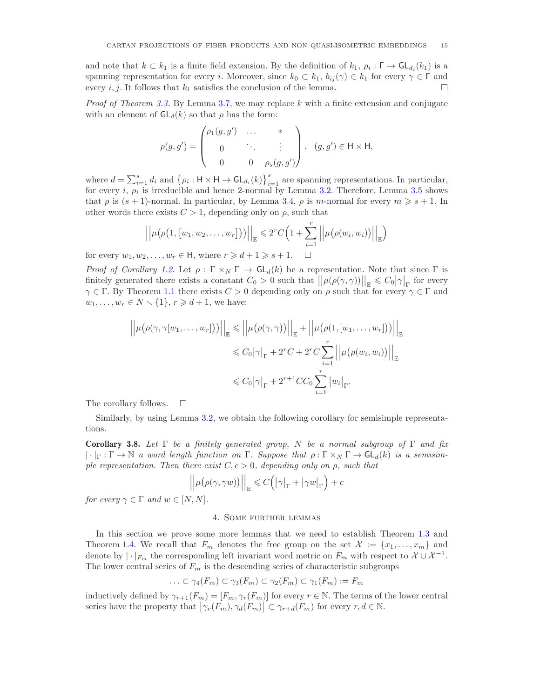and note that  $k \subset k_1$  is a finite field extension. By the definition of  $k_1, \rho_i : \Gamma \to \mathsf{GL}_{d_i}(k_1)$  is a spanning representation for every i. Moreover, since  $k_0 \subset k_1$ ,  $b_{ij}(\gamma) \in k_1$  for every  $\gamma \in \Gamma$  and every  $i, j$ . It follows that  $k_1$  satisfies the conclusion of the lemma.

*Proof of Theorem [3.3.](#page-7-3)* By Lemma [3.7,](#page-13-4) we may replace k with a finite extension and conjugate with an element of  $GL_d(k)$  so that  $\rho$  has the form:

$$
\rho(g,g') = \begin{pmatrix} \rho_1(g,g') & \dots & * \\ 0 & \ddots & \vdots \\ 0 & 0 & \rho_s(g,g') \end{pmatrix}, \quad (g,g') \in \mathsf{H} \times \mathsf{H},
$$

where  $d = \sum_{i=1}^{s} d_i$  and  $\{\rho_i : \mathsf{H} \times \mathsf{H} \to \mathsf{GL}_{d_i}(k)\}_{i=1}^{s}$  are spanning representations. In particular, for every *i*,  $\rho_i$  is irreducible and hence 2-normal by Lemma [3.2.](#page-6-4) Therefore, Lemma [3.5](#page-8-1) shows that  $\rho$  is  $(s + 1)$ -normal. In particular, by Lemma [3.4,](#page-8-3)  $\rho$  is m-normal for every  $m \geq s + 1$ . In other words there exists  $C > 1$ , depending only on  $\rho$ , such that

$$
\left|\left|\mu\big(\rho\big(1,[w_1,w_2,\ldots,w_r]\big)\big)\right|\right|_{\mathbb{E}}\leqslant 2^rC\Big(1+\sum_{i=1}^r\left|\left|\mu\big(\rho(w_i,w_i)\big)\right|\right|_{\mathbb{E}}\Big)
$$

for every  $w_1, w_2, \ldots, w_r \in \mathsf{H}$ , where  $r \geq d+1 \geq s+1$ .  $\Box$ 

*Proof of Corollary [1.2](#page-1-1).* Let  $\rho : \Gamma \times_N \Gamma \to GL_d(k)$  be a representation. Note that since  $\Gamma$  is finitely generated there exists a constant  $C_0 > 0$  such that  $||\mu(\rho(\gamma, \gamma))||_{\mathbb{E}} \leq C_0 |\gamma|_{\Gamma}$  for every  $\gamma \in \Gamma$ . By Theorem [1.1](#page-1-0) there exists  $C > 0$  depending only on  $\rho$  such that for every  $\gamma \in \Gamma$  and  $w_1, \ldots, w_r \in N \setminus \{1\}, r \geq d+1$ , we have:

$$
\left| \left| \mu(\rho(\gamma, \gamma[w_1, \dots, w_r])) \right| \right|_{\mathbb{E}} \leq \left| \left| \mu(\rho(\gamma, \gamma)) \right| \right|_{\mathbb{E}} + \left| \left| \mu(\rho(1, [w_1, \dots, w_r])) \right| \right|_{\mathbb{E}}
$$
  

$$
\leq C_0 |\gamma|_{\Gamma} + 2^r C + 2^r C \sum_{i=1}^r \left| \left| \mu(\rho(w_i, w_i)) \right| \right|_{\mathbb{E}}
$$
  

$$
\leq C_0 |\gamma|_{\Gamma} + 2^{r+1} C C_0 \sum_{i=1}^r |w_i|_{\Gamma}.
$$

The corollary follows.  $\square$ 

Similarly, by using Lemma [3.2,](#page-6-4) we obtain the following corollary for semisimple representations.

<span id="page-14-1"></span>Corollary 3.8. *Let* Γ *be a finitely generated group,* N *be a normal subgroup of* Γ *and fix*  $|\cdot|_{\Gamma} : \Gamma \to \mathbb{N}$  *a word length function on*  $\Gamma$ *. Suppose that*  $\rho : \Gamma \times_N \Gamma \to \mathsf{GL}_d(k)$  *is a semisimple representation. Then there exist* C, c > 0*, depending only on* ρ*, such that*

$$
\left|\left|\mu\big(\rho(\gamma,\gamma w)\big)\right|\right|_{\mathbb{E}}\leqslant C\Big(\big|\gamma\big|_{\Gamma}+\big|\gamma w\big|_{\Gamma}\Big)+c
$$

<span id="page-14-0"></span>*for every*  $\gamma \in \Gamma$  *and*  $w \in [N, N]$ *.* 

## 4. Some further lemmas

In this section we prove some more lemmas that we need to establish Theorem [1.3](#page-1-3) and Theorem [1.4.](#page-2-2) We recall that  $F_m$  denotes the free group on the set  $\mathcal{X} := \{x_1, \ldots, x_m\}$  and denote by  $|\cdot|_{F_m}$  the corresponding left invariant word metric on  $F_m$  with respect to  $\mathcal{X} \cup \mathcal{X}^{-1}$ . The lower central series of  $F_m$  is the descending series of characteristic subgroups

$$
\ldots \subset \gamma_4(F_m) \subset \gamma_3(F_m) \subset \gamma_2(F_m) \subset \gamma_1(F_m) := F_m
$$

inductively defined by  $\gamma_{r+1}(F_m) = [F_m, \gamma_r(F_m)]$  for every  $r \in \mathbb{N}$ . The terms of the lower central series have the property that  $[\gamma_r(F_m), \gamma_d(F_m)] \subset \gamma_{r+d}(F_m)$  for every  $r, d \in \mathbb{N}$ .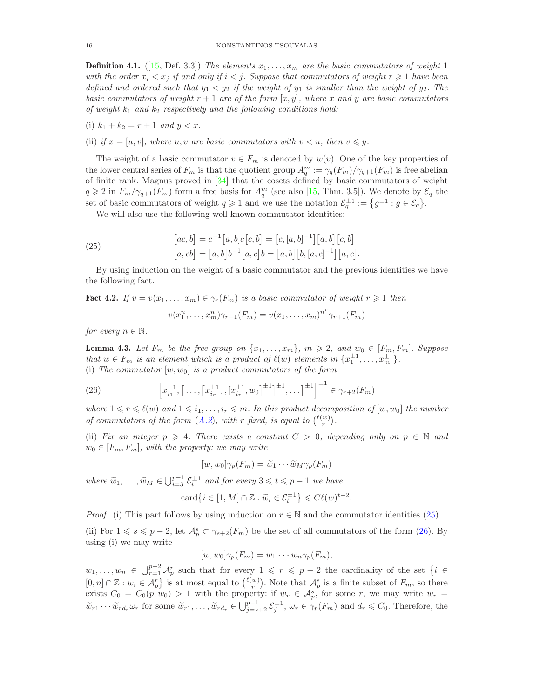**Definition 4.1.** ([\[15,](#page-29-17) Def. 3.3]) *The elements*  $x_1, \ldots, x_m$  *are the basic commutators of weight* 1 *with the order*  $x_i < x_j$  *if and only if*  $i < j$ *. Suppose that commutators of weight*  $r \geq 1$  *have been defined and ordered such that*  $y_1 < y_2$  *if the weight of*  $y_1$  *is smaller than the weight of*  $y_2$ *. The basic commutators of weight*  $r + 1$  *are of the form* [x, y], where x and y are basic commutators *of weight*  $k_1$  *and*  $k_2$  *respectively and the following conditions hold:* 

(i) 
$$
k_1 + k_2 = r + 1
$$
 and  $y < x$ .

(ii) if  $x = [u, v]$ , where  $u, v$  are basic commutators with  $v \leq u$ , then  $v \leq y$ .

The weight of a basic commutator  $v \in F_m$  is denoted by  $w(v)$ . One of the key properties of the lower central series of  $F_m$  is that the quotient group  $A_q^m := \gamma_q(F_m)/\gamma_{q+1}(F_m)$  is free abelian of finite rank. Magnus proved in [\[34\]](#page-29-18) that the cosets defined by basic commutators of weight  $q \geq 2$  in  $F_m/\gamma_{q+1}(F_m)$  form a free basis for  $A_q^m$  (see also [\[15,](#page-29-17) Thm. 3.5]). We denote by  $\mathcal{E}_q$  the set of basic commutators of weight  $q \geq 1$  and we use the notation  $\mathcal{E}_q^{\pm 1} := \{ g^{\pm 1} : g \in \mathcal{E}_q \}.$ 

We will also use the following well known commutator identities:

<span id="page-15-0"></span>(25) 
$$
[ac, b] = c^{-1} [a, b] c [c, b] = [c, [a, b]^{-1}] [a, b] [c, b]
$$

$$
[a, cb] = [a, b] b^{-1} [a, c] b = [a, b] [b, [a, c]^{-1}] [a, c].
$$

By using induction on the weight of a basic commutator and the previous identities we have the following fact.

<span id="page-15-3"></span>Fact 4.2. *If*  $v = v(x_1, \ldots, x_m) \in \gamma_r(F_m)$  *is a basic commutator of weight*  $r \geq 1$  *then* 

$$
v(x_1^n, ..., x_m^n)\gamma_{r+1}(F_m) = v(x_1, ..., x_m)^{n^r}\gamma_{r+1}(F_m)
$$

*for every*  $n \in \mathbb{N}$ *.* 

<span id="page-15-2"></span>**Lemma 4.3.** Let  $F_m$  be the free group on  $\{x_1, \ldots, x_m\}$ ,  $m \geq 2$ , and  $w_0 \in [F_m, F_m]$ . Suppose *that*  $w \in F_m$  *is an element which is a product of*  $\ell(w)$  *elements in*  $\{x_1^{\pm 1}, \ldots, x_m^{\pm 1}\}.$ (i) The commutator  $[w, w_0]$  is a product commutators of the form

<span id="page-15-1"></span>(26) 
$$
\left[x_{i_1}^{\pm 1}, \left[\ldots, \left[x_{i_{r-1}}^{\pm 1}, \left[x_{i_r}^{\pm 1}, w_0\right]^{\pm 1}\right]^{\pm 1}, \ldots\right]^{\pm 1}\right]^{\pm 1} \in \gamma_{r+2}(F_m)
$$

*where*  $1 \leq r \leq \ell(w)$  *and*  $1 \leq i_1, \ldots, i_r \leq m$ . In this product decomposition of  $[w, w_0]$  the number *of commutators of the form*  $(A.2)$  $(A.2)$  $(A.2)$ *, with* r *fixed, is equal to*  $\binom{\ell(w)}{r}$ *.* 

(ii) *Fix an integer*  $p \geq 4$ *. There exists a constant*  $C > 0$ *, depending only on*  $p \in \mathbb{N}$  and  $w_0 \in [F_m, F_m]$ , with the property: we may write

$$
[w, w_0] \gamma_p(F_m) = \widetilde{w}_1 \cdots \widetilde{w}_M \gamma_p(F_m)
$$

*where*  $\widetilde{w}_1, \ldots, \widetilde{w}_M \in \bigcup_{i=3}^{p-1} \mathcal{E}_i^{\pm 1}$  *and for every*  $3 \leq t \leq p-1$  *we have* 

$$
\operatorname{card}\left\{i\in[1,M]\cap\mathbb{Z}:\widetilde{w}_i\in\mathcal{E}_t^{\pm 1}\right\}\leqslant C\ell(w)^{t-2}.
$$

*Proof.* (i) This part follows by using induction on  $r \in \mathbb{N}$  and the commutator identities [\(25\)](#page-15-0).

(ii) For  $1 \le s \le p-2$ , let  $\mathcal{A}_p^s \subset \gamma_{s+2}(F_m)$  be the set of all commutators of the form [\(26\)](#page-15-1). By using (i) we may write

$$
[w, w_0] \gamma_p(F_m) = w_1 \cdots w_n \gamma_p(F_m),
$$

 $w_1,\ldots,w_n \in \bigcup_{r=1}^{p-2} \mathcal{A}_p^r$  such that for every  $1 \leqslant r \leqslant p-2$  the cardinality of the set  $\{i \in$  $[0,n] \cap \mathbb{Z} : w_i \in \mathcal{A}_p^r$  is at most equal to  $\binom{\ell(w)}{r}$ . Note that  $\mathcal{A}_p^s$  is a finite subset of  $F_m$ , so there exists  $C_0 = C_0(p, w_0) > 1$  with the property: if  $w_r \in \mathcal{A}_{p}^s$ , for some r, we may write  $w_r =$  $\widetilde{w}_{r1} \cdots \widetilde{w}_{rd_r} \omega_r$  for some  $\widetilde{w}_{r1}, \ldots, \widetilde{w}_{rd_r} \in \bigcup_{j=s+2}^{p-1} \mathcal{E}_j^{\pm 1}, \omega_r \in \gamma_p(F_m)$  and  $d_r \leq C_0$ . Therefore, the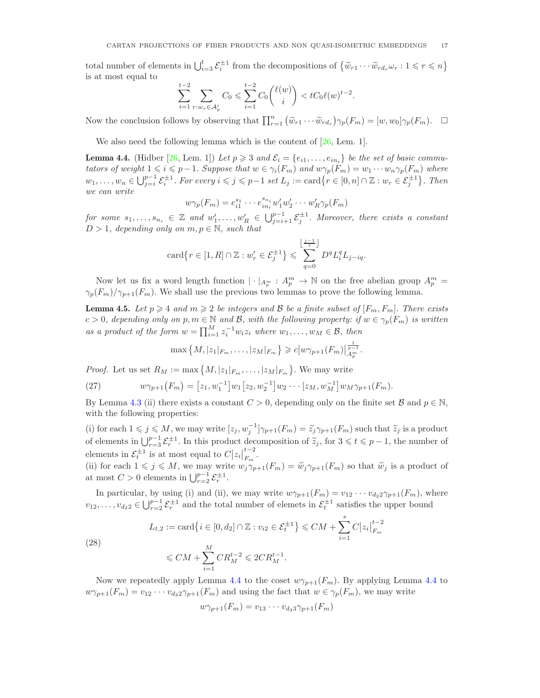total number of elements in  $\bigcup_{i=3}^t \mathcal{E}_i^{\pm 1}$  from the decompositions of  $\{\widetilde{w}_{r1} \cdots \widetilde{w}_{rd_r} \omega_r : 1 \leqslant r \leqslant n\}$ is at most equal to

$$
\sum_{i=1}^{t-2} \sum_{r:w_r \in \mathcal{A}_p^i} C_0 \leqslant \sum_{i=1}^{t-2} C_0 {\ell(w) \choose i} < tC_0 \ell(w)^{t-2}.
$$

Now the conclusion follows by observing that  $\prod_{r=1}^n (\tilde{w}_{r1} \cdots \tilde{w}_{rd_r}) \gamma_p(F_m) = [w, w_0] \gamma_p(F_m)$ .  $\Box$ 

We also need the following lemma which is the content of  $[26, \text{ Lem. } 1]$ .

<span id="page-16-0"></span>**Lemma 4.4.** (Hidber [\[26,](#page-29-19) Lem. 1]) Let  $p \geq 3$  and  $\mathcal{E}_i = \{e_{i1}, \ldots, e_{in_i}\}\)$  be the set of basic commu*tators of weight*  $1 \leq i \leq p-1$ *. Suppose that*  $w \in \gamma_i(F_m)$  *and*  $w\gamma_p(F_m) = w_1 \cdots w_n \gamma_p(F_m)$  *where*  $w_1, \ldots, w_n \in \bigcup_{j=i}^{p-1} \mathcal{E}_i^{\pm 1}$ . For every  $i \leqslant j \leqslant p-1$  set  $L_j := \text{card}\big\{r \in [0, n] \cap \mathbb{Z} : w_r \in \mathcal{E}_j^{\pm 1}\big\}$ . Then *we can write*

$$
w\gamma_p(F_m) = e_{i1}^{s_1} \cdots e_{in_i}^{s_{n_i}} w_1' w_2' \cdots w_R' \gamma_p(F_m)
$$

 $for some s_1, \ldots, s_{n_i} \in \mathbb{Z}$  and  $w'_1, \ldots, w'_R \in \bigcup_{j=i+1}^{p-1} \mathcal{E}_j^{\pm 1}$ . Moreover, there exists a constant  $D > 1$ *, depending only on*  $m, p \in \mathbb{N}$ *, such that* 

$$
\operatorname{card}\left\{r \in [1, R] \cap \mathbb{Z}: w_r \in \mathcal{E}_j^{\pm 1}\right\} \leqslant \sum_{q=0}^{\left\lfloor \frac{j-1}{i} \right\rfloor} D^q L_i^q L_{j-iq}.
$$

Now let us fix a word length function  $|\cdot|_{A_p^m}: A_p^m \to \mathbb{N}$  on the free abelian group  $A_p^m =$  $\gamma_p(F_m)/\gamma_{p+1}(F_m)$ . We shall use the previous two lemmas to prove the following lemma.

<span id="page-16-1"></span>**Lemma 4.5.** Let  $p \ge 4$  and  $m \ge 2$  be integers and B be a finite subset of  $[F_m, F_m]$ . There exists  $c > 0$ , depending only on  $p, m \in \mathbb{N}$  and  $\mathcal{B}$ , with the following property: if  $w \in \gamma_p(F_m)$  is written *as a product of the form*  $w = \prod_{i=1}^{M} z_i^{-1} w_i z_i$  *where*  $w_1, \ldots, w_M \in \mathcal{B}$ *, then* 

$$
\max\left\{M,|z_1|_{F_m},\ldots,|z_M|_{F_m}\right\}\geqslant c\big|w\gamma_{p+1}(F_m)\big|_{A_p^m}^{\frac{1}{p-1}}.
$$

*Proof.* Let us set  $R_M := \max\{M, |z_1|_{F_m}, \ldots, |z_M|_{F_m}\}.$  We may write

(27) 
$$
w\gamma_{p+1}(F_m) = [z_1, w_1^{-1}] w_1 [z_2, w_2^{-1}] w_2 \cdots [z_M, w_M^{-1}] w_M \gamma_{p+1}(F_m).
$$

By Lemma [4.3](#page-15-2) (ii) there exists a constant  $C > 0$ , depending only on the finite set  $\mathcal{B}$  and  $p \in \mathbb{N}$ , with the following properties:

(i) for each  $1 \leq j \leq M$ , we may write  $[z_j, w_j^{-1}] \gamma_{p+1}(F_m) = \widetilde{z}_j \gamma_{p+1}(F_m)$  such that  $\widetilde{z}_j$  is a product of elements in  $\bigcup_{r=3}^{p-1} \mathcal{E}_r^{\pm 1}$ . In this product decomposition of  $\tilde{z}_j$ , for  $3 \leq t \leq p-1$ , the number of elements in  $\mathcal{E}_t^{\pm 1}$  is at most equal to  $C |z_i|_{F_m}^{t-2}$ .

(ii) for each  $1 \leq j \leq M$ , we may write  $w_j \gamma_{p+1}(F_m) = \tilde{w}_j \gamma_{p+1}(F_m)$  so that  $\tilde{w}_j$  is a product of at most  $C > 0$  elements in  $\bigcup_{r=2}^{p-1} \mathcal{E}_r^{\pm 1}$ .

In particular, by using (i) and (ii), we may write  $w\gamma_{p+1}(F_m) = v_{12} \cdots v_{d_2} \gamma_{p+1}(F_m)$ , where  $v_{12}, \ldots, v_{d_2 2} \in \bigcup_{r=2}^{p-1} \mathcal{E}_r^{\pm 1}$  and the total number of elemets in  $\mathcal{E}_t^{\pm 1}$  satisfies the upper bound

(28) 
$$
L_{t,2} := \text{card}\{i \in [0, d_2] \cap \mathbb{Z} : v_{i2} \in \mathcal{E}_t^{\pm 1}\} \leq C M + \sum_{i=1}^s C |z_i|_{F_m}^{t-2}
$$

$$
\leq C M + \sum_{i=1}^M CR_M^{t-2} \leqslant 2CR_M^{t-1}.
$$

Now we repeatedly apply Lemma [4.4](#page-16-0) to the coset  $w\gamma_{p+1}(F_m)$ . By applying Lemma 4.4 to  $w\gamma_{p+1}(F_m)=v_{12}\cdots v_{d_2} \gamma_{p+1}(F_m)$  and using the fact that  $w\in \gamma_p(F_m)$ , we may write

$$
w\gamma_{p+1}(F_m)=v_{13}\cdots v_{d_3} \gamma_{p+1}(F_m)
$$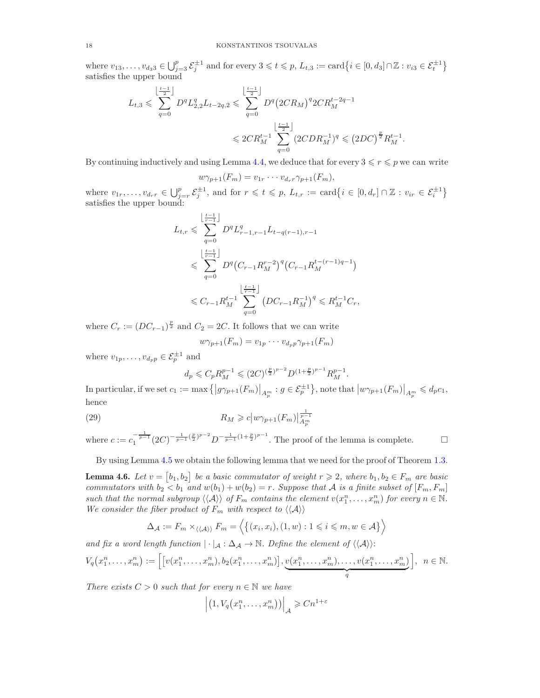where  $v_{13}, \ldots, v_{d_33} \in \bigcup_{j=3}^p \mathcal{E}_j^{\pm 1}$  and for every  $3 \leqslant t \leqslant p$ ,  $L_{t,3} := \text{card}\big\{i \in [0, d_3] \cap \mathbb{Z} : v_{i3} \in \mathcal{E}_t^{\pm 1}\big\}$ satisfies the upper bound

$$
L_{t,3} \leqslant \sum_{q=0}^{\left\lfloor \frac{t-1}{2} \right\rfloor} D^q L_{2,2}^q L_{t-2q,2} \leqslant \sum_{q=0}^{\left\lfloor \frac{t-1}{2} \right\rfloor} D^q \left( 2CR_M \right)^q 2CR_M^{t-2q-1}
$$
  

$$
\leqslant 2CR_M^{t-1} \sum_{q=0}^{\left\lfloor \frac{t-1}{2} \right\rfloor} (2CDR_M^{-1})^q \leqslant \left( 2DC \right)^{\frac{p}{2}} R_M^{t-1}.
$$

By continuing inductively and using Lemma [4.4,](#page-16-0) we deduce that for every  $3 \leq r \leq p$  we can write

$$
w\gamma_{p+1}(F_m)=v_{1r}\cdots v_{d_r} \gamma_{p+1}(F_m),
$$

where  $v_1, \ldots, v_{d_r} \in \bigcup_{j=r}^p \mathcal{E}_j^{\pm 1}$ , and for  $r \leqslant t \leqslant p$ ,  $L_{t,r} := \text{card}\big\{i \in [0, d_r] \cap \mathbb{Z} : v_{ir} \in \mathcal{E}_i^{\pm 1}\big\}$ satisfies the upper bound:

$$
L_{t,r} \leqslant \sum_{q=0}^{\left\lfloor \frac{t-1}{r-1} \right\rfloor} D^q L_{r-1,r-1}^q L_{t-q(r-1),r-1}
$$
  

$$
\leqslant \sum_{q=0}^{\left\lfloor \frac{t-1}{r-1} \right\rfloor} D^q \left( C_{r-1} R_M^{r-2} \right)^q \left( C_{r-1} R_M^{t-(r-1)q-1} \right)
$$
  

$$
\leqslant C_{r-1} R_M^{t-1} \sum_{q=0}^{\left\lfloor \frac{t-1}{r-1} \right\rfloor} \left( D C_{r-1} R_M^{-1} \right)^q \leqslant R_M^{t-1} C_r,
$$

where  $C_r := (DC_{r-1})^{\frac{p}{2}}$  and  $C_2 = 2C$ . It follows that we can write

$$
w\gamma_{p+1}(F_m)=v_{1p}\cdots v_{d_p p}\gamma_{p+1}(F_m)
$$

where  $v_{1p}, \ldots, v_{d_p p} \in \mathcal{E}_p^{\pm 1}$  and

$$
d_p \leq C_p R_M^{p-1} \leq (2C)^{\left(\frac{p}{2}\right)^{p-2}} D^{(1+\frac{p}{2})^{p-1}} R_M^{p-1}.
$$

In particular, if we set  $c_1 := \max \{|g\gamma_{p+1}(F_m)|_{A_p^m} : g \in \mathcal{E}_p^{\pm 1}\}\$ , note that  $|w\gamma_{p+1}(F_m)|_{A_p^m} \leqslant d_p c_1$ , hence

(29) 
$$
R_M \geqslant c \left| w \gamma_{p+1}(F_m) \right|_{A_p^m}^{\frac{1}{p-1}}
$$

where  $c := c_1^{-\frac{1}{p-1}} (2C)^{-\frac{1}{p-1}(\frac{p}{2})^{p-2}} D^{-\frac{1}{p-1}(1+\frac{p}{2})^{p-1}}$ . The proof of the lemma is complete.

By using Lemma [4.5](#page-16-1) we obtain the following lemma that we need for the proof of Theorem [1.3.](#page-1-3)

<span id="page-17-0"></span>**Lemma 4.6.** Let  $v = [b_1, b_2]$  be a basic commutator of weight  $r \geq 2$ , where  $b_1, b_2 \in F_m$  are basic *commutators with*  $b_2 < b_1$  *and*  $w(b_1) + w(b_2) = r$ . Suppose that A is a finite subset of  $[F_m, F_m]$ such that the normal subgroup  $\langle\langle A \rangle\rangle$  of  $F_m$  contains the element  $v(x_1^n, \ldots, x_m^n)$  for every  $n \in \mathbb{N}$ . *We consider the fiber product of*  $F_m$  *with respect to*  $\langle \langle A \rangle \rangle$ 

$$
\Delta_{\mathcal{A}} := F_m \times_{\langle \langle \mathcal{A} \rangle \rangle} F_m = \langle \{ (x_i, x_i), (1, w) : 1 \leq i \leq m, w \in \mathcal{A} \} \rangle
$$

*and fix a word length function*  $|\cdot|_A : \Delta_A \to \mathbb{N}$ . Define the element of  $\langle \langle A \rangle \rangle$ :

$$
V_q(x_1^n,\ldots,x_m^n):=\Big[\big[v(x_1^n,\ldots,x_m^n),b_2(x_1^n,\ldots,x_m^n)\big],\underbrace{v(x_1^n,\ldots,x_m^n),\ldots,v(x_1^n,\ldots,x_m^n)}_q\Big],\ \ n\in\mathbb{N}.
$$

*There exists*  $C > 0$  *such that for every*  $n \in \mathbb{N}$  *we have* 

$$
\left| \left( 1, V_q(x_1^n, \dots, x_m^n) \right) \right|_{\mathcal{A}} \geqslant C n^{1+\varepsilon}
$$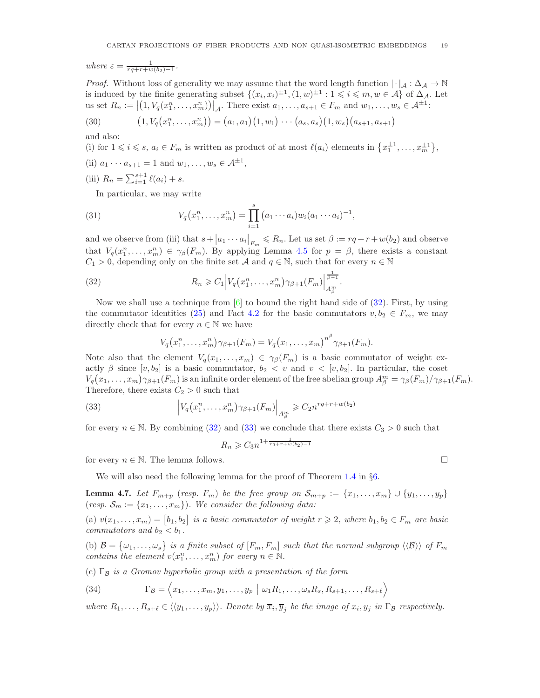*where*  $\varepsilon = \frac{1}{rq+r+w(b_2)-1}$ *.*

*Proof.* Without loss of generality we may assume that the word length function  $|\cdot|_A : \Delta_A \to \mathbb{N}$ is induced by the finite generating subset  $\{(x_i, x_i)^{\pm 1}, (1, w)^{\pm 1} : 1 \leq i \leq m, w \in A\}$  of  $\Delta_{\mathcal{A}}$ . Let us set  $R_n := \left| \left(1, V_q(x_1^n, \ldots, x_m^n)\right)\right|_{\mathcal{A}}$ . There exist  $a_1, \ldots, a_{s+1} \in F_m$  and  $w_1, \ldots, w_s \in \mathcal{A}^{\pm 1}$ .

(30) 
$$
(1, V_q(x_1^n, \ldots, x_m^n)) = (a_1, a_1) (1, w_1) \cdots (a_s, a_s) (1, w_s) (a_{s+1}, a_{s+1})
$$

and also:

(i) for 
$$
1 \leq i \leq s
$$
,  $a_i \in F_m$  is written as product of at most  $\ell(a_i)$  elements in  $\{x_1^{\pm 1}, \ldots, x_m^{\pm 1}\}$ ,

- (ii)  $a_1 \cdots a_{s+1} = 1$  and  $w_1, \ldots, w_s \in A^{\pm 1}$ ,
- (iii)  $R_n = \sum_{i=1}^{s+1} \ell(a_i) + s.$

In particular, we may write

(31) 
$$
V_q(x_1^n,\ldots,x_m^n) = \prod_{i=1}^s (a_1\cdots a_i)w_i(a_1\cdots a_i)^{-1},
$$

and we observe from (iii) that  $s+|a_1\cdots a_i|_{F_m} \leq R_n$ . Let us set  $\beta := rq + r + w(b_2)$  and observe that  $V_q(x_1^n,\ldots,x_m^n) \in \gamma_\beta(F_m)$ . By applying Lemma [4.5](#page-16-1) for  $p = \beta$ , there exists a constant  $C_1 > 0$ , depending only on the finite set A and  $q \in \mathbb{N}$ , such that for every  $n \in \mathbb{N}$ 

(32) 
$$
R_n \geqslant C_1 \left| V_q\left(x_1^n, \ldots, x_m^n\right) \gamma_{\beta+1}(F_m) \right|_{A_\beta^m}^{\frac{1}{\beta-1}}.
$$

Now we shall use a technique from  $[6]$  to bound the right hand side of  $(32)$ . First, by using the commutator identities [\(25\)](#page-15-0) and Fact [4.2](#page-15-3) for the basic commutators  $v, b_2 \in F_m$ , we may directly check that for every  $n \in \mathbb{N}$  we have

<span id="page-18-0"></span>
$$
V_q(x_1^n,\ldots,x_m^n)\gamma_{\beta+1}(F_m)=V_q(x_1,\ldots,x_m)^{n^{\beta}}\gamma_{\beta+1}(F_m).
$$

Note also that the element  $V_q(x_1, \ldots, x_m) \in \gamma_\beta(F_m)$  is a basic commutator of weight exactly  $\beta$  since  $[v, b_2]$  is a basic commutator,  $b_2 < v$  and  $v < [v, b_2]$ . In particular, the coset  $V_q(x_1,\ldots,x_m)\gamma_{\beta+1}(F_m)$  is an infinite order element of the free abelian group  $A_\beta^m = \gamma_\beta(F_m)/\gamma_{\beta+1}(F_m)$ . Therefore, there exists  $C_2 > 0$  such that

(33) 
$$
\left|V_q(x_1^n,\ldots,x_m^n)\gamma_{\beta+1}(F_m)\right|_{A_\beta^m} \geqslant C_2 n^{rq+r+w(b_2)}
$$

for every  $n \in \mathbb{N}$ . By combining [\(32\)](#page-18-0) and [\(33\)](#page-18-1) we conclude that there exists  $C_3 > 0$  such that

<span id="page-18-1"></span>
$$
R_n \geqslant C_3 n^{1 + \frac{1}{rq + r + w(b_2) - 1}}
$$

for every  $n \in \mathbb{N}$ . The lemma follows.

We will also need the following lemma for the proof of Theorem [1.4](#page-2-2) in §[6.](#page-21-1)

<span id="page-18-2"></span>**Lemma 4.7.** Let  $F_{m+p}$  (resp.  $F_m$ ) be the free group on  $\mathcal{S}_{m+p} := \{x_1, \ldots, x_m\} \cup \{y_1, \ldots, y_p\}$ (*resp.*  $S_m := \{x_1, \ldots, x_m\}$ ). We consider the following data:

(a)  $v(x_1, \ldots, x_m) = [b_1, b_2]$  is a basic commutator of weight  $r \geq 2$ , where  $b_1, b_2 \in F_m$  are basic *commutators and*  $b_2 < b_1$ *.* 

(b)  $\mathcal{B} = {\omega_1, \ldots, \omega_s}$  is a finite subset of  $[F_m, F_m]$  such that the normal subgroup  $\langle \langle \mathcal{B} \rangle \rangle$  of  $F_m$ *contains the element*  $v(x_1^n, \ldots, x_m^n)$  *for every*  $n \in \mathbb{N}$ *.* 

(c) Γ<sup>B</sup> *is a Gromov hyperbolic group with a presentation of the form*

<span id="page-18-3"></span>(34) 
$$
\Gamma_{\mathcal{B}} = \langle x_1, \ldots, x_m, y_1, \ldots, y_p \mid \omega_1 R_1, \ldots, \omega_s R_s, R_{s+1}, \ldots, R_{s+\ell} \rangle
$$

 $where R_1, \ldots, R_{s+\ell} \in \langle \langle y_1, \ldots, y_p \rangle \rangle$ . Denote by  $\overline{x}_i, \overline{y}_j$  be the *image* of  $x_i, y_j$  *in*  $\Gamma_B$  *respectively.*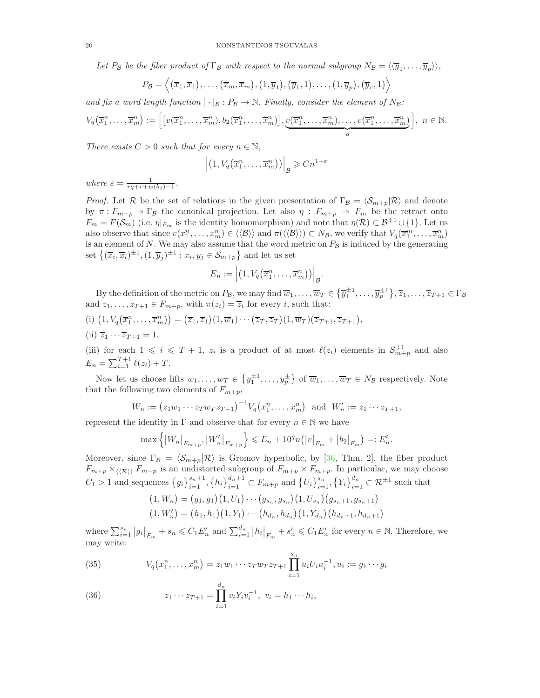Let  $P_B$  be the fiber product of  $\Gamma_B$  with respect to the normal subgroup  $N_B = \langle \langle \overline{y}_1, \ldots, \overline{y}_p \rangle \rangle$ ,

$$
P_{\mathcal{B}} = \left\langle (\overline{x}_1, \overline{x}_1), \ldots, (\overline{x}_m, \overline{x}_m), (1, \overline{y}_1), (\overline{y}_1, 1), \ldots, (1, \overline{y}_p), (\overline{y}_r, 1) \right\rangle
$$

and fix a word length function  $|\cdot|_B : P_B \to \mathbb{N}$ . Finally, consider the element of  $N_B$ :

$$
V_q(\overline{x}_1^n,\ldots,\overline{x}_m^n) := \left[ \left[ v(\overline{x}_1^n,\ldots,\overline{x}_m^n), b_2(\overline{x}_1^n,\ldots,\overline{x}_m^n) \right], \underbrace{v(\overline{x}_1^n,\ldots,\overline{x}_m^n),\ldots,v(\overline{x}_1^n,\ldots,\overline{x}_m^n)}_q \right], \ n \in \mathbb{N}.
$$

*There exists*  $C > 0$  *such that for every*  $n \in \mathbb{N}$ ,

$$
\left| \left( 1, V_q \big( \overline{x}_1^n, \dots, \overline{x}_m^n \big) \right) \right|_{\mathcal{B}} \geqslant C n^{1+\varepsilon}
$$

*where*  $\varepsilon = \frac{1}{rq+r+w(b_2)-1}$ .

*Proof.* Let R be the set of relations in the given presentation of  $\Gamma_B = \langle S_{m+p} | R \rangle$  and denote by  $\pi : F_{m+p} \to \Gamma_B$  the canonical projection. Let also  $\eta : F_{m+p} \to F_m$  be the retract onto  $F_m = F(\mathcal{S}_m)$  (i.e.  $\eta|_{F_m}$  is the identity homomorphism) and note that  $\eta(\mathcal{R}) \subset \mathcal{B}^{\pm 1} \cup \{1\}$ . Let us also observe that since  $v(x_1^n, \ldots, x_m^n) \in \langle \langle \mathcal{B} \rangle \rangle$  and  $\pi(\langle \langle \mathcal{B} \rangle \rangle) \subset N_{\mathcal{B}}$ , we verify that  $V_q(\overline{x}_1^m, \ldots, \overline{x}_m^n)$ is an element of N. We may also assume that the word metric on  $P_B$  is induced by the generating set  $\{(\overline{x}_i, \overline{x}_i)^{\pm 1}, (1, \overline{y}_j)^{\pm 1} : x_i, y_j \in \mathcal{S}_{m+p}\}$  and let us set

$$
E_n := \left| \left( 1, V_q \big( \overline{x}_1^n, \dots, \overline{x}_m^n \big) \right) \right|_{\mathcal{B}}.
$$

By the definition of the metric on  $P_{\mathcal{B}}$ , we may find  $\overline{w}_1,\ldots,\overline{w}_T\in\{\overline{y}_1^{\pm 1},\ldots,\overline{y}_p^{\pm 1}\},\overline{z}_1,\ldots,\overline{z}_{T+1}\in\Gamma_{\mathcal{B}}$ and  $z_1, \ldots, z_{T+1} \in F_{m+p}$ , with  $\pi(z_i) = \overline{z}_i$  for every *i*, such that:

(i)  $(1, V_q(\overline{x}_1^n, \ldots, \overline{x}_m^n)) = (\overline{z}_1, \overline{z}_1)(1, \overline{w}_1) \cdots (\overline{z}_T, \overline{z}_T)(1, \overline{w}_T)(\overline{z}_{T+1}, \overline{z}_{T+1}),$ (ii)  $\overline{z}_1 \cdots \overline{z}_{T+1} = 1$ ,

(iii) for each  $1 \leqslant i \leqslant T+1$ ,  $z_i$  is a product of at most  $\ell(z_i)$  elements in  $S_{m+p}^{\pm 1}$  and also  $E_n = \sum_{i=1}^{T+1} \ell(z_i) + T.$ 

Now let us choose lifts  $w_1, \ldots, w_T \in \left\{y_1^{\pm 1}, \ldots, y_p^{\pm}\right\}$  of  $\overline{w}_1, \ldots, \overline{w}_T \in N_B$  respectively. Note that the following two elements of  $F_{m+p}$ ,

$$
W_n := (z_1 w_1 \cdots z_T w_T z_{T+1})^{-1} V_q(x_1^n, \ldots, x_m^n)
$$
 and  $W'_n := z_1 \cdots z_{T+1}$ ,

represent the identity in  $\Gamma$  and observe that for every  $n \in \mathbb{N}$  we have

$$
\max\left\{ \left|W_n\right|_{F_{m+p}}, \left|W_n'\right|_{F_{m+p}} \right\} \leqslant E_n + 10^q n \left( \left|v\right|_{F_m} + \left|b_2\right|_{F_m} \right) =: E'_n.
$$

Moreover, since  $\Gamma_B = \langle \mathcal{S}_{m+p} | \mathcal{R} \rangle$  is Gromov hyperbolic, by [\[36,](#page-29-20) Thm. 2], the fiber product  $F_{m+p} \times_{\langle\langle \mathcal{R} \rangle\rangle} F_{m+p}$  is an undistorted subgroup of  $F_{m+p} \times F_{m+p}$ . In particular, we may choose  $C_1 > 1$  and sequences  $\{g_i\}_{i=1}^{s_n+1}, \{h_i\}_{i=1}^{d_n+1} \subset F_{m+p}$  and  $\{U_i\}_{i=1}^{s_n}, \{Y_i\}_{i=1}^{d_n} \subset \mathcal{R}^{\pm 1}$  such that

$$
(1, W_n) = (g_1, g_1) (1, U_1) \cdots (g_{s_n}, g_{s_n}) (1, U_{s_n}) (g_{s_n+1}, g_{s_n+1})
$$

$$
(1, W'_n) = (h_1, h_1) (1, Y_1) \cdots (h_{d_n}, h_{d_n}) (1, Y_{d_n}) (h_{d_n+1}, h_{d_n+1})
$$

where  $\sum_{i=1}^{s_n} |g_i|_{F_m} + s_n \leqslant C_1 E'_n$  and  $\sum_{i=1}^{d_n} |h_i|_{F_m} + s'_n \leqslant C_1 E'_n$  for every  $n \in \mathbb{N}$ . Therefore, we may write:

<span id="page-19-0"></span>(35) 
$$
V_q(x_1^n, \ldots, x_m^n) = z_1 w_1 \cdots z_T w_T z_{T+1} \prod_{i=1}^{s_n} u_i U_i u_i^{-1}, u_i := g_1 \cdots g_i
$$

(36) 
$$
z_1 \cdots z_{T+1} = \prod_{i=1}^{d_n} v_i Y_i v_i^{-1}, \ v_i = h_1 \cdots h_i,
$$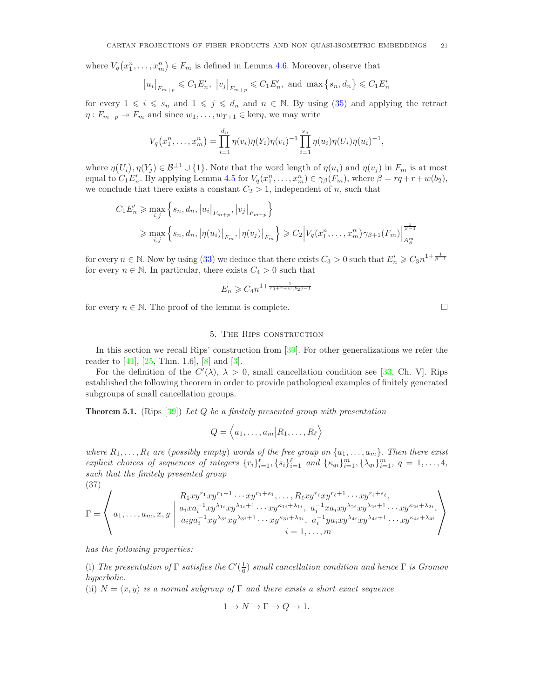where  $V_q(x_1^n, \ldots, x_m^n) \in F_m$  is defined in Lemma [4.6.](#page-17-0) Moreover, observe that

$$
|u_i|_{F_{m+p}} \leq C_1 E'_n
$$
,  $|v_j|_{F_{m+p}} \leq C_1 E'_n$ , and  $\max\{s_n, d_n\} \leq C_1 E'_n$ 

for every  $1 \leq i \leq s_n$  and  $1 \leq j \leq d_n$  and  $n \in \mathbb{N}$ . By using [\(35\)](#page-19-0) and applying the retract  $\eta: F_{m+p} \twoheadrightarrow F_m$  and since  $w_1, \ldots, w_{T+1} \in \text{ker}\eta$ , we may write

$$
V_q(x_1^n,\ldots,x_m^n)=\prod_{i=1}^{d_n}\eta(v_i)\eta(Y_i)\eta(v_i)^{-1}\prod_{i=1}^{s_n}\eta(u_i)\eta(U_i)\eta(u_i)^{-1},
$$

where  $\eta(U_i), \eta(Y_j) \in \mathcal{B}^{\pm 1} \cup \{1\}$ . Note that the word length of  $\eta(u_i)$  and  $\eta(v_j)$  in  $F_m$  is at most equal to  $C_1E'_n$ . By applying Lemma [4.5](#page-16-1) for  $V_q(x_1^n,\ldots,x_m^n) \in \gamma_\beta(F_m)$ , where  $\beta = rq + r + w(b_2)$ , we conclude that there exists a constant  $C_2 > 1$ , independent of n, such that

$$
C_1 E'_n \ge \max_{i,j} \left\{ s_n, d_n, |u_i|_{F_{m+p}}, |v_j|_{F_{m+p}} \right\}
$$
  

$$
\ge \max_{i,j} \left\{ s_n, d_n, |\eta(u_i)|_{F_m}, |\eta(v_j)|_{F_m} \right\} \ge C_2 \left| V_q(x_1^n, \dots, x_m^n) \gamma_{\beta+1}(F_m) \right|_{A^m_{\beta}}^{\frac{1}{\beta-1}}
$$

for every  $n \in \mathbb{N}$ . Now by using [\(33\)](#page-18-1) we deduce that there exists  $C_3 > 0$  such that  $E'_n \geqslant C_3 n^{1 + \frac{1}{\beta - 1}}$ for every  $n \in \mathbb{N}$ . In particular, there exists  $C_4 > 0$  such that

$$
E_n \geqslant C_4 n^{1 + \frac{1}{rq + r + w(b_2) - 1}}
$$

<span id="page-20-0"></span>for every  $n \in \mathbb{N}$ . The proof of the lemma is complete.

## 5. The Rips construction

In this section we recall Rips' construction from [\[39\]](#page-29-7). For other generalizations we refer the reader to [\[41\]](#page-29-8), [\[25,](#page-29-21) Thm. 1.6], [\[8\]](#page-28-10) and [\[3\]](#page-28-11).

For the definition of the  $C'(\lambda)$ ,  $\lambda > 0$ , small cancellation condition see [\[33,](#page-29-22) Ch. V]. Rips established the following theorem in order to provide pathological examples of finitely generated subgroups of small cancellation groups.

<span id="page-20-2"></span>Theorem 5.1. (Rips [\[39\]](#page-29-7)) *Let* Q *be a finitely presented group with presentation*

$$
Q = \langle a_1, \ldots, a_m | R_1, \ldots, R_\ell \rangle
$$

*where*  $R_1, \ldots, R_\ell$  *are* (*possibly empty*) *words of the free group on*  $\{a_1, \ldots, a_m\}$ . Then there exist *explicit choices of sequences of integers*  $\{r_i\}_{i=1}^{\ell}, \{s_i\}_{i=1}^{\ell}$  and  $\{k_{qi}\}_{i=1}^m, \{\lambda_{qi}\}_{i=1}^m, q = 1, \ldots, 4$ , *such that the finitely presented group* (37)

<span id="page-20-1"></span>
$$
\Gamma = \left\langle a_1, \ldots, a_m, x, y \mid \begin{array}{l} R_1 xy^{r_1} xy^{r_1 + 1} \cdots xy^{r_1 + s_1}, \ldots, R_\ell xy^{r_\ell} xy^{r_\ell + 1} \cdots xy^{r_\ell + s_\ell}, \\ a_i x a_i^{-1} xy^{\lambda_{1i}} xy^{j_{1i+1}} \cdots xy^{\kappa_{1i} + \lambda_{1i}}, \quad a_i^{-1} x a_i x y^{\lambda_{2i}} xy^{\lambda_{2i+1}} \cdots xy^{\kappa_{2i} + \lambda_{2i}}, \\ a_i y a_i^{-1} xy^{\lambda_{3i}} xy^{j_{3i+1}} \cdots xy^{\kappa_{3i} + \lambda_{3i}}, \quad a_i^{-1} y a_i xy^{\lambda_{4i}} xy^{\lambda_{4i+1}} \cdots xy^{\kappa_{4i+1}} \lambda_{4i} \\ i = 1, \ldots, m \end{array} \right\rangle
$$

*has the following properties:*

(i) The presentation of  $\Gamma$  *satisfies the*  $C'(\frac{1}{6})$  *small cancellation condition and hence*  $\Gamma$  *is Gromov hyperbolic.*

(ii)  $N = \langle x, y \rangle$  *is a normal subgroup of*  $\Gamma$  *and there exists a short exact sequence* 

$$
1 \to N \to \Gamma \to Q \to 1.
$$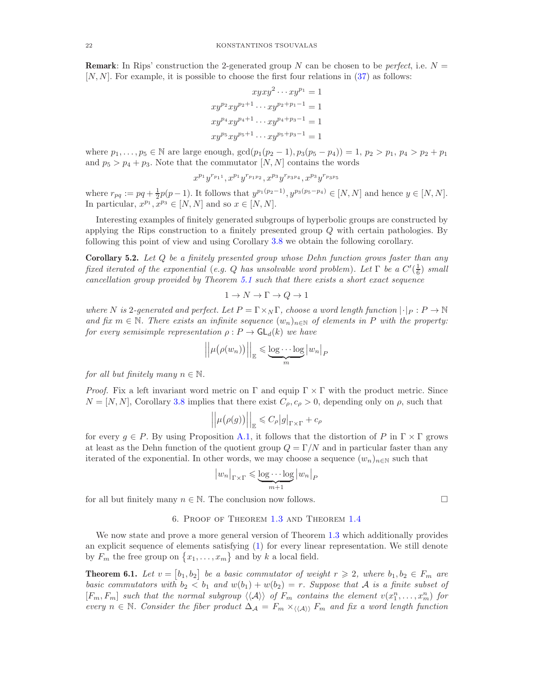**Remark:** In Rips' construction the 2-generated group N can be chosen to be *perfect*, i.e.  $N =$  $[N, N]$ . For example, it is possible to choose the first four relations in [\(37\)](#page-20-1) as follows:

$$
xyxy^{2} \cdots xy^{p_{1}} = 1
$$
  

$$
xy^{p_{2}}xy^{p_{2}+1} \cdots xy^{p_{2}+p_{1}-1} = 1
$$
  

$$
xy^{p_{4}}xy^{p_{4}+1} \cdots xy^{p_{4}+p_{3}-1} = 1
$$
  

$$
xy^{p_{5}}xy^{p_{5}+1} \cdots xy^{p_{5}+p_{3}-1} = 1
$$

where  $p_1, \ldots, p_5 \in \mathbb{N}$  are large enough,  $\gcd(p_1(p_2 - 1), p_3(p_5 - p_4)) = 1, p_2 > p_1, p_4 > p_2 + p_1$ and  $p_5 > p_4 + p_3$ . Note that the commutator  $[N, N]$  contains the words

 $x^{p_1}y^{r_{p_11}}, x^{p_1}y^{r_{p_1p_2}}, x^{p_3}y^{r_{p_3p_4}}, x^{p_3}y^{r_{p_3p_5}}$ 

where  $r_{pq} := pq + \frac{1}{2}p(p-1)$ . It follows that  $y^{p_1(p_2-1)}$ ,  $y^{p_3(p_5-p_4)} \in [N, N]$  and hence  $y \in [N, N]$ . In particular,  $x^{p_1}, x^{p_3} \in [N, N]$  and so  $x \in [N, N]$ .

Interesting examples of finitely generated subgroups of hyperbolic groups are constructed by applying the Rips construction to a finitely presented group Q with certain pathologies. By following this point of view and using Corollary [3.8](#page-14-1) we obtain the following corollary.

Corollary 5.2. *Let* Q *be a finitely presented group whose Dehn function grows faster than any fixed iterated of the exponential* (*e.g.* Q *has unsolvable word problem*). Let  $\Gamma$  *be a*  $C'(\frac{1}{6})$  *small cancellation group provided by Theorem [5.1](#page-20-2) such that there exists a short exact sequence*

$$
1 \to N \to \Gamma \to Q \to 1
$$

*where* N is 2-generated and perfect. Let  $P = \Gamma \times_N \Gamma$ , choose a word length function  $|\cdot|_P : P \to \mathbb{N}$ and fix  $m \in \mathbb{N}$ . There exists an infinite sequence  $(w_n)_{n \in \mathbb{N}}$  of elements in P with the property: *for every semisimple representation*  $\rho$  :  $P \to \mathsf{GL}_d(k)$  *we have* 

$$
\left|\left|\mu(\rho(w_n))\right|\right|_{\mathbb{E}} \leqslant \underbrace{\log \cdots \log}_{m} |w_n|_P
$$

*for all but finitely many*  $n \in \mathbb{N}$ *.* 

*Proof.* Fix a left invariant word metric on  $\Gamma$  and equip  $\Gamma \times \Gamma$  with the product metric. Since  $N = [N, N]$ , Corollary [3.8](#page-14-1) implies that there exist  $C_{\rho}, c_{\rho} > 0$ , depending only on  $\rho$ , such that

$$
\left| \left| \mu(\rho(g)) \right| \right|_{\mathbb{E}} \leqslant C_{\rho} |g|_{\Gamma \times \Gamma} + c_{\rho}
$$

for every  $g \in P$ . By using Proposition [A.1,](#page-27-0) it follows that the distortion of P in  $\Gamma \times \Gamma$  grows at least as the Dehn function of the quotient group  $Q = \Gamma/N$  and in particular faster than any iterated of the exponential. In other words, we may choose a sequence  $(w_n)_{n\in\mathbb{N}}$  such that

$$
|w_n|_{\Gamma \times \Gamma} \leq \underbrace{\log \cdots \log}_{m+1} |w_n|_P
$$

<span id="page-21-1"></span>for all but finitely many  $n \in \mathbb{N}$ . The conclusion now follows.

### 6. Proof of Theorem [1.3](#page-1-3) and Theorem [1.4](#page-2-2)

We now state and prove a more general version of Theorem [1.3](#page-1-3) which additionally provides an explicit sequence of elements satisfying [\(1\)](#page-1-2) for every linear representation. We still denote by  $F_m$  the free group on  $\{x_1, \ldots, x_m\}$  and by k a local field.

<span id="page-21-0"></span>**Theorem 6.1.** Let  $v = [b_1, b_2]$  be a basic commutator of weight  $r \ge 2$ , where  $b_1, b_2 \in F_m$  are *basic commutators with*  $b_2 < b_1$  *and*  $w(b_1) + w(b_2) = r$ . Suppose that A is a finite subset of  $[F_m, F_m]$  such that the normal subgroup  $\langle\langle A \rangle\rangle$  of  $F_m$  contains the element  $v(x_1^n, \ldots, x_m^n)$  for *every*  $n \in \mathbb{N}$ . Consider the fiber product  $\Delta_{\mathcal{A}} = F_m \times_{\langle\langle\mathcal{A}\rangle\rangle} F_m$  and fix a word length function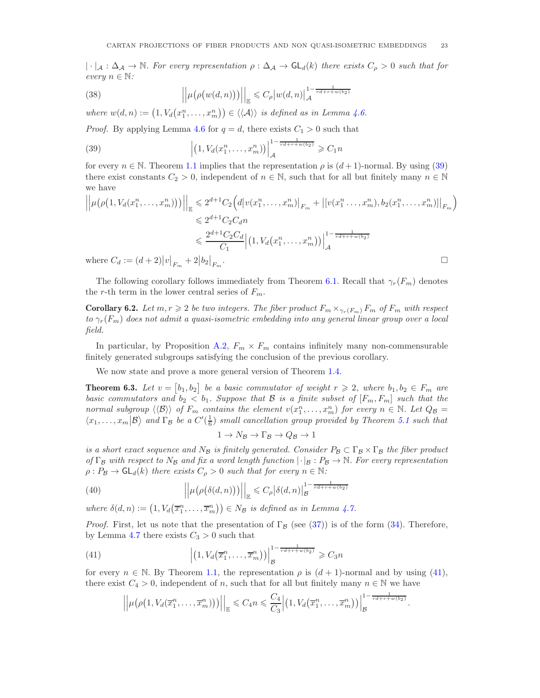$|\cdot|_A : \Delta_A \to \mathbb{N}$ *. For every representation*  $\rho : \Delta_A \to \mathsf{GL}_d(k)$  *there exists*  $C_\rho > 0$  *such that for every*  $n \in \mathbb{N}$ *:* 

(38) 
$$
\left|\left|\mu\big(\rho\big(w(d,n)\big)\big)\right|\right|_{\mathbb{E}} \leqslant C_{\rho} \left|w(d,n)\right|_{\mathcal{A}}^{1-\frac{1}{rd+r+w(b_2)}}
$$

where  $w(d, n) := (1, V_d(x_1^n, \ldots, x_m^n)) \in \langle \langle A \rangle \rangle$  *is defined as in Lemma [4.6.](#page-17-0)* 

*Proof.* By applying Lemma [4.6](#page-17-0) for  $q = d$ , there exists  $C_1 > 0$  such that

<span id="page-22-1"></span>(39) 
$$
\left| (1, V_d(x_1^n, ..., x_m^n)) \right|_{\mathcal{A}}^{1 - \frac{1}{rd + r + w(b_2)}} \geq C_1 n
$$

for every  $n \in \mathbb{N}$ . Theorem [1.1](#page-1-0) implies that the representation  $\rho$  is  $(d+1)$ -normal. By using [\(39\)](#page-22-1) there exist constants  $C_2 > 0$ , independent of  $n \in \mathbb{N}$ , such that for all but finitely many  $n \in \mathbb{N}$ we have

$$
\left| \left| \mu(\rho(1, V_d(x_1^n, \dots, x_m^n))) \right| \right|_{\mathbb{E}} \leq 2^{d+1} C_2 \left( d \left| v(x_1^n, \dots, x_m^n) \right|_{F_m} + \left| [v(x_1^n, \dots, x_m^n), b_2(x_1^n, \dots, x_m^n)] \right|_{F_m} \right)
$$
  
\n
$$
\leq 2^{d+1} C_2 C_d n
$$
  
\n
$$
\leq \frac{2^{d+1} C_2 C_d}{C_1} \left| (1, V_d(x_1^n, \dots, x_m^n)) \right|_{\mathcal{A}}^{1 - \frac{1}{rd + r + w(b_2)}}
$$
  
\nwhere  $C_d := (d+2) |v|_F + 2 |b_2|_F$ .

where  $C_d := (d+2)|v|_{F_m} + 2|b_2|_{F_m}$ 

The following corollary follows immediately from Theorem [6.1.](#page-21-0) Recall that  $\gamma_r(F_m)$  denotes the r-th term in the lower central series of  $F_m$ .

**Corollary 6.2.** Let  $m, r \geq 2$  be two integers. The fiber product  $F_m \times_{\gamma_r(F_m)} F_m$  of  $F_m$  with respect *to* γr(Fm) *does not admit a quasi-isometric embedding into any general linear group over a local field.*

In particular, by Proposition [A.2,](#page-28-8)  $F_m \times F_m$  contains infinitely many non-commensurable finitely generated subgroups satisfying the conclusion of the previous corollary.

We now state and prove a more general version of Theorem [1.4.](#page-2-2)

<span id="page-22-0"></span>**Theorem 6.3.** Let  $v = [b_1, b_2]$  be a basic commutator of weight  $r \ge 2$ , where  $b_1, b_2 \in F_m$  are *basic commutators and*  $b_2 < b_1$ . Suppose that B is a finite subset of  $[F_m, F_m]$  such that the *normal subgroup*  $\langle \langle \mathcal{B} \rangle \rangle$  *of*  $F_m$  *contains the element*  $v(x_1^n, \ldots, x_m^n)$  *for every*  $n \in \mathbb{N}$ *. Let*  $Q_B =$  $\langle x_1,\ldots,x_m | B \rangle$  and  $\Gamma_B$  be a  $C'(\frac{1}{6})$  small cancellation group provided by Theorem [5.1](#page-20-2) such that

$$
1 \to N_{\mathcal{B}} \to \Gamma_{\mathcal{B}} \to Q_{\mathcal{B}} \to 1
$$

*is a short exact sequence and*  $N_B$  *is finitely generated. Consider*  $P_B \subset \Gamma_B \times \Gamma_B$  *the fiber product of*  $\Gamma_B$  *with respect to*  $N_B$  *and fix a word length function*  $|\cdot|_B : P_B \to \mathbb{N}$ *. For every representation*  $\rho: P_{\mathcal{B}} \to \mathsf{GL}_d(k)$  *there exists*  $C_\rho > 0$  *such that for every*  $n \in \mathbb{N}$ *:* 

(40) 
$$
\left| \left| \mu(\rho(\delta(d,n))) \right| \right|_{\mathbb{E}} \leqslant C_{\rho} |\delta(d,n)|_{\mathcal{B}}^{1 - \frac{1}{rd+r+w(b_2)}}
$$

where  $\delta(d, n) := (1, V_d(\overline{x}_1^n, \ldots, \overline{x}_m^n)) \in N_B$  *is defined as in Lemma [4.7.](#page-18-2)* 

*Proof.* First, let us note that the presentation of  $\Gamma_B$  (see [\(37\)](#page-20-1)) is of the form [\(34\)](#page-18-3). Therefore, by Lemma [4.7](#page-18-2) there exists  $C_3 > 0$  such that

<span id="page-22-2"></span>(41) 
$$
\left| \left( 1, V_d\left(\overline{x}_1^n, \ldots, \overline{x}_m^n\right) \right) \right|_{\mathcal{B}}^{1 - \frac{1}{rd + r + w(b_2)}} \geqslant C_3 n
$$

for every  $n \in \mathbb{N}$ . By Theorem [1.1,](#page-1-0) the representation  $\rho$  is  $(d+1)$ -normal and by using [\(41\)](#page-22-2), there exist  $C_4 > 0$ , independent of n, such that for all but finitely many  $n \in \mathbb{N}$  we have

$$
\left|\left|\mu\big(\rho\big(1, V_d(\overline{x}_1^n, \ldots, \overline{x}_m^n)\big)\big)\right|\right|_{\mathbb{E}} \leq C_4 n \leqslant \frac{C_4}{C_3}\left|\left(1, V_d\big(\overline{x}_1^n, \ldots, \overline{x}_m^n\big)\big)\right|_{\mathcal{B}}^{1-\frac{1}{rd+r+w(b_2)}}
$$

.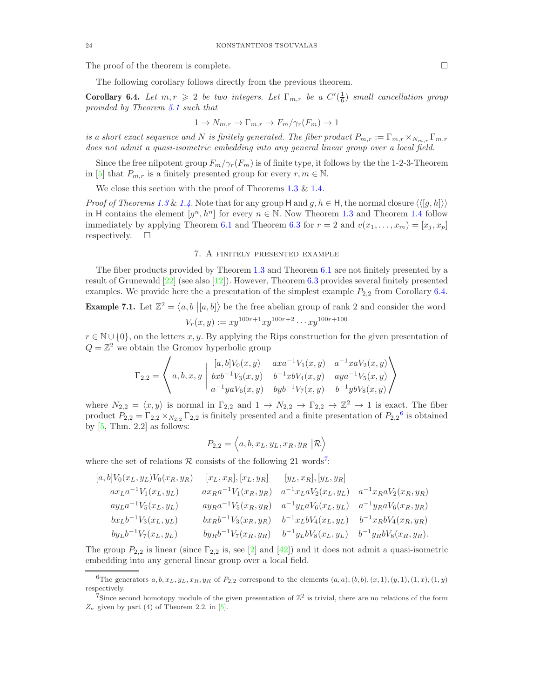The proof of the theorem is complete.  $\Box$ 

The following corollary follows directly from the previous theorem.

<span id="page-23-2"></span>**Corollary 6.4.** Let  $m, r \geq 2$  be two integers. Let  $\Gamma_{m,r}$  be a  $C'(\frac{1}{6})$  small cancellation group *provided by Theorem [5.1](#page-20-2) such that*

$$
1 \to N_{m,r} \to \Gamma_{m,r} \to F_m/\gamma_r(F_m) \to 1
$$

*is a short exact sequence and* N *is finitely generated. The fiber product*  $P_{m,r} := \Gamma_{m,r} \times_{N_{m,r}} \Gamma_{m,r}$ *does not admit a quasi-isometric embedding into any general linear group over a local field.*

Since the free nilpotent group  $F_m/\gamma_r(F_m)$  is of finite type, it follows by the the 1-2-3-Theorem in [\[5\]](#page-28-3) that  $P_{m,r}$  is a finitely presented group for every  $r, m \in \mathbb{N}$ .

We close this section with the proof of Theorems [1.3](#page-1-3) & [1.4.](#page-2-2)

*Proof of Theorems* [1.3](#page-1-3) & [1.4](#page-2-2). Note that for any group H and g,  $h \in H$ , the normal closure  $\langle \langle [g, h] \rangle \rangle$ in H contains the element  $[g^n, h^n]$  for every  $n \in \mathbb{N}$ . Now Theorem [1.3](#page-1-3) and Theorem [1.4](#page-2-2) follow immediately by applying Theorem [6.1](#page-21-0) and Theorem [6.3](#page-22-0) for  $r = 2$  and  $v(x_1, \ldots, x_m) = [x_i, x_p]$ respectively.  $\square$ 

### 7. A finitely presented example

<span id="page-23-1"></span>The fiber products provided by Theorem [1.3](#page-1-3) and Theorem [6.1](#page-21-0) are not finitely presented by a result of Grunewald [\[22\]](#page-29-23) (see also [\[12\]](#page-28-2)). However, Theorem [6.3](#page-22-0) provides several finitely presented examples. We provide here the a presentation of the simplest example  $P_{2,2}$  from Corollary [6.4.](#page-23-2) **Example 7.1.** Let  $\mathbb{Z}^2 = \langle a, b | [a, b] \rangle$  be the free abelian group of rank 2 and consider the word

$$
V_r(x,y) := xy^{100r+1}xy^{100r+2}\cdots xy^{100r+100}
$$

<span id="page-23-0"></span> $r \in \mathbb{N} \cup \{0\}$ , on the letters x, y. By applying the Rips construction for the given presentation of  $Q = \mathbb{Z}^2$  we obtain the Gromov hyperbolic group

$$
\Gamma_{2,2} = \left\langle a,b,x,y \; \left| \begin{array}{ccc} [a,b] V_0(x,y) & axa^{-1} V_1(x,y) & a^{-1} x a V_2(x,y) \\ b x b^{-1} V_3(x,y) & b^{-1} x b V_4(x,y) & a y a^{-1} V_5(x,y) \\ a^{-1} y a V_6(x,y) & b y b^{-1} V_7(x,y) & b^{-1} y b V_8(x,y) \end{array} \right\rangle
$$

where  $N_{2,2} = \langle x, y \rangle$  is normal in  $\Gamma_{2,2}$  and  $1 \to N_{2,2} \to \Gamma_{2,2} \to \mathbb{Z}^2 \to 1$  is exact. The fiber product  $P_{2,2} = \Gamma_{2,2} \times_{N_{2,2}} \Gamma_{2,2}$  is finitely presented and a finite presentation of  $P_{2,2}^6$  $P_{2,2}^6$  is obtained by  $[5, Thm. 2.2]$  as follows:

$$
P_{2,2} = \langle a, b, x_L, y_L, x_R, y_R | \mathcal{R} \rangle
$$

where the set of relations  $R$  consists of the following 21 words<sup>[7](#page-23-4)</sup>:

$$
[a, b]V_0(x_L, y_L)V_0(x_R, y_R) \t [x_L, x_R], [x_L, y_R] \t [y_L, x_R], [y_L, y_R]
$$
  
\n
$$
ax_L a^{-1}V_1(x_L, y_L) \t ax_R a^{-1}V_1(x_R, y_R) \t a^{-1}x_L aV_2(x_L, y_L) \t a^{-1}x_R aV_2(x_R, y_R)
$$
  
\n
$$
ay_L a^{-1}V_5(x_L, y_L) \t ay_R a^{-1}V_5(x_R, y_R) \t a^{-1}y_L aV_6(x_L, y_L) \t a^{-1}y_R aV_6(x_R, y_R)
$$
  
\n
$$
bx_L b^{-1}V_3(x_L, y_L) \t bx_R b^{-1}V_3(x_R, y_R) \t b^{-1}x_L bV_4(x_L, y_L) \t b^{-1}x_R bV_4(x_R, y_R)
$$
  
\n
$$
by_L b^{-1}V_7(x_L, y_L) \t by_R b^{-1}V_7(x_R, y_R) \t b^{-1}y_L bV_8(x_L, y_L) \t b^{-1}y_R bV_8(x_R, y_R).
$$

The group  $P_{2,2}$  is linear (since  $\Gamma_{2,2}$  is, see [\[2\]](#page-28-4) and [\[42\]](#page-29-9)) and it does not admit a quasi-isometric embedding into any general linear group over a local field.

<span id="page-23-3"></span><sup>&</sup>lt;sup>6</sup>The generators  $a, b, x_L, y_L, x_R, y_R$  of  $P_{2,2}$  correspond to the elements  $(a, a), (b, b), (x, 1), (y, 1), (1, x), (1, y)$ respectively.

<span id="page-23-4"></span><sup>&</sup>lt;sup>7</sup>Since second homotopy module of the given presentation of  $\mathbb{Z}^2$  is trivial, there are no relations of the form  $Z_{\sigma}$  given by part (4) of Theorem 2.2. in [\[5\]](#page-28-3).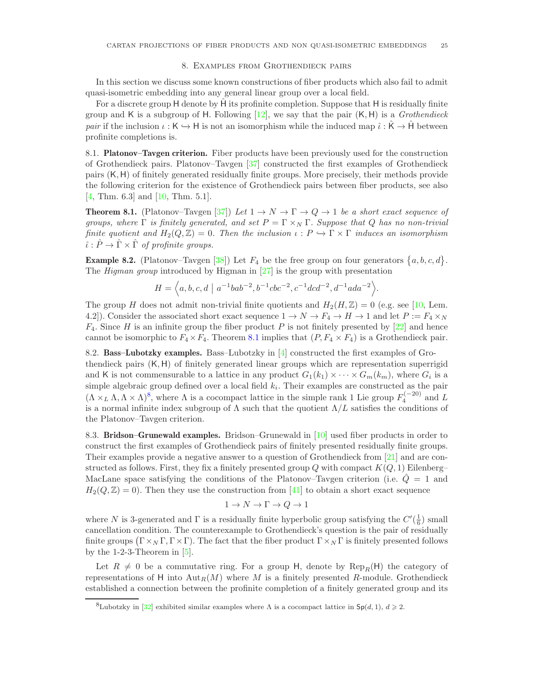### 8. Examples from Grothendieck pairs

<span id="page-24-0"></span>In this section we discuss some known constructions of fiber products which also fail to admit quasi-isometric embedding into any general linear group over a local field.

For a discrete group H denote by H its profinite completion. Suppose that H is residually finite group and K is a subgroup of H. Following [\[12\]](#page-28-2), we say that the pair (K, H) is a *Grothendieck pair* if the inclusion  $\iota : K \hookrightarrow H$  is not an isomorphism while the induced map  $\hat{\iota} : \hat{K} \to \hat{H}$  between profinite completions is.

8.1. Platonov–Tavgen criterion. Fiber products have been previously used for the construction of Grothendieck pairs. Platonov–Tavgen [\[37\]](#page-29-1) constructed the first examples of Grothendieck pairs (K, H) of finitely generated residually finite groups. More precisely, their methods provide the following criterion for the existence of Grothendieck pairs between fiber products, see also [\[4,](#page-28-0) Thm. 6.3] and [\[10,](#page-28-1) Thm. 5.1].

<span id="page-24-1"></span>**Theorem 8.1.** (Platonov–Tavgen [\[37\]](#page-29-1)) Let  $1 \rightarrow N \rightarrow \Gamma \rightarrow Q \rightarrow 1$  be a short exact sequence of *groups, where*  $\Gamma$  *is finitely generated, and set*  $P = \Gamma \times_N \Gamma$ *. Suppose that* Q *has no non-trivial finite quotient and*  $H_2(Q, \mathbb{Z}) = 0$ . Then the inclusion  $\iota : P \to \Gamma \times \Gamma$  induces an isomorphism  $\hat{\iota}: \hat{P} \to \hat{\Gamma} \times \hat{\Gamma}$  of profinite groups.

<span id="page-24-3"></span>**Example 8.2.** (Platonov–Tavgen [\[38\]](#page-29-24)) Let  $F_4$  be the free group on four generators  $\{a, b, c, d\}$ . The *Higman group* introduced by Higman in [\[27\]](#page-29-25) is the group with presentation

 $H = \langle a, b, c, d \mid a^{-1}bab^{-2}, b^{-1}cbc^{-2}, c^{-1}dcd^{-2}, d^{-1}ada^{-2} \rangle.$ 

The group H does not admit non-trivial finite quotients and  $H_2(H,\mathbb{Z}) = 0$  (e.g. see [\[10,](#page-28-1) Lem. 4.2]). Consider the associated short exact sequence  $1 \to N \to F_4 \to H \to 1$  and let  $P := F_4 \times_N$  $F_4$ . Since H is an infinite group the fiber product P is not finitely presented by  $[22]$  and hence cannot be isomorphic to  $F_4 \times F_4$ . Theorem [8.1](#page-24-1) implies that  $(P, F_4 \times F_4)$  is a Grothendieck pair.

8.2. Bass–Lubotzky examples. Bass–Lubotzky in [\[4\]](#page-28-0) constructed the first examples of Grothendieck pairs (K, H) of finitely generated linear groups which are representation superrigid and K is not commensurable to a lattice in any product  $G_1(k_1) \times \cdots \times G_m(k_m)$ , where  $G_i$  is a simple algebraic group defined over a local field  $k_i$ . Their examples are constructed as the pair  $(\Lambda \times_L \Lambda, \Lambda \times \Lambda)^8$  $(\Lambda \times_L \Lambda, \Lambda \times \Lambda)^8$ , where  $\Lambda$  is a cocompact lattice in the simple rank 1 Lie group  $F_4^{(-20)}$  and L is a normal infinite index subgroup of  $\Lambda$  such that the quotient  $\Lambda/L$  satisfies the conditions of the Platonov–Tavgen criterion.

8.3. Bridson–Grunewald examples. Bridson–Grunewald in [\[10\]](#page-28-1) used fiber products in order to construct the first examples of Grothendieck pairs of finitely presented residually finite groups. Their examples provide a negative answer to a question of Grothendieck from [\[21\]](#page-29-10) and are constructed as follows. First, they fix a finitely presented group Q with compact  $K(Q, 1)$  Eilenberg– MacLane space satisfying the conditions of the Platonov–Tavgen criterion (i.e.  $\dot{Q} = 1$  and  $H_2(Q, \mathbb{Z}) = 0$ . Then they use the construction from [\[41\]](#page-29-8) to obtain a short exact sequence

$$
1 \to N \to \Gamma \to Q \to 1
$$

where N is 3-generated and  $\Gamma$  is a residually finite hyperbolic group satisfying the  $C'(\frac{1}{6})$  small cancellation condition. The counterexample to Grothendieck's question is the pair of residually finite groups  $(\Gamma \times_N \Gamma, \Gamma \times \Gamma)$ . The fact that the fiber product  $\Gamma \times_N \Gamma$  is finitely presented follows by the  $1-2-3$ -Theorem in  $[5]$ .

Let  $R \neq 0$  be a commutative ring. For a group H, denote by  $\text{Rep}_R(H)$  the category of representations of H into  $\text{Aut}_R(M)$  where M is a finitely presented R-module. Grothendieck established a connection between the profinite completion of a finitely generated group and its

<span id="page-24-2"></span><sup>&</sup>lt;sup>8</sup>Lubotzky in [\[32\]](#page-29-26) exhibited similar examples where Λ is a cocompact lattice in  $Sp(d, 1), d \geq 2$ .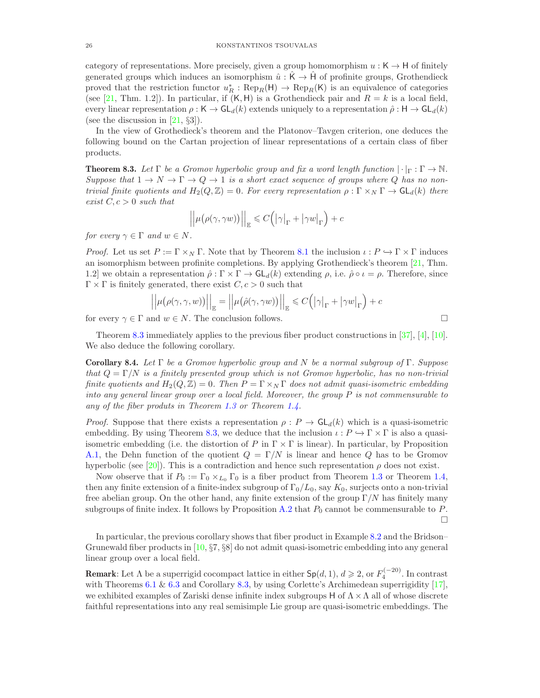category of representations. More precisely, given a group homomorphism  $u : K \to H$  of finitely generated groups which induces an isomorphism  $\hat{u}: \tilde{K} \to \tilde{H}$  of profinite groups, Grothendieck proved that the restriction functor  $u_R^* : \text{Rep}_R(\mathsf{H}) \to \text{Rep}_R(\mathsf{K})$  is an equivalence of categories (see [\[21,](#page-29-10) Thm. 1.2]). In particular, if  $(K, H)$  is a Grothendieck pair and  $R = k$  is a local field, every linear representation  $\rho : K \to GL_d(k)$  extends uniquely to a representation  $\hat{\rho} : H \to GL_d(k)$ (see the discussion in  $[21, §3]$ ).

In the view of Grothedieck's theorem and the Platonov–Tavgen criterion, one deduces the following bound on the Cartan projection of linear representations of a certain class of fiber products.

<span id="page-25-0"></span>**Theorem 8.3.** Let  $\Gamma$  be a Gromov hyperbolic group and fix a word length function  $|\cdot|_{\Gamma} : \Gamma \to \mathbb{N}$ . *Suppose that*  $1 \to N \to \Gamma \to Q \to 1$  *is a short exact sequence of groups where* Q *has no nontrivial finite quotients and*  $H_2(Q, \mathbb{Z}) = 0$ . For every representation  $\rho : \Gamma \times_N \Gamma \to \mathsf{GL}_d(k)$  there  $exist C, c > 0 such that$ 

$$
\left| \left| \mu(\rho(\gamma, \gamma w)) \right| \right|_{\mathbb{E}} \leqslant C \Big( \big| \gamma \big|_{\Gamma} + \big| \gamma w \big|_{\Gamma} \Big) + c
$$

*for every*  $\gamma \in \Gamma$  *and*  $w \in N$ *.* 

*Proof.* Let us set  $P := \Gamma \times_N \Gamma$ . Note that by Theorem [8.1](#page-24-1) the inclusion  $\iota : P \hookrightarrow \Gamma \times \Gamma$  induces an isomorphism between profinite completions. By applying Grothendieck's theorem [\[21,](#page-29-10) Thm. 1.2] we obtain a representation  $\hat{\rho}: \Gamma \times \Gamma \to \mathsf{GL}_d(k)$  extending  $\rho$ , i.e.  $\hat{\rho} \circ \iota = \rho$ . Therefore, since  $\Gamma \times \Gamma$  is finitely generated, there exist  $C, c > 0$  such that

$$
\left\| \mu(\rho(\gamma, \gamma, w)) \right\|_{\mathbb{E}} = \left\| \mu(\hat{\rho}(\gamma, \gamma w)) \right\|_{\mathbb{E}} \leq C \Big( |\gamma|_{\Gamma} + |\gamma w|_{\Gamma} \Big) + c
$$

for every  $\gamma \in \Gamma$  and  $w \in N$ . The conclusion follows.

Theorem [8.3](#page-25-0) immediately applies to the previous fiber product constructions in [\[37\]](#page-29-1), [\[4\]](#page-28-0), [\[10\]](#page-28-1). We also deduce the following corollary.

Corollary 8.4. *Let* Γ *be a Gromov hyperbolic group and* N *be a normal subgroup of* Γ*. Suppose that* Q = Γ/N *is a finitely presented group which is not Gromov hyperbolic, has no non-trivial finite quotients and*  $H_2(Q, \mathbb{Z}) = 0$ . *Then*  $P = \Gamma \times_N \Gamma$  *does not admit quasi-isometric embedding into any general linear group over a local field. Moreover, the group* P *is not commensurable to any of the fiber produts in Theorem [1.3](#page-1-3) or Theorem [1.4.](#page-2-2)*

*Proof.* Suppose that there exists a representation  $\rho$ :  $P \to \mathsf{GL}_d(k)$  which is a quasi-isometric embedding. By using Theorem [8.3,](#page-25-0) we deduce that the inclusion  $\iota : P \to \Gamma \times \Gamma$  is also a quasiisometric embedding (i.e. the distortion of P in  $\Gamma \times \Gamma$  is linear). In particular, by Proposition [A.1,](#page-27-0) the Dehn function of the quotient  $Q = \Gamma/N$  is linear and hence Q has to be Gromov hyperbolic (see [\[20\]](#page-29-11)). This is a contradiction and hence such representation  $\rho$  does not exist.

Now observe that if  $P_0 := \Gamma_0 \times_{L_0} \Gamma_0$  is a fiber product from Theorem [1.3](#page-1-3) or Theorem [1.4,](#page-2-2) then any finite extension of a finite-index subgroup of  $\Gamma_0/L_0$ , say  $K_0$ , surjects onto a non-trivial free abelian group. On the other hand, any finite extension of the group  $\Gamma/N$  has finitely many subgroups of finite index. It follows by Proposition [A.2](#page-28-8) that  $P_0$  cannot be commensurable to P.  $\Box$ 

In particular, the previous corollary shows that fiber product in Example [8.2](#page-24-3) and the Bridson– Grunewald fiber products in [\[10,](#page-28-1) §7, §8] do not admit quasi-isometric embedding into any general linear group over a local field.

**Remark**: Let  $\Lambda$  be a superrigid cocompact lattice in either  $\mathsf{Sp}(d,1), d \geqslant 2$ , or  $F_4^{(-20)}$ . In contrast with Theorems [6.1](#page-21-0) & [6.3](#page-22-0) and Corollary [8.3,](#page-25-0) by using Corlette's Archimedean superrigidity  $[17]$ , we exhibited examples of Zariski dense infinite index subgroups H of  $\Lambda \times \Lambda$  all of whose discrete faithful representations into any real semisimple Lie group are quasi-isometric embeddings. The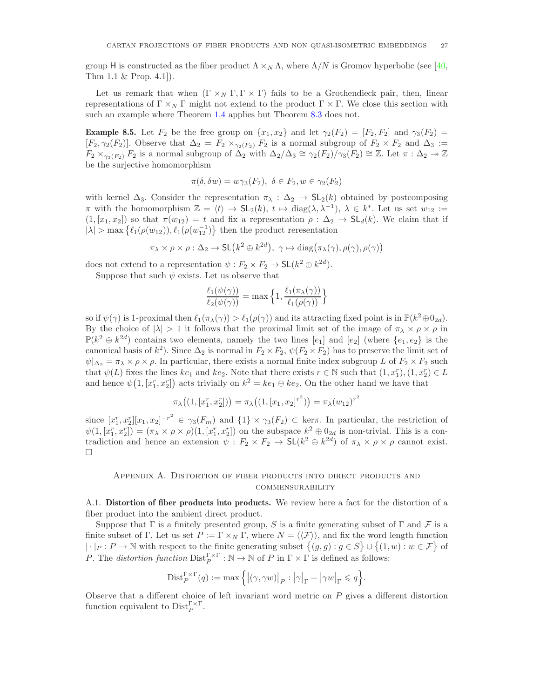group H is constructed as the fiber product  $\Lambda \times_N \Lambda$ , where  $\Lambda/N$  is Gromov hyperbolic (see [\[40,](#page-29-28) Thm 1.1 & Prop. 4.1]).

Let us remark that when  $(\Gamma \times_N \Gamma, \Gamma \times \Gamma)$  fails to be a Grothendieck pair, then, linear representations of  $\Gamma \times_N \Gamma$  might not extend to the product  $\Gamma \times \Gamma$ . We close this section with such an example where Theorem [1.4](#page-2-2) applies but Theorem [8.3](#page-25-0) does not.

**Example 8.5.** Let  $F_2$  be the free group on  $\{x_1, x_2\}$  and let  $\gamma_2(F_2) = [F_2, F_2]$  and  $\gamma_3(F_2) =$  $[F_2, \gamma_2(F_2)]$ . Observe that  $\Delta_2 = F_2 \times_{\gamma_2(F_2)} F_2$  is a normal subgroup of  $F_2 \times F_2$  and  $\Delta_3 :=$  $F_2 \times_{\gamma_3(F_2)} F_2$  is a normal subgroup of  $\overline{\Delta}_2$  with  $\Delta_2/\Delta_3 \cong \gamma_2(F_2)/\gamma_3(F_2) \cong \mathbb{Z}$ . Let  $\pi : \Delta_2 \twoheadrightarrow \mathbb{Z}$ be the surjective homomorphism

$$
\pi(\delta, \delta w) = w\gamma_3(F_2), \ \delta \in F_2, w \in \gamma_2(F_2)
$$

with kernel  $\Delta_3$ . Consider the representation  $\pi_\lambda : \Delta_2 \to SL_2(k)$  obtained by postcomposing  $\pi$  with the homomorphism  $\mathbb{Z} = \langle t \rangle \to SL_2(k), t \mapsto \text{diag}(\lambda, \lambda^{-1}), \lambda \in k^*$ . Let us set  $w_{12} :=$  $(1,[x_1,x_2])$  so that  $\pi(w_{12})=t$  and fix a representation  $\rho : \Delta_2 \to SL_d(k)$ . We claim that if  $|\lambda| > \max \left\{ \ell_1(\rho(w_{12})), \ell_1(\rho(w_{12}^{-1})) \right\}$  then the product reresentation

$$
\pi_{\lambda} \times \rho \times \rho : \Delta_2 \to \mathsf{SL}\left(k^2 \oplus k^{2d}\right), \ \gamma \mapsto \mathrm{diag}\big(\pi_{\lambda}(\gamma), \rho(\gamma), \rho(\gamma)\big)
$$

does not extend to a representation  $\psi : F_2 \times F_2 \to SL(k^2 \oplus k^{2d}).$ 

Suppose that such  $\psi$  exists. Let us observe that

$$
\frac{\ell_1(\psi(\gamma))}{\ell_2(\psi(\gamma))} = \max\left\{1, \frac{\ell_1(\pi_\lambda(\gamma))}{\ell_1(\rho(\gamma))}\right\}
$$

so if  $\psi(\gamma)$  is 1-proximal then  $\ell_1(\pi_\lambda(\gamma)) > \ell_1(\rho(\gamma))$  and its attracting fixed point is in  $\mathbb{P}(k^2 \oplus 0_{2d})$ . By the choice of  $|\lambda| > 1$  it follows that the proximal limit set of the image of  $\pi_{\lambda} \times \rho \times \rho$  in  $\mathbb{P}(k^2 \oplus k^{2d})$  contains two elements, namely the two lines [e<sub>1</sub>] and [e<sub>2</sub>] (where  $\{e_1, e_2\}$  is the canonical basis of  $k^2$ ). Since  $\Delta_2$  is normal in  $F_2 \times F_2$ ,  $\psi(F_2 \times F_2)$  has to preserve the limit set of  $\psi|_{\Delta_2} = \pi_{\lambda} \times \rho \times \rho$ . In particular, there exists a normal finite index subgroup L of  $F_2 \times F_2$  such that  $\psi(L)$  fixes the lines  $ke_1$  and  $ke_2$ . Note that there exists  $r \in \mathbb{N}$  such that  $(1, x_1^r), (1, x_2^r) \in L$ and hence  $\psi(1,[x_1^r,x_2^r])$  acts trivially on  $k^2 = ke_1 \oplus ke_2$ . On the other hand we have that

$$
\pi_{\lambda}\big((1,[x_1^r,x_2^r])\big)=\pi_{\lambda}\big((1,[x_1,x_2]^{r^2})\big)=\pi_{\lambda}(w_{12})^{r^2}
$$

since  $[x_1^r, x_2^r][x_1, x_2]^{-r^2} \in \gamma_3(F_m)$  and  $\{1\} \times \gamma_3(F_2) \subset \text{ker}\pi$ . In particular, the restriction of  $\psi(1,[x_1^r,x_2^r]) = (\pi_\lambda \times \rho \times \rho)(1,[x_1^r,x_2^r])$  on the subspace  $k^2 \oplus 0_{2d}$  is non-trivial. This is a contradiction and hence an extension  $\psi : F_2 \times F_2 \to SL(k^2 \oplus k^{2d})$  of  $\pi_\lambda \times \rho \times \rho$  cannot exist.  $\Box$ 

# Appendix A. Distortion of fiber products into direct products and commensurability

A.1. Distortion of fiber products into products. We review here a fact for the distortion of a fiber product into the ambient direct product.

Suppose that Γ is a finitely presented group, S is a finite generating subset of Γ and F is a finite subset of Γ. Let us set  $P := \Gamma \times_N \Gamma$ , where  $N = \langle \langle \mathcal{F} \rangle \rangle$ , and fix the word length function  $|\cdot|_P : P \to \mathbb{N}$  with respect to the finite generating subset  $\{(g, g) : g \in S\} \cup \{(1, w) : w \in \mathcal{F}\}\$  of P. The *distortion function*  $Dist_P^{\Gamma \times \Gamma} : \mathbb{N} \to \mathbb{N}$  of P in  $\Gamma \times \Gamma$  is defined as follows:

$$
\mathrm{Dist}^{\Gamma \times \Gamma}_P(q) := \max \Big\{\big|(\gamma, \gamma w)\big|_P : \big|\gamma\big|_{\Gamma} + \big|\gamma w\big|_{\Gamma} \leqslant q\Big\}.
$$

Observe that a different choice of left invariant word metric on P gives a different distortion function equivalent to  $\text{Dist}_{P}^{\Gamma \times \Gamma}$ .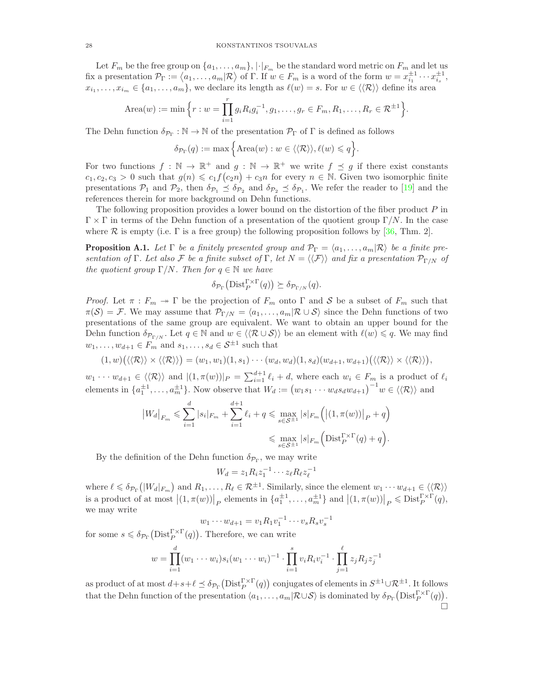Let  $F_m$  be the free group on  $\{a_1, \ldots, a_m\}, |\cdot|_{F_m}$  be the standard word metric on  $F_m$  and let us fix a presentation  $\mathcal{P}_{\Gamma} := \langle a_1, \ldots, a_m | \mathcal{R} \rangle$  of  $\Gamma$ . If  $w \in F_m$  is a word of the form  $w = x_{i_1}^{\pm 1} \cdots x_{i_s}^{\pm 1}$ ,  $x_{i_1},\ldots,x_{i_m}\in\{a_1,\ldots,a_m\}$ , we declare its length as  $\ell(w)=s$ . For  $w\in\langle\langle \mathcal{R}\rangle\rangle$  define its area

Area(w) := min 
$$
\left\{ r : w = \prod_{i=1}^r g_i R_i g_i^{-1}, g_1, \dots, g_r \in F_m, R_1, \dots, R_r \in \mathcal{R}^{\pm 1} \right\}.
$$

The Dehn function  $\delta_{\mathcal{P}_{\Gamma}} : \mathbb{N} \to \mathbb{N}$  of the presentation  $\mathcal{P}_{\Gamma}$  of  $\Gamma$  is defined as follows

$$
\delta_{\mathcal{P}_{\Gamma}}(q):=\max\Big\{\operatorname{Area}(w): w\in\langle\langle\mathcal{R}\rangle\rangle, \ell(w)\leqslant q\Big\}.
$$

For two functions  $f : \mathbb{N} \to \mathbb{R}^+$  and  $g : \mathbb{N} \to \mathbb{R}^+$  we write  $f \preceq g$  if there exist constants  $c_1, c_2, c_3 > 0$  such that  $g(n) \leq c_1 f(c_2 n) + c_3 n$  for every  $n \in \mathbb{N}$ . Given two isomorphic finite presentations  $P_1$  and  $P_2$ , then  $\delta_{P_1} \leq \delta_{P_2}$  and  $\delta_{P_2} \leq \delta_{P_1}$ . We refer the reader to [\[19\]](#page-29-29) and the references therein for more background on Dehn functions.

The following proposition provides a lower bound on the distortion of the fiber product  $P$  in  $\Gamma \times \Gamma$  in terms of the Dehn function of a presentation of the quotient group  $\Gamma/N$ . In the case where R is empty (i.e.  $\Gamma$  is a free group) the following proposition follows by [\[36,](#page-29-20) Thm. 2].

<span id="page-27-0"></span>**Proposition A.1.** Let  $\Gamma$  be a finitely presented group and  $\mathcal{P}_{\Gamma} = \langle a_1, \ldots, a_m | \mathcal{R} \rangle$  be a finite pre*sentation of* Γ*. Let also* F *be a finite subset of* Γ, *let*  $N = \langle \langle \mathcal{F} \rangle \rangle$  *and fix a presentation*  $\mathcal{P}_{\Gamma/N}$  *of the quotient group*  $\Gamma/N$ *. Then for*  $q \in \mathbb{N}$  *we have* 

$$
\delta_{\mathcal{P}_{\Gamma}}\big(\mathrm{Dist}_{P}^{\Gamma\times \Gamma}(q)\big) \succeq \delta_{\mathcal{P}_{\Gamma/N}}(q).
$$

*Proof.* Let  $\pi$  :  $F_m \to \Gamma$  be the projection of  $F_m$  onto  $\Gamma$  and  $S$  be a subset of  $F_m$  such that  $\pi(\mathcal{S}) = \mathcal{F}$ . We may assume that  $\mathcal{P}_{\Gamma/N} = \langle a_1, \ldots, a_m | \mathcal{R} \cup \mathcal{S} \rangle$  since the Dehn functions of two presentations of the same group are equivalent. We want to obtain an upper bound for the Dehn function  $\delta_{\mathcal{P}_{\Gamma/N}}$ . Let  $q \in \mathbb{N}$  and  $w \in \langle \langle \mathcal{R} \cup \mathcal{S} \rangle \rangle$  be an element with  $\ell(w) \leq q$ . We may find  $w_1, \ldots, w_{d+1} \in F_m$  and  $s_1, \ldots, s_d \in S^{\pm 1}$  such that

$$
(1, w)\big(\langle\langle \mathcal{R} \rangle\rangle \times \langle\langle \mathcal{R} \rangle\rangle\big) = (w_1, w_1)(1, s_1) \cdots (w_d, w_d)(1, s_d)(w_{d+1}, w_{d+1})\big(\langle\langle \mathcal{R} \rangle\rangle \times \langle\langle \mathcal{R} \rangle\rangle\big),
$$

 $w_1 \cdots w_{d+1} \in \langle \langle \mathcal{R} \rangle \rangle$  and  $|(1, \pi(w))|_P = \sum_{i=1}^{d+1} \ell_i + d$ , where each  $w_i \in F_m$  is a product of  $\ell_i$ elements in  $\{a_1^{\pm 1}, \ldots, a_m^{\pm 1}\}$ . Now observe that  $W_d := (w_1 s_1 \cdots w_d s_d w_{d+1})^{-1} w \in \langle\langle \mathcal{R} \rangle\rangle$  and

$$
|W_d|_{F_m} \leq \sum_{i=1}^d |s_i|_{F_m} + \sum_{i=1}^{d+1} \ell_i + q \leq \max_{s \in S^{\pm 1}} |s|_{F_m} (|(1, \pi(w))|_P + q)
$$
  

$$
\leq \max_{s \in S^{\pm 1}} |s|_{F_m} (\text{Dist}_P^{\Gamma \times \Gamma}(q) + q).
$$

By the definition of the Dehn function  $\delta_{\mathcal{P}_{\Gamma}}$ , we may write

$$
W_d = z_1 R_i z_1^{-1} \cdots z_\ell R_\ell z_\ell^{-1}
$$

where  $\ell \leq \delta_{\mathcal{P}_{\Gamma}}(|W_d|_{F_m})$  and  $R_1,\ldots,R_{\ell} \in \mathcal{R}^{\pm 1}$ . Similarly, since the element  $w_1 \cdots w_{d+1} \in \langle\langle \mathcal{R} \rangle\rangle$ is a product of at most  $|(1, \pi(w))|_P$  elements in  $\{a_1^{\pm 1}, \ldots, a_m^{\pm 1}\}\$  and  $|(1, \pi(w))|_P \leqslant \text{Dist}_P^{\Gamma \times \Gamma}(q)$ , we may write

$$
w_1 \cdots w_{d+1} = v_1 R_1 v_1^{-1} \cdots v_s R_s v_s^{-1}
$$

for some  $s \leq \delta_{\mathcal{P}_{\Gamma}}(\text{Dist}_{P}^{\Gamma \times \Gamma}(q))$ . Therefore, we can write

$$
w = \prod_{i=1}^{d} (w_1 \cdots w_i) s_i (w_1 \cdots w_i)^{-1} \cdot \prod_{i=1}^{s} v_i R_i v_i^{-1} \cdot \prod_{j=1}^{\ell} z_j R_j z_j^{-1}
$$

as product of at most  $d+s+\ell \preceq \delta_{\mathcal{P}_{\Gamma}}(\text{Dist}_{P}^{\Gamma\times\Gamma}(q))$  conjugates of elements in  $S^{\pm 1}\cup \mathcal{R}^{\pm 1}$ . It follows that the Dehn function of the presentation  $\langle a_1, \ldots, a_m | \mathcal{R} \cup \mathcal{S} \rangle$  is dominated by  $\delta_{\mathcal{P}_{\Gamma}}(\text{Dist}_{P}^{\Gamma \times \Gamma}(q)).$  $\Box$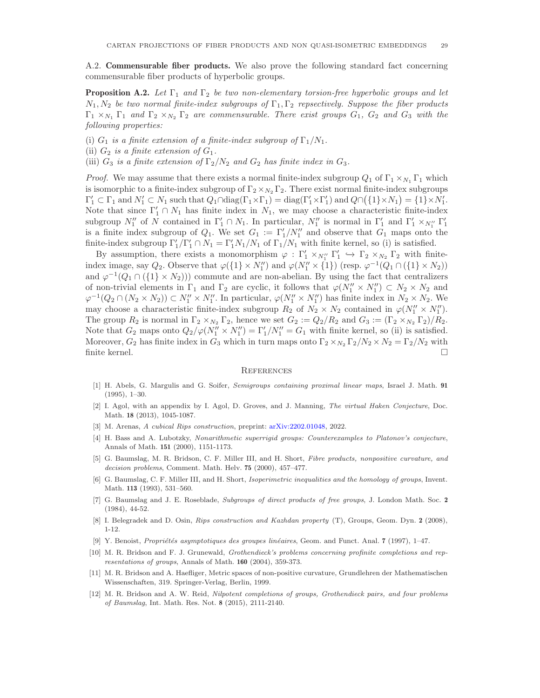A.2. Commensurable fiber products. We also prove the following standard fact concerning commensurable fiber products of hyperbolic groups.

<span id="page-28-8"></span>**Proposition A.2.** Let  $\Gamma_1$  and  $\Gamma_2$  be two non-elementary torsion-free hyperbolic groups and let N1, N<sup>2</sup> *be two normal finite-index subgroups of* Γ1, Γ<sup>2</sup> *repsectively. Suppose the fiber products*  $\Gamma_1 \times_{N_1} \Gamma_1$  *and*  $\Gamma_2 \times_{N_2} \Gamma_2$  *are commensurable. There exist groups*  $G_1$ ,  $G_2$  *and*  $G_3$  *with the following properties:*

(i)  $G_1$  *is a finite extension of a finite-index subgroup of*  $\Gamma_1/N_1$ *.* 

(ii)  $G_2$  *is a finite extension of*  $G_1$ *.* 

(iii)  $G_3$  *is a finite extension of*  $\Gamma_2/N_2$  *and*  $G_2$  *has finite index in*  $G_3$ *.* 

*Proof.* We may assume that there exists a normal finite-index subgroup  $Q_1$  of  $\Gamma_1 \times_{N_1} \Gamma_1$  which is isomorphic to a finite-index subgroup of  $\Gamma_2 \times_{N_2} \Gamma_2$ . There exist normal finite-index subgroups  $\Gamma'_1 \subset \Gamma_1$  and  $N'_1 \subset N_1$  such that  $Q_1 \cap \text{diag}(\Gamma_1 \times \Gamma_1) = \text{diag}(\Gamma'_1 \times \Gamma'_1)$  and  $Q \cap (\{1\} \times N_1) = \{1\} \times N'_1$ . Note that since  $\Gamma'_1 \cap N_1$  has finite index in  $N_1$ , we may choose a characteristic finite-index subgroup  $N''_1$  of N contained in  $\Gamma'_1 \cap N_1$ . In particular,  $N''_1$  is normal in  $\Gamma'_1$  and  $\Gamma'_1 \times_{N''_1} \Gamma'_1$ is a finite index subgroup of  $Q_1$ . We set  $G_1 := \Gamma'_1/N''_1$  and observe that  $G_1$  maps onto the finite-index subgroup  $\Gamma'_1/\Gamma'_1 \cap N_1 = \Gamma'_1 N_1/N_1$  of  $\Gamma_1/N_1$  with finite kernel, so (i) is satisfied.

By assumption, there exists a monomorphism  $\varphi : \Gamma'_1 \times_{N''_1} \Gamma'_1 \hookrightarrow \Gamma_2 \times_{N_2} \Gamma_2$  with finiteindex image, say  $Q_2$ . Observe that  $\varphi({1} \times N''_1)$  and  $\varphi(N''_1 \times {1})$  (resp.  $\varphi^{-1}(Q_1 \cap ({1} \times N_2))$ and  $\varphi^{-1}(Q_1 \cap (\{1\} \times N_2))$  commute and are non-abelian. By using the fact that centralizers of non-trivial elements in  $\Gamma_1$  and  $\Gamma_2$  are cyclic, it follows that  $\varphi(N''_1 \times N''_1) \subset N_2 \times N_2$  and  $\varphi^{-1}(Q_2 \cap (N_2 \times N_2)) \subset N_1'' \times N_1''$ . In particular,  $\varphi(N_1'' \times N_1'')$  has finite index in  $N_2 \times N_2$ . We may choose a characteristic finite-index subgroup  $R_2$  of  $N_2 \times N_2$  contained in  $\varphi(N_1'' \times N_1'')$ . The group  $R_2$  is normal in  $\Gamma_2 \times_{N_2} \Gamma_2$ , hence we set  $G_2 := Q_2/R_2$  and  $G_3 := (\Gamma_2 \times_{N_2} \Gamma_2)/R_2$ . Note that  $G_2$  maps onto  $Q_2/\varphi(N_1'' \times N_1'') = \Gamma_1'/N_1'' = G_1$  with finite kernel, so (ii) is satisfied. Moreover,  $G_2$  has finite index in  $G_3$  which in turn maps onto  $\Gamma_2 \times_{N_2} \Gamma_2/N_2 \times N_2 = \Gamma_2/N_2$  with finite kernel.

#### **REFERENCES**

- <span id="page-28-7"></span>[1] H. Abels, G. Margulis and G. Soifer, *Semigroups containing proximal linear maps*, Israel J. Math. 91 (1995), 1–30.
- <span id="page-28-4"></span>[2] I. Agol, with an appendix by I. Agol, D. Groves, and J. Manning, *The virtual Haken Conjecture*, Doc. Math. 18 (2013), 1045-1087.
- <span id="page-28-11"></span><span id="page-28-0"></span>[3] M. Arenas, *A cubical Rips construction*, preprint: [arXiv:2202.01048,](https://arxiv.org/abs/2202.01048) 2022.
- [4] H. Bass and A. Lubotzky, *Nonarithmetic superrigid groups: Counterexamples to Platonov's conjecture*, Annals of Math. 151 (2000), 1151-1173.
- <span id="page-28-3"></span>[5] G. Baumslag, M. R. Bridson, C. F. Miller III, and H. Short, *Fibre products, nonpositive curvature, and decision problems*, Comment. Math. Helv. 75 (2000), 457–477.
- <span id="page-28-9"></span>[6] G. Baumslag, C. F. Miller III, and H. Short, *Isoperimetric inequalities and the homology of groups*, Invent. Math. 113 (1993), 531–560.
- [7] G. Baumslag and J. E. Roseblade, *Subgroups of direct products of free groups*, J. London Math. Soc. 2 (1984), 44-52.
- <span id="page-28-10"></span>[8] I. Belegradek and D. Osin, *Rips construction and Kazhdan property* (T), Groups, Geom. Dyn. 2 (2008), 1-12.
- <span id="page-28-6"></span><span id="page-28-1"></span>[9] Y. Benoist, *Propriétés asymptotiques des groupes linéaires*, Geom. and Funct. Anal. 7 (1997), 1–47.
- [10] M. R. Bridson and F. J. Grunewald, *Grothendieck's problems concerning profinite completions and representations of groups*, Annals of Math. 160 (2004), 359-373.
- <span id="page-28-5"></span>[11] M. R. Bridson and A. Haefliger, Metric spaces of non-positive curvature, Grundlehren der Mathematischen Wissenschaften, 319. Springer-Verlag, Berlin, 1999.
- <span id="page-28-2"></span>[12] M. R. Bridson and A. W. Reid, *Nilpotent completions of groups, Grothendieck pairs, and four problems of Baumslag*, Int. Math. Res. Not. 8 (2015), 2111-2140.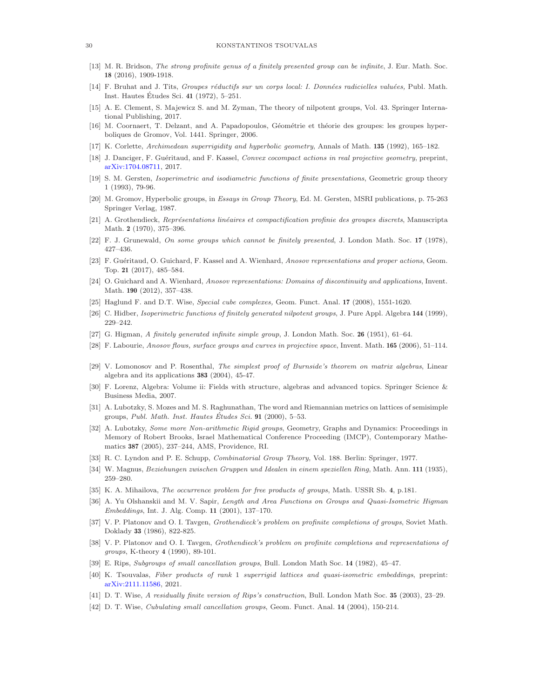#### <span id="page-29-2"></span>30 KONSTANTINOS TSOUVALAS

- [13] M. R. Bridson, *The strong profinite genus of a finitely presented group can be infinite*, J. Eur. Math. Soc. 18 (2016), 1909-1918.
- <span id="page-29-13"></span>[14] F. Bruhat and J. Tits, *Groupes réductifs sur un corps local: I. Données radicielles valuées*, Publ. Math. Inst. Hautes Études Sci. 41 (1972), 5–251.
- <span id="page-29-17"></span>[15] A. E. Clement, S. Majewicz S. and M. Zyman, The theory of nilpotent groups, Vol. 43. Springer International Publishing, 2017.
- <span id="page-29-12"></span>[16] M. Coornaert, T. Delzant, and A. Papadopoulos, Géométrie et théorie des groupes: les groupes hyperboliques de Gromov, Vol. 1441. Springer, 2006.
- <span id="page-29-27"></span><span id="page-29-5"></span>[17] K. Corlette, *Archimedean superrigidity and hyperbolic geometry*, Annals of Math. 135 (1992), 165–182.
- [18] J. Danciger, F. Gu´eritaud, and F. Kassel, *Convex cocompact actions in real projective geometry*, preprint, [arXiv:1704.08711,](https://arxiv.org/abs/1704.08711) 2017.
- <span id="page-29-29"></span>[19] S. M. Gersten, *Isoperimetric and isodiametric functions of finite presentations*, Geometric group theory 1 (1993), 79-96.
- <span id="page-29-11"></span>[20] M. Gromov, Hyperbolic groups, in *Essays in Group Theory*, Ed. M. Gersten, MSRI publications, p. 75-263 Springer Verlag, 1987.
- <span id="page-29-10"></span>[21] A. Grothendieck, *Représentations linéaires et compactification profinie des groupes discrets*, Manuscripta Math. 2 (1970), 375–396.
- <span id="page-29-23"></span>[22] F. J. Grunewald, *On some groups which cannot be finitely presented*, J. London Math. Soc. 17 (1978), 427–436.
- <span id="page-29-14"></span>[23] F. Gu´eritaud, O. Guichard, F. Kassel and A. Wienhard, *Anosov representations and proper actions*, Geom. Top. 21 (2017), 485–584.
- <span id="page-29-4"></span>[24] O. Guichard and A. Wienhard, *Anosov representations: Domains of discontinuity and applications*, Invent. Math. 190 (2012), 357–438.
- <span id="page-29-21"></span><span id="page-29-19"></span>[25] Haglund F. and D.T. Wise, *Special cube complexes,* Geom. Funct. Anal. 17 (2008), 1551-1620.
- <span id="page-29-25"></span>[26] C. Hidber, *Isoperimetric functions of finitely generated nilpotent groups*, J. Pure Appl. Algebra 144 (1999), 229–242.
- <span id="page-29-3"></span>[27] G. Higman, *A finitely generated infinite simple group*, J. London Math. Soc. 26 (1951), 61–64.
- <span id="page-29-16"></span>[28] F. Labourie, *Anosov flows, surface groups and curves in projective space*, Invent. Math. 165 (2006), 51–114.
- [29] V. Lomonosov and P. Rosenthal, *The simplest proof of Burnside's theorem on matrix algebras*, Linear algebra and its applications 383 (2004), 45-47.
- <span id="page-29-15"></span>[30] F. Lorenz, Algebra: Volume ii: Fields with structure, algebras and advanced topics. Springer Science & Business Media, 2007.
- <span id="page-29-6"></span>[31] A. Lubotzky, S. Mozes and M. S. Raghunathan, The word and Riemannian metrics on lattices of semisimple groups, *Publ. Math. Inst. Hautes Etudes Sci. ´* 91 (2000), 5–53.
- <span id="page-29-26"></span>[32] A. Lubotzky, *Some more Non-arithmetic Rigid groups*, Geometry, Graphs and Dynamics: Proceedings in Memory of Robert Brooks, Israel Mathematical Conference Proceeding (IMCP), Contemporary Mathematics 387 (2005), 237–244, AMS, Providence, RI.
- <span id="page-29-22"></span><span id="page-29-18"></span>[33] R. C. Lyndon and P. E. Schupp, *Combinatorial Group Theory*, Vol. 188. Berlin: Springer, 1977.
- [34] W. Magnus, *Beziehungen zwischen Gruppen und Idealen in einem speziellen Ring*, Math. Ann. 111 (1935), 259–280.
- <span id="page-29-20"></span><span id="page-29-0"></span>[35] K. A. Mihailova, *The occurrence problem for free products of groups*, Math. USSR Sb. 4, p.181.
- [36] A. Yu Olshanskii and M. V. Sapir, *Length and Area Functions on Groups and Quasi-Isometric Higman Embeddings*, Int. J. Alg. Comp. 11 (2001), 137–170.
- <span id="page-29-1"></span>[37] V. P. Platonov and O. I. Tavgen, *Grothendieck's problem on profinite completions of groups*, Soviet Math. Doklady 33 (1986), 822-825.
- <span id="page-29-24"></span>[38] V. P. Platonov and O. I. Tavgen, *Grothendieck's problem on profinite completions and representations of groups*, K-theory 4 (1990), 89-101.
- <span id="page-29-28"></span><span id="page-29-7"></span>[39] E. Rips, *Subgroups of small cancellation groups*, Bull. London Math Soc. 14 (1982), 45–47.
- [40] K. Tsouvalas, *Fiber products of rank* 1 *superrigid lattices and quasi-isometric embeddings*, preprint: [arXiv:2111.11586,](https://arxiv.org/abs/2111.11586) 2021.
- <span id="page-29-9"></span><span id="page-29-8"></span>[41] D. T. Wise, *A residually finite version of Rips's construction*, Bull. London Math Soc. 35 (2003), 23–29.
- [42] D. T. Wise, *Cubulating small cancellation groups*, Geom. Funct. Anal. 14 (2004), 150-214.